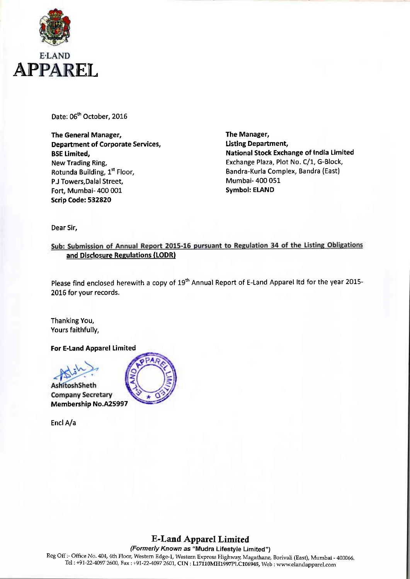

Date: 06<sup>th</sup> October, 2016

The General Manager, Department of Corporate Services, **BSE Limited,** New Trading Ring, Rotunda Building, 1" Floor, P.J Towers,Dalal Street, Fort, Mumbai- 400 001 scrip Code: 532820

The Manager, Listing Department, National Stock Exchange of India Limited Exchange Plaza, Plot No. C/1, G-Block, Bandra-Kurla Complex, Bandra (East) Mumbai- 400 051 Symbol: ELAND

Dear Sir,

Sub: Submission of Annual Report 2015-16 pursuant to Regulation 34 of the Listing Obligations and Disclosure Regulations (LODR)

Please find enclosed herewith a copy of 19<sup>th</sup> Annual Report of E-Land Apparel Itd for the year 2015-2016 for your records.

Thanking You, Yours faithfully,

For E-Land Apparel Limited



EnclA/a



E-Land Apparel Limited

(Formerly Known as "Mudra Lifestyle Limited")

Reg Off :- Office No. 404, 4th Floor, Western Edge-1, Western Express Highway, Magathane, Borivali (East), Mumbai - 400066. Tel: +91-22-4097 2600, Fax: +91-22-4097 2601, CIN: L17110MH1997PLC106945, Web: www.elandapparel.com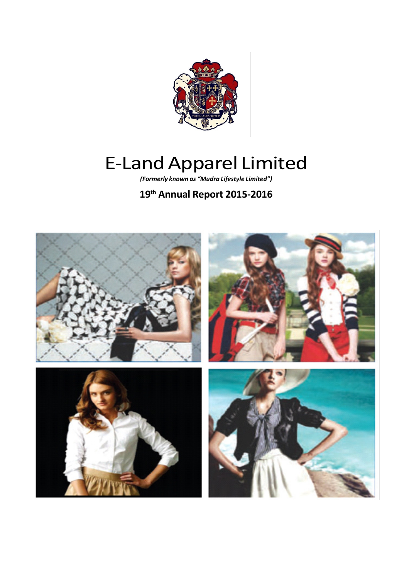

# E-Land Apparel Limited

*(Formerly known as "Mudra Lifestyle Limited")*

# **19th Annual Report 2015-2016**

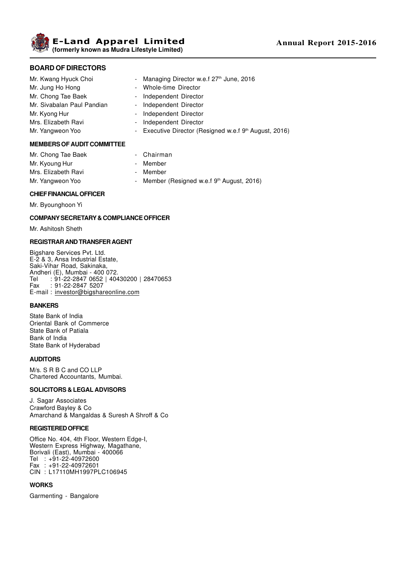**E-Land Apparel Limited (formerly known as Mudra Lifestyle Limited)**

# **BOARD OF DIRECTORS**

- Mr. Kwang Hyuck Choi Managing Director w.e.f 27<sup>th</sup> June, 2016 Mr. Jung Ho Hong **Canadian Communist Communist Communist Communist Communist Communist Communist Communist Communist Communist Communist Communist Communist Communist Communist Communist Communist Communist Communist Commu** Mr. Chong Tae Baek - Independent Director Mr. Sivabalan Paul Pandian - Independent Director Mr. Kyong Hur **- Independent Director** Mrs. Elizabeth Ravi **- Independent Director** Mr. Yangweon Yoo **- Executive Director (Resigned w.e.f 9th August, 2016)** Mr. Yangweon Yoo **MEMBERS OF AUDIT COMMITTEE**
- Mr. Chong Tae Baek Chairman Mr. Kyoung Hur - Member Mrs. Elizabeth Ravi **- Member** Mr. Yangweon Yoo - Member (Resigned w.e.f 9th August, 2016)

# **CHIEF FINANCIAL OFFICER**

Mr. Byounghoon Yi

#### **COMPANY SECRETARY & COMPLIANCE OFFICER**

Mr. Ashitosh Sheth

#### **REGISTRAR AND TRANSFER AGENT**

Bigshare Services Pvt. Ltd. E-2 & 3, Ansa Industrial Estate, Saki-Vihar Road, Sakinaka, Andheri (E), Mumbai - 400 072. Tel : 91-22-2847 0652 | 40430200 | 28470653<br>Fax : 91-22-2847 5207  $: 91 - 22 - 2847$  5207 E-mail : investor@bigshareonline.com

#### **BANKERS**

State Bank of India Oriental Bank of Commerce State Bank of Patiala Bank of India State Bank of Hyderabad

#### **AUDITORS**

M/s. S R B C and CO LLP Chartered Accountants, Mumbai.

#### **SOLICITORS & LEGAL ADVISORS**

J. Sagar Associates Crawford Bayley & Co Amarchand & Mangaldas & Suresh A Shroff & Co

#### **REGISTERED OFFICE**

Office No. 404, 4th Floor, Western Edge-I, Western Express Highway, Magathane, Borivali (East), Mumbai - 400066 Tel : +91-22-40972600 Fax : +91-22-40972601 CIN : L17110MH1997PLC106945

#### **WORKS**

Garmenting - Bangalore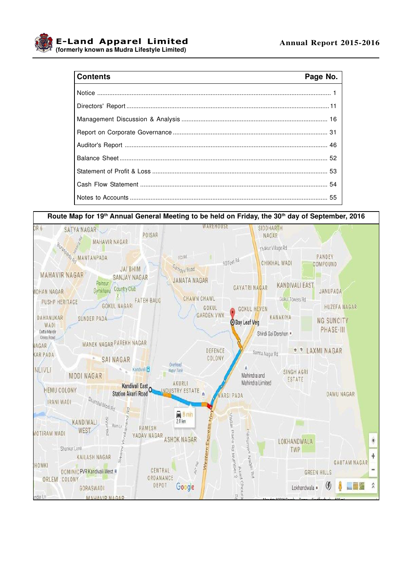

# Contante

| <b>Contents</b><br><u> 1989 - Johann Barn, mars ann an t-Amhain ann an t-Amhain an t-Amhain an t-Amhain an t-Amhain an t-Amhain an t-</u> | Page No. |
|-------------------------------------------------------------------------------------------------------------------------------------------|----------|
|                                                                                                                                           |          |
|                                                                                                                                           |          |
|                                                                                                                                           |          |
|                                                                                                                                           |          |
|                                                                                                                                           |          |
|                                                                                                                                           |          |
|                                                                                                                                           |          |
|                                                                                                                                           |          |
|                                                                                                                                           |          |

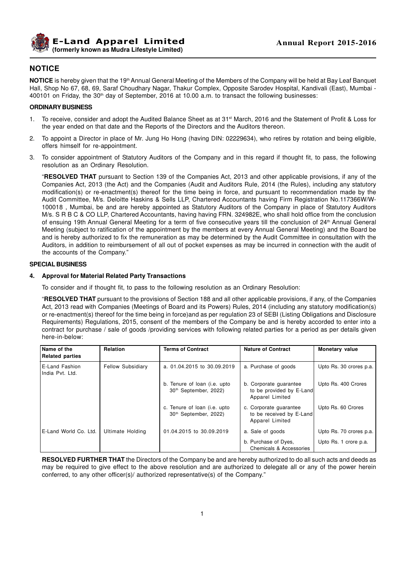

# **NOTICE**

**NOTICE** is hereby given that the 19<sup>th</sup> Annual General Meeting of the Members of the Company will be held at Bay Leaf Banquet Hall, Shop No 67, 68, 69, Saraf Choudhary Nagar, Thakur Complex, Opposite Sarodev Hospital, Kandivali (East), Mumbai - 400101 on Friday, the 30<sup>th</sup> day of September, 2016 at 10.00 a.m. to transact the following businesses:

#### **ORDINARY BUSINESS**

- 1. To receive, consider and adopt the Audited Balance Sheet as at 31<sup>st</sup> March, 2016 and the Statement of Profit & Loss for the year ended on that date and the Reports of the Directors and the Auditors thereon.
- 2. To appoint a Director in place of Mr. Jung Ho Hong (having DIN: 02229634), who retires by rotation and being eligible, offers himself for re-appointment.
- 3. To consider appointment of Statutory Auditors of the Company and in this regard if thought fit, to pass, the following resolution as an Ordinary Resolution.

"**RESOLVED THAT** pursuant to Section 139 of the Companies Act, 2013 and other applicable provisions, if any of the Companies Act, 2013 (the Act) and the Companies (Audit and Auditors Rule, 2014 (the Rules), including any statutory modification(s) or re-enactment(s) thereof for the time being in force, and pursuant to recommendation made by the Audit Committee, M/s. Deloitte Haskins & Sells LLP, Chartered Accountants having Firm Registration No.117366W/W-100018 , Mumbai, be and are hereby appointed as Statutory Auditors of the Company in place of Statutory Auditors M/s. S R B C & CO LLP, Chartered Accountants, having having FRN. 324982E, who shall hold office from the conclusion of ensuing 19th Annual General Meeting for a term of five consecutive years till the conclusion of 24<sup>th</sup> Annual General Meeting (subject to ratification of the appointment by the members at every Annual General Meeting) and the Board be and is hereby authorized to fix the remuneration as may be determined by the Audit Committee in consultation with the Auditors, in addition to reimbursement of all out of pocket expenses as may be incurred in connection with the audit of the accounts of the Company."

#### **SPECIAL BUSINESS**

#### **4. Approval for Material Related Party Transactions**

To consider and if thought fit, to pass to the following resolution as an Ordinary Resolution:

"**RESOLVED THAT** pursuant to the provisions of Section 188 and all other applicable provisions, if any, of the Companies Act, 2013 read with Companies (Meetings of Board and its Powers) Rules, 2014 (including any statutory modification(s) or re-enactment(s) thereof for the time being in force)and as per regulation 23 of SEBI (Listing Obligations and Disclosure Requirements) Regulations, 2015, consent of the members of the Company be and is hereby accorded to enter into a contract for purchase / sale of goods /providing services with following related parties for a period as per details given here-in-below:

| Name of the<br><b>Related parties</b> | Relation                 | <b>Terms of Contract</b>                                          | <b>Nature of Contract</b>                                             | <b>Monetary value</b>   |
|---------------------------------------|--------------------------|-------------------------------------------------------------------|-----------------------------------------------------------------------|-------------------------|
| E-Land Fashion<br>India Pvt. Ltd.     | <b>Fellow Subsidiary</b> | a. 01.04.2015 to 30.09.2019                                       | a. Purchase of goods                                                  | Upto Rs. 30 crores p.a. |
|                                       |                          | b. Tenure of loan (i.e. upto<br>30 <sup>th</sup> September, 2022) | b. Corporate guarantee<br>to be provided by E-Land<br>Apparel Limited | Upto Rs. 400 Crores     |
|                                       |                          | c. Tenure of loan (i.e. upto<br>30 <sup>th</sup> September, 2022) | c. Corporate guarantee<br>to be received by E-Land<br>Apparel Limited | Upto Rs. 60 Crores      |
| E-Land World Co. Ltd.                 | Ultimate Holding         | 01.04.2015 to 30.09.2019                                          | a. Sale of goods                                                      | Upto Rs. 70 crores p.a. |
|                                       |                          |                                                                   | b. Purchase of Dyes,<br>Chemicals & Accessories                       | Upto Rs. 1 crore p.a.   |

**RESOLVED FURTHER THAT** the Directors of the Company be and are hereby authorized to do all such acts and deeds as may be required to give effect to the above resolution and are authorized to delegate all or any of the power herein conferred, to any other officer(s)/ authorized representative(s) of the Company."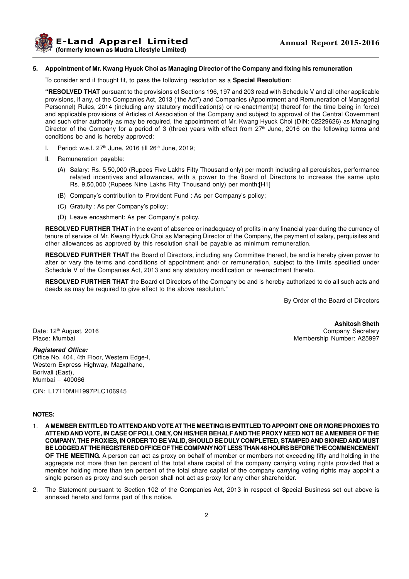

#### **5. Appointment of Mr. Kwang Hyuck Choi as Managing Director of the Company and fixing his remuneration**

To consider and if thought fit, to pass the following resolution as a **Special Resolution**:

**"RESOLVED THAT** pursuant to the provisions of Sections 196, 197 and 203 read with Schedule V and all other applicable provisions, if any, of the Companies Act, 2013 ('the Act") and Companies (Appointment and Remuneration of Managerial Personnel) Rules, 2014 (including any statutory modification(s) or re-enactment(s) thereof for the time being in force) and applicable provisions of Articles of Association of the Company and subject to approval of the Central Government and such other authority as may be required, the appointment of Mr. Kwang Hyuck Choi (DIN: 02229626) as Managing Director of the Company for a period of 3 (three) years with effect from  $27<sup>th</sup>$  June, 2016 on the following terms and conditions be and is hereby approved:

- I. Period: w.e.f.  $27<sup>th</sup>$  June,  $2016$  till  $26<sup>th</sup>$  June,  $2019$ ;
- II. Remuneration payable:
	- (A) Salary: Rs. 5,50,000 (Rupees Five Lakhs Fifty Thousand only) per month including all perquisites, performance related incentives and allowances, with a power to the Board of Directors to increase the same upto Rs. 9,50,000 (Rupees Nine Lakhs Fifty Thousand only) per month;[H1]
	- (B) Company's contribution to Provident Fund : As per Company's policy;
	- (C) Gratuity : As per Company's policy;
	- (D) Leave encashment: As per Company's policy.

**RESOLVED FURTHER THAT** in the event of absence or inadequacy of profits in any financial year during the currency of tenure of service of Mr. Kwang Hyuck Choi as Managing Director of the Company, the payment of salary, perquisites and other allowances as approved by this resolution shall be payable as minimum remuneration.

**RESOLVED FURTHER THAT** the Board of Directors, including any Committee thereof, be and is hereby given power to alter or vary the terms and conditions of appointment and/ or remuneration, subject to the limits specified under Schedule V of the Companies Act, 2013 and any statutory modification or re-enactment thereto.

**RESOLVED FURTHER THAT** the Board of Directors of the Company be and is hereby authorized to do all such acts and deeds as may be required to give effect to the above resolution."

By Order of the Board of Directors

**Ashitosh Sheth** Date: 12<sup>th</sup> August, 2016 **Company Secretary** Company Secretary Place: Mumbai Membership Number: A25997

**Registered Office:** Office No. 404, 4th Floor, Western Edge-I, Western Express Highway, Magathane, Borivali (East), Mumbai – 400066

CIN: L17110MH1997PLC106945

# **NOTES:**

- 1. **A MEMBER ENTITLED TO ATTEND AND VOTE AT THE MEETING IS ENTITLED TO APPOINT ONE OR MORE PROXIES TO ATTEND AND VOTE, IN CASE OF POLL ONLY, ON HIS/HER BEHALF AND THE PROXY NEED NOT BE A MEMBER OF THE COMPANY. THE PROXIES, IN ORDER TO BE VALID, SHOULD BE DULY COMPLETED, STAMPED AND SIGNED AND MUST BE LODGED AT THE REGISTERED OFFICE OF THE COMPANY NOT LESS THAN 48 HOURS BEFORE THE COMMENCEMENT OF THE MEETING.** A person can act as proxy on behalf of member or members not exceeding fifty and holding in the aggregate not more than ten percent of the total share capital of the company carrying voting rights provided that a member holding more than ten percent of the total share capital of the company carrying voting rights may appoint a single person as proxy and such person shall not act as proxy for any other shareholder.
- 2. The Statement pursuant to Section 102 of the Companies Act, 2013 in respect of Special Business set out above is annexed hereto and forms part of this notice.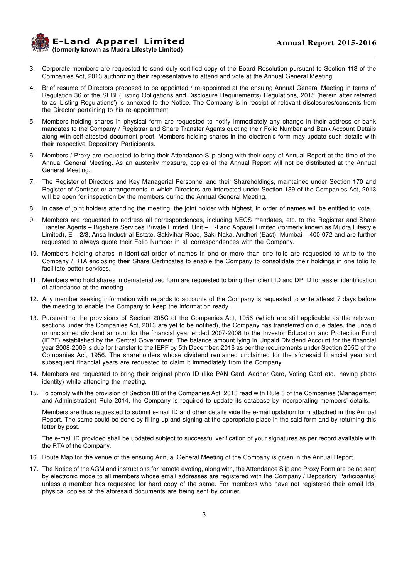**E-Land Apparel Limited (formerly known as Mudra Lifestyle Limited)**

- 3. Corporate members are requested to send duly certified copy of the Board Resolution pursuant to Section 113 of the Companies Act, 2013 authorizing their representative to attend and vote at the Annual General Meeting.
- 4. Brief resume of Directors proposed to be appointed / re-appointed at the ensuing Annual General Meeting in terms of Regulation 36 of the SEBI (Listing Obligations and Disclosure Requirements) Regulations, 2015 (herein after referred to as 'Listing Regulations') is annexed to the Notice. The Company is in receipt of relevant disclosures/consents from the Director pertaining to his re-appointment.
- 5. Members holding shares in physical form are requested to notify immediately any change in their address or bank mandates to the Company / Registrar and Share Transfer Agents quoting their Folio Number and Bank Account Details along with self-attested document proof. Members holding shares in the electronic form may update such details with their respective Depository Participants.
- 6. Members / Proxy are requested to bring their Attendance Slip along with their copy of Annual Report at the time of the Annual General Meeting. As an austerity measure, copies of the Annual Report will not be distributed at the Annual General Meeting.
- 7. The Register of Directors and Key Managerial Personnel and their Shareholdings, maintained under Section 170 and Register of Contract or arrangements in which Directors are interested under Section 189 of the Companies Act, 2013 will be open for inspection by the members during the Annual General Meeting.
- 8. In case of joint holders attending the meeting, the joint holder with highest, in order of names will be entitled to vote.
- 9. Members are requested to address all correspondences, including NECS mandates, etc. to the Registrar and Share Transfer Agents – Bigshare Services Private Limited, Unit – E-Land Apparel Limited (formerly known as Mudra Lifestyle Limited), E – 2/3, Ansa Industrial Estate, Sakivihar Road, Saki Naka, Andheri (East), Mumbai – 400 072 and are further requested to always quote their Folio Number in all correspondences with the Company.
- 10. Members holding shares in identical order of names in one or more than one folio are requested to write to the Company / RTA enclosing their Share Certificates to enable the Company to consolidate their holdings in one folio to facilitate better services.
- 11. Members who hold shares in dematerialized form are requested to bring their client ID and DP ID for easier identification of attendance at the meeting.
- 12. Any member seeking information with regards to accounts of the Company is requested to write atleast 7 days before the meeting to enable the Company to keep the information ready.
- 13. Pursuant to the provisions of Section 205C of the Companies Act, 1956 (which are still applicable as the relevant sections under the Companies Act, 2013 are yet to be notified), the Company has transferred on due dates, the unpaid or unclaimed dividend amount for the financial year ended 2007-2008 to the Investor Education and Protection Fund (IEPF) established by the Central Government. The balance amount lying in Unpaid Dividend Account for the financial year 2008-2009 is due for transfer to the IEPF by 5th December, 2016 as per the requirements under Section 205C of the Companies Act, 1956. The shareholders whose dividend remained unclaimed for the aforesaid financial year and subsequent financial years are requested to claim it immediately from the Company.
- 14. Members are requested to bring their original photo ID (like PAN Card, Aadhar Card, Voting Card etc., having photo identity) while attending the meeting.
- 15. To comply with the provision of Section 88 of the Companies Act, 2013 read with Rule 3 of the Companies (Management and Administration) Rule 2014, the Company is required to update its database by incorporating members' details.

Members are thus requested to submit e-mail ID and other details vide the e-mail updation form attached in this Annual Report. The same could be done by filling up and signing at the appropriate place in the said form and by returning this letter by post.

The e-mail ID provided shall be updated subject to successful verification of your signatures as per record available with the RTA of the Company.

- 16. Route Map for the venue of the ensuing Annual General Meeting of the Company is given in the Annual Report.
- 17. The Notice of the AGM and instructions for remote evoting, along with, the Attendance Slip and Proxy Form are being sent by electronic mode to all members whose email addresses are registered with the Company / Depository Participant(s) unless a member has requested for hard copy of the same. For members who have not registered their email Ids, physical copies of the aforesaid documents are being sent by courier.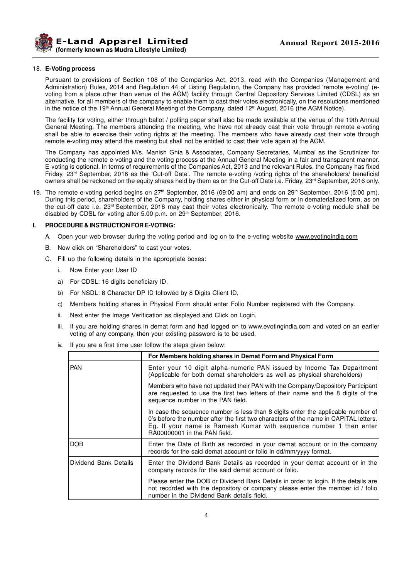

#### 18. **E-Voting process**

Pursuant to provisions of Section 108 of the Companies Act, 2013, read with the Companies (Management and Administration) Rules, 2014 and Regulation 44 of Listing Regulation, the Company has provided 'remote e-voting' (evoting from a place other than venue of the AGM) facility through Central Depository Services Limited (CDSL) as an alternative, for all members of the company to enable them to cast their votes electronically, on the resolutions mentioned in the notice of the 19<sup>th</sup> Annual General Meeting of the Company, dated 12<sup>th</sup> August, 2016 (the AGM Notice).

The facility for voting, either through ballot / polling paper shall also be made available at the venue of the 19th Annual General Meeting. The members attending the meeting, who have not already cast their vote through remote e-voting shall be able to exercise their voting rights at the meeting. The members who have already cast their vote through remote e-voting may attend the meeting but shall not be entitled to cast their vote again at the AGM.

The Company has appointed M/s. Manish Ghia & Associates, Company Secretaries, Mumbai as the Scrutinizer for conducting the remote e-voting and the voting process at the Annual General Meeting in a fair and transparent manner. E-voting is optional. In terms of requirements of the Companies Act, 2013 and the relevant Rules, the Company has fixed Friday, 23rd September, 2016 as the 'Cut-off Date'. The remote e-voting /voting rights of the shareholders/ beneficial owners shall be reckoned on the equity shares held by them as on the Cut-off Date i.e. Friday, 23rd September, 2016 only.

19. The remote e-voting period begins on 27<sup>th</sup> September, 2016 (09:00 am) and ends on 29<sup>th</sup> September, 2016 (5:00 pm). During this period, shareholders of the Company, holding shares either in physical form or in dematerialized form, as on the cut-off date i.e. 23rd September, 2016 may cast their votes electronically. The remote e-voting module shall be disabled by CDSL for voting after 5.00 p.m. on 29<sup>th</sup> September, 2016.

#### **I. PROCEDURE & INSTRUCTION FOR E-VOTING:**

- A. Open your web browser during the voting period and log on to the e-voting website www.evotingindia.com
- B. Now click on "Shareholders" to cast your votes.
- C. Fill up the following details in the appropriate boxes:
	- i. Now Enter your User ID
	- a) For CDSL: 16 digits beneficiary ID,
	- b) For NSDL: 8 Character DP ID followed by 8 Digits Client ID,
	- c) Members holding shares in Physical Form should enter Folio Number registered with the Company.
	- ii. Next enter the Image Verification as displayed and Click on Login.
	- iii. If you are holding shares in demat form and had logged on to www.evotingindia.com and voted on an earlier voting of any company, then your existing password is to be used.
	- iv. If you are a first time user follow the steps given below:

|                       | For Members holding shares in Demat Form and Physical Form                                                                                                                                                                                                                     |
|-----------------------|--------------------------------------------------------------------------------------------------------------------------------------------------------------------------------------------------------------------------------------------------------------------------------|
| <b>PAN</b>            | Enter your 10 digit alpha-numeric PAN issued by Income Tax Department<br>(Applicable for both demat shareholders as well as physical shareholders)                                                                                                                             |
|                       | Members who have not updated their PAN with the Company/Depository Participant<br>are requested to use the first two letters of their name and the 8 digits of the<br>sequence number in the PAN field.                                                                        |
|                       | In case the sequence number is less than 8 digits enter the applicable number of<br>0's before the number after the first two characters of the name in CAPITAL letters.<br>Eg. If your name is Ramesh Kumar with sequence number 1 then enter<br>RA00000001 in the PAN field. |
| DOB                   | Enter the Date of Birth as recorded in your demat account or in the company<br>records for the said demat account or folio in dd/mm/yyyy format.                                                                                                                               |
| Dividend Bank Details | Enter the Dividend Bank Details as recorded in your demat account or in the<br>company records for the said demat account or folio.                                                                                                                                            |
|                       | Please enter the DOB or Dividend Bank Details in order to login. If the details are<br>not recorded with the depository or company please enter the member id / folio<br>number in the Dividend Bank details field.                                                            |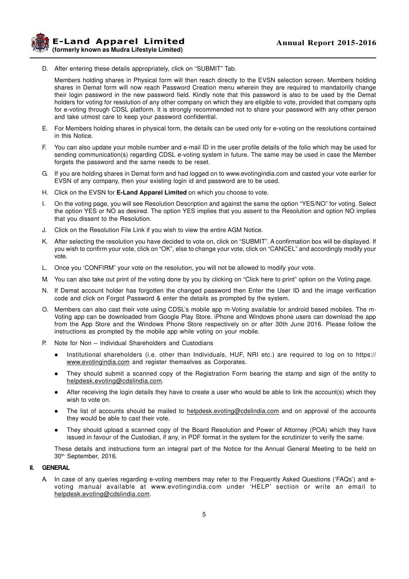**E-Land Apparel Limited (formerly known as Mudra Lifestyle Limited)**

D. After entering these details appropriately, click on "SUBMIT" Tab.

Members holding shares in Physical form will then reach directly to the EVSN selection screen. Members holding shares in Demat form will now reach Password Creation menu wherein they are required to mandatorily change their login password in the new password field. Kindly note that this password is also to be used by the Demat holders for voting for resolution of any other company on which they are eligible to vote, provided that company opts for e-voting through CDSL platform. It is strongly recommended not to share your password with any other person and take utmost care to keep your password confidential.

- E. For Members holding shares in physical form, the details can be used only for e-voting on the resolutions contained in this Notice.
- F. You can also update your mobile number and e-mail ID in the user profile details of the folio which may be used for sending communication(s) regarding CDSL e-voting system in future. The same may be used in case the Member forgets the password and the same needs to be reset.
- G. If you are holding shares in Demat form and had logged on to www.evotingindia.com and casted your vote earlier for EVSN of any company, then your existing login id and password are to be used.
- H. Click on the EVSN for **E-Land Apparel Limited** on which you choose to vote.
- I. On the voting page, you will see Resolution Description and against the same the option "YES/NO" for voting. Select the option YES or NO as desired. The option YES implies that you assent to the Resolution and option NO implies that you dissent to the Resolution.
- J. Click on the Resolution File Link if you wish to view the entire AGM Notice.
- K. After selecting the resolution you have decided to vote on, click on "SUBMIT". A confirmation box will be displayed. If you wish to confirm your vote, click on "OK", else to change your vote, click on "CANCEL" and accordingly modify your vote.
- L. Once you 'CONFIRM" your vote on the resolution, you will not be allowed to modify your vote.
- M. You can also take out print of the voting done by you by clicking on "Click here to print" option on the Voting page.
- N. If Demat account holder has forgotten the changed password then Enter the User ID and the image verification code and click on Forgot Password & enter the details as prompted by the system.
- O. Members can also cast their vote using CDSL's mobile app m-Voting available for android based mobiles. The m-Voting app can be downloaded from Google Play Store. iPhone and Windows phone users can download the app from the App Store and the Windows Phone Store respectively on or after 30th June 2016. Please follow the instructions as prompted by the mobile app while voting on your mobile.
- P. Note for Non Individual Shareholders and Custodians
	- l Institutional shareholders (i.e. other than Individuals, HUF, NRI etc.) are required to log on to https:// www.evotingindia.com and register themselves as Corporates.
	- They should submit a scanned copy of the Registration Form bearing the stamp and sign of the entity to helpdesk.evoting@cdslindia.com.
	- After receiving the login details they have to create a user who would be able to link the account(s) which they wish to vote on.
	- The list of accounts should be mailed to helpdesk.evoting@cdslindia.com and on approval of the accounts they would be able to cast their vote.
	- l They should upload a scanned copy of the Board Resolution and Power of Attorney (POA) which they have issued in favour of the Custodian, if any, in PDF format in the system for the scrutinizer to verify the same.

These details and instructions form an integral part of the Notice for the Annual General Meeting to be held on 30th September, 2016.

#### **II. GENERAL**

A. In case of any queries regarding e-voting members may refer to the Frequently Asked Questions ('FAQs') and evoting manual available at www.evotingindia.com under 'HELP' section or write an email to helpdesk.evoting@cdslindia.com.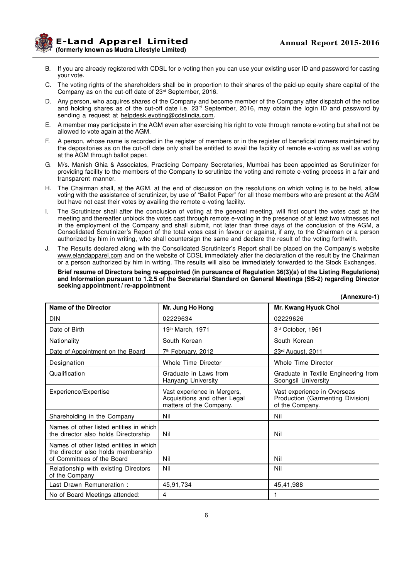

**Example 2015-2016 Annual Report 2015-2016 (formerly known as Mudra Lifestyle Limited)**

- B. If you are already registered with CDSL for e-voting then you can use your existing user ID and password for casting your vote.
- C. The voting rights of the shareholders shall be in proportion to their shares of the paid-up equity share capital of the Company as on the cut-off date of 23rd September, 2016.
- D. Any person, who acquires shares of the Company and become member of the Company after dispatch of the notice and holding shares as of the cut-off date i.e.  $23<sup>rd</sup>$  September, 2016, may obtain the login ID and password by sending a request at helpdesk.evoting@cdslindia.com.
- E. A member may participate in the AGM even after exercising his right to vote through remote e-voting but shall not be allowed to vote again at the AGM.
- F. A person, whose name is recorded in the register of members or in the register of beneficial owners maintained by the depositories as on the cut-off date only shall be entitled to avail the facility of remote e-voting as well as voting at the AGM through ballot paper.
- G. M/s. Manish Ghia & Associates, Practicing Company Secretaries, Mumbai has been appointed as Scrutinizer for providing facility to the members of the Company to scrutinize the voting and remote e-voting process in a fair and transparent manner.
- H. The Chairman shall, at the AGM, at the end of discussion on the resolutions on which voting is to be held, allow voting with the assistance of scrutinizer, by use of "Ballot Paper" for all those members who are present at the AGM but have not cast their votes by availing the remote e-voting facility.
- I. The Scrutinizer shall after the conclusion of voting at the general meeting, will first count the votes cast at the meeting and thereafter unblock the votes cast through remote e-voting in the presence of at least two witnesses not in the employment of the Company and shall submit, not later than three days of the conclusion of the AGM, a Consolidated Scrutinizer's Report of the total votes cast in favour or against, if any, to the Chairman or a person authorized by him in writing, who shall countersign the same and declare the result of the voting forthwith.
- J. The Results declared along with the Consolidated Scrutinizer's Report shall be placed on the Company's website www.elandapparel.com and on the website of CDSL immediately after the declaration of the result by the Chairman or a person authorized by him in writing. The results will also be immediately forwarded to the Stock Exchanges.

**Brief resume of Directors being re-appointed (in pursuance of Regulation 36(3)(a) of the Listing Regulations) and Information pursuant to 1.2.5 of the Secretarial Standard on General Meetings (SS-2) regarding Director seeking appointment / re-appointment**

| <b>Name of the Director</b>                                                                                 | Mr. Jung Ho Hong                                                                       | Mr. Kwang Hyuck Choi                                                               |
|-------------------------------------------------------------------------------------------------------------|----------------------------------------------------------------------------------------|------------------------------------------------------------------------------------|
| <b>DIN</b>                                                                                                  | 02229634                                                                               | 02229626                                                                           |
| Date of Birth                                                                                               | 19 <sup>th</sup> March, 1971                                                           | 3rd October, 1961                                                                  |
| Nationality                                                                                                 | South Korean                                                                           | South Korean                                                                       |
| Date of Appointment on the Board                                                                            | 7 <sup>th</sup> February, 2012                                                         | 23 <sup>rd</sup> August, 2011                                                      |
| Designation                                                                                                 | Whole Time Director                                                                    | Whole Time Director                                                                |
| Qualification                                                                                               | Graduate in Laws from<br>Hanyang University                                            | Graduate in Textile Engineering from<br>Soongsil University                        |
| Experience/Expertise                                                                                        | Vast experience in Mergers,<br>Acquisitions and other Legal<br>matters of the Company. | Vast experience in Overseas<br>Production (Garmenting Division)<br>of the Company. |
| Shareholding in the Company                                                                                 | Nil                                                                                    | Nil                                                                                |
| Names of other listed entities in which<br>the director also holds Directorship                             | Nil                                                                                    | Nil                                                                                |
| Names of other listed entities in which<br>the director also holds membership<br>of Committees of the Board | Nil                                                                                    | Nil                                                                                |
| Relationship with existing Directors<br>of the Company                                                      | Nil                                                                                    | Nil                                                                                |
| Last Drawn Remuneration:                                                                                    | 45,91,734                                                                              | 45,41,988                                                                          |
| No of Board Meetings attended:                                                                              | $\overline{4}$                                                                         |                                                                                    |

**(Annexure-1)**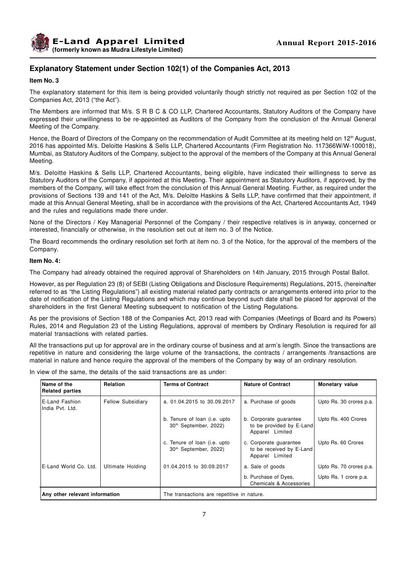

# **Explanatory Statement under Section 102(1) of the Companies Act, 2013**

**Item No. 3**

The explanatory statement for this item is being provided voluntarily though strictly not required as per Section 102 of the Companies Act, 2013 ("the Act").

The Members are informed that M/s. S R B C & CO LLP, Chartered Accountants, Statutory Auditors of the Company have expressed their unwillingness to be re-appointed as Auditors of the Company from the conclusion of the Annual General Meeting of the Company.

Hence, the Board of Directors of the Company on the recommendation of Audit Committee at its meeting held on 12<sup>th</sup> August, 2016 has appointed M/s. Deloitte Haskins & Sells LLP, Chartered Accountants (Firm Registration No. 117366W/W-100018), Mumbai, as Statutory Auditors of the Company, subject to the approval of the members of the Company at this Annual General Meeting.

M/s. Deloitte Haskins & Sells LLP, Chartered Accountants, being eligible, have indicated their willingness to serve as Statutory Auditors of the Company, if appointed at this Meeting. Their appointment as Statutory Auditors, if approved, by the members of the Company, will take effect from the conclusion of this Annual General Meeting. Further, as required under the provisions of Sections 139 and 141 of the Act, M/s. Deloitte Haskins & Sells LLP, have confirmed that their appointment, if made at this Annual General Meeting, shall be in accordance with the provisions of the Act, Chartered Accountants Act, 1949 and the rules and regulations made there under.

None of the Directors / Key Managerial Personnel of the Company / their respective relatives is in anyway, concerned or interested, financially or otherwise, in the resolution set out at item no. 3 of the Notice.

The Board recommends the ordinary resolution set forth at item no. 3 of the Notice, for the approval of the members of the Company.

#### **Item No. 4:**

The Company had already obtained the required approval of Shareholders on 14th January, 2015 through Postal Ballot.

However, as per Regulation 23 (8) of SEBI (Listing Obligations and Disclosure Requirements) Regulations, 2015, (hereinafter referred to as "the Listing Regulations") all existing material related party contracts or arrangements entered into prior to the date of notification of the Listing Regulations and which may continue beyond such date shall be placed for approval of the shareholders in the first General Meeting subsequent to notification of the Listing Regulations.

As per the provisions of Section 188 of the Companies Act, 2013 read with Companies (Meetings of Board and its Powers) Rules, 2014 and Regulation 23 of the Listing Regulations, approval of members by Ordinary Resolution is required for all material transactions with related parties.

All the transactions put up for approval are in the ordinary course of business and at arm's length. Since the transactions are repetitive in nature and considering the large volume of the transactions, the contracts / arrangements /transactions are material in nature and hence require the approval of the members of the Company by way of an ordinary resolution.

In view of the same, the details of the said transactions are as under:

| Name of the<br><b>Related parties</b>                         | <b>Relation</b> | <b>Terms of Contract</b>                                          | <b>Nature of Contract</b>                                             | <b>Monetary value</b>   |  |  |
|---------------------------------------------------------------|-----------------|-------------------------------------------------------------------|-----------------------------------------------------------------------|-------------------------|--|--|
| E-Land Fashion<br><b>Fellow Subsidiary</b><br>India Pvt. Ltd. |                 | a. 01.04.2015 to 30.09.2017                                       | a. Purchase of goods                                                  | Upto Rs. 30 crores p.a. |  |  |
|                                                               |                 | b. Tenure of loan (i.e. upto<br>30 <sup>th</sup> September, 2022) | b. Corporate guarantee<br>to be provided by E-Land<br>Apparel Limited | Upto Rs. 400 Crores     |  |  |
|                                                               |                 | c. Tenure of loan (i.e. upto<br>30 <sup>th</sup> September, 2022) | c. Corporate guarantee<br>to be received by E-Land<br>Apparel Limited | Upto Rs. 60 Crores      |  |  |
| E-Land World Co. Ltd.<br>Ultimate Holding                     |                 | 01.04.2015 to 30.09.2017                                          | a. Sale of goods                                                      |                         |  |  |
|                                                               |                 |                                                                   | b. Purchase of Dyes,<br>Chemicals & Accessories                       | Upto Rs. 1 crore p.a.   |  |  |
| Any other relevant information                                |                 | The transactions are repetitive in nature.                        |                                                                       |                         |  |  |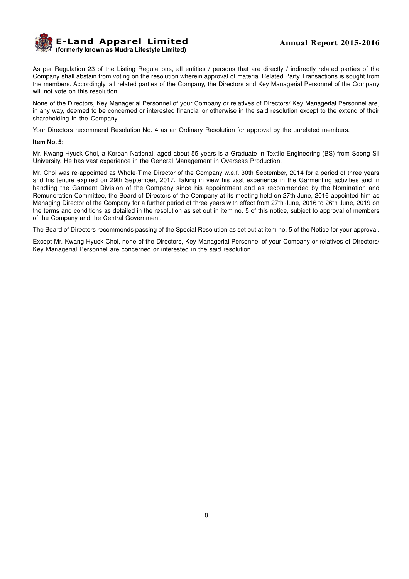

As per Regulation 23 of the Listing Regulations, all entities / persons that are directly / indirectly related parties of the Company shall abstain from voting on the resolution wherein approval of material Related Party Transactions is sought from the members. Accordingly, all related parties of the Company, the Directors and Key Managerial Personnel of the Company will not vote on this resolution.

None of the Directors, Key Managerial Personnel of your Company or relatives of Directors/ Key Managerial Personnel are, in any way, deemed to be concerned or interested financial or otherwise in the said resolution except to the extend of their shareholding in the Company.

Your Directors recommend Resolution No. 4 as an Ordinary Resolution for approval by the unrelated members.

#### **Item No. 5:**

Mr. Kwang Hyuck Choi, a Korean National, aged about 55 years is a Graduate in Textile Engineering (BS) from Soong Sil University. He has vast experience in the General Management in Overseas Production.

Mr. Choi was re-appointed as Whole-Time Director of the Company w.e.f. 30th September, 2014 for a period of three years and his tenure expired on 29th September, 2017. Taking in view his vast experience in the Garmenting activities and in handling the Garment Division of the Company since his appointment and as recommended by the Nomination and Remuneration Committee, the Board of Directors of the Company at its meeting held on 27th June, 2016 appointed him as Managing Director of the Company for a further period of three years with effect from 27th June, 2016 to 26th June, 2019 on the terms and conditions as detailed in the resolution as set out in item no. 5 of this notice, subject to approval of members of the Company and the Central Government.

The Board of Directors recommends passing of the Special Resolution as set out at item no. 5 of the Notice for your approval.

Except Mr. Kwang Hyuck Choi, none of the Directors, Key Managerial Personnel of your Company or relatives of Directors/ Key Managerial Personnel are concerned or interested in the said resolution.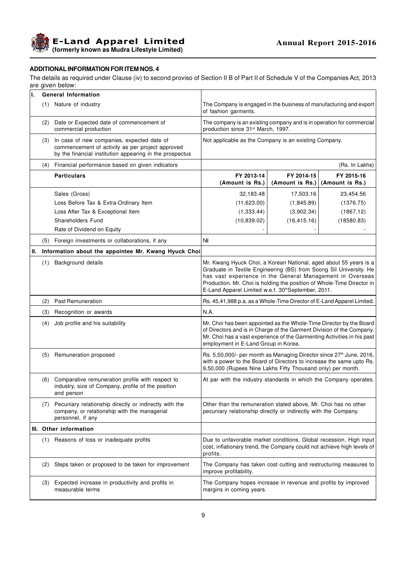**E-Land Apparel Limited (formerly known as Mudra Lifestyle Limited)**

# **ADDITIONAL INFORMATION FOR ITEM NOS. 4**

The details as required under Clause (iv) to second proviso of Section II B of Part II of Schedule V of the Companies Act, 2013 are given below:

| II. | <b>General Information</b> |                                                                                                                                                            |                                                                                                                                                                                                                                                                                                                                       |                               |                               |  |
|-----|----------------------------|------------------------------------------------------------------------------------------------------------------------------------------------------------|---------------------------------------------------------------------------------------------------------------------------------------------------------------------------------------------------------------------------------------------------------------------------------------------------------------------------------------|-------------------------------|-------------------------------|--|
|     |                            | (1) Nature of industry                                                                                                                                     | The Company is engaged in the business of manufacturing and export<br>of fashion garments.                                                                                                                                                                                                                                            |                               |                               |  |
|     |                            | (2) Date or Expected date of commencement of<br>commercial production                                                                                      | The company is an existing company and is in operation for commercial<br>production since 31 <sup>st</sup> March, 1997.                                                                                                                                                                                                               |                               |                               |  |
|     | (3)                        | In case of new companies, expected date of<br>commencement of activity as per project approved<br>by the financial institution appearing in the prospectus | Not applicable as the Company is an existing Company.                                                                                                                                                                                                                                                                                 |                               |                               |  |
|     | (4)                        | Financial performance based on given indicators                                                                                                            |                                                                                                                                                                                                                                                                                                                                       |                               | (Rs. In Lakhs)                |  |
|     |                            | <b>Particulars</b>                                                                                                                                         | FY 2013-14<br>(Amount is Rs.)                                                                                                                                                                                                                                                                                                         | FY 2014-15<br>(Amount is Rs.) | FY 2015-16<br>(Amount is Rs.) |  |
|     |                            | Sales (Gross)                                                                                                                                              | 32,183.48                                                                                                                                                                                                                                                                                                                             | 17,503.16                     | 23,454.56                     |  |
|     |                            | Loss Before Tax & Extra-Ordinary Item                                                                                                                      | (11,623.00)                                                                                                                                                                                                                                                                                                                           | (1,845.89)                    | (1376.75)                     |  |
|     |                            | Loss After Tax & Exceptional Item                                                                                                                          | (1, 333.44)                                                                                                                                                                                                                                                                                                                           | (3,902.34)                    | (1867.12)                     |  |
|     |                            | Shareholders Fund                                                                                                                                          | (10, 839.02)                                                                                                                                                                                                                                                                                                                          | (16, 415.16)                  | (18580.83)                    |  |
|     |                            | Rate of Dividend on Equity                                                                                                                                 |                                                                                                                                                                                                                                                                                                                                       |                               |                               |  |
|     | (5)                        | Foreign investments or collaborations, if any                                                                                                              | Nil                                                                                                                                                                                                                                                                                                                                   |                               |                               |  |
| Ш.  |                            | Information about the appointee Mr. Kwang Hyuck Choi                                                                                                       |                                                                                                                                                                                                                                                                                                                                       |                               |                               |  |
|     | (1)                        | Background details                                                                                                                                         | Mr. Kwang Hyuck Choi, a Korean National, aged about 55 years is a<br>Graduate in Textile Engineering (BS) from Soong Sil University. He<br>has vast experience in the General Management in Overseas<br>Production. Mr. Choi is holding the position of Whole-Time Director in<br>E-Land Apparel Limited w.e.f. 30th September, 2011. |                               |                               |  |
|     |                            | (2) Past Remuneration                                                                                                                                      | Rs. 45,41,988 p.a. as a Whole-Time Director of E-Land Apparel Limited.                                                                                                                                                                                                                                                                |                               |                               |  |
|     | (3)                        | Recognition or awards                                                                                                                                      | N.A.                                                                                                                                                                                                                                                                                                                                  |                               |                               |  |
|     | (4)                        | Job profile and his suitability                                                                                                                            | Mr. Choi has been appointed as the Whole-Time Director by the Board<br>of Directors and is in Charge of the Garment Division of the Company.<br>Mr. Choi has a vast experience of the Garmenting Activities in his past<br>employment in E-Land Group in Korea.                                                                       |                               |                               |  |
|     |                            | (5) Remuneration proposed                                                                                                                                  | Rs. 5,50,000/- per month as Managing Director since 27 <sup>th</sup> June, 2016,<br>with a power to the Board of Directors to increase the same upto Rs.<br>9,50,000 (Rupees Nine Lakhs Fifty Thousand only) per month.                                                                                                               |                               |                               |  |
|     |                            | (6) Comparative remuneration profile with respect to<br>industry, size of Company, profile of the position<br>and person                                   | At par with the industry standards in which the Company operates.                                                                                                                                                                                                                                                                     |                               |                               |  |
|     | (7)                        | Pecuniary relationship directly or indirectly with the<br>company, or relationship with the managerial<br>personnel, if any                                | Other than the remuneration stated above, Mr. Choi has no other<br>pecuniary relationship directly or indirectly with the Company.                                                                                                                                                                                                    |                               |                               |  |
|     |                            | III. Other information                                                                                                                                     |                                                                                                                                                                                                                                                                                                                                       |                               |                               |  |
|     |                            | (1) Reasons of loss or inadequate profits                                                                                                                  | Due to unfavorable market conditions, Global recession, High input<br>cost, inflationary trend, the Company could not achieve high levels of<br>profits.                                                                                                                                                                              |                               |                               |  |
|     | (2)                        | Steps taken or proposed to be taken for improvement                                                                                                        | The Company has taken cost cutting and restructuring measures to<br>improve profitability.                                                                                                                                                                                                                                            |                               |                               |  |
|     |                            | (3) Expected increase in productivity and profits in<br>measurable terms                                                                                   | The Company hopes increase in revenue and profits by improved<br>margins in coming years.                                                                                                                                                                                                                                             |                               |                               |  |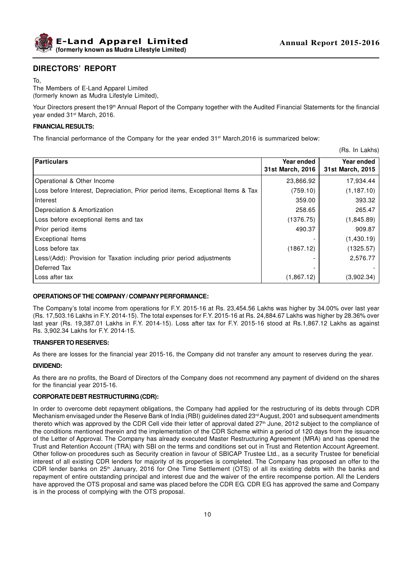

# **DIRECTORS' REPORT**

The Members of E-Land Apparel Limited (formerly known as Mudra Lifestyle Limited),

Your Directors present the19<sup>th</sup> Annual Report of the Company together with the Audited Financial Statements for the financial year ended 31<sup>st</sup> March, 2016.

#### **FINANCIAL RESULTS:**

The financial performance of the Company for the year ended 31<sup>st</sup> March,2016 is summarized below:

(Rs. In Lakhs)

| Particulars                                                                     | Year ended<br>31st March, 2016 | Year ended<br>31st March, 2015 |
|---------------------------------------------------------------------------------|--------------------------------|--------------------------------|
| Operational & Other Income                                                      | 23,866.92                      | 17,934.44                      |
| Loss before Interest, Depreciation, Prior period items, Exceptional Items & Tax | (759.10)                       | (1, 187.10)                    |
| l Interest                                                                      | 359.00                         | 393.32                         |
| Depreciation & Amortization                                                     | 258.65                         | 265.47                         |
| Loss before exceptional items and tax                                           | (1376.75)                      | (1,845.89)                     |
| Prior period items                                                              | 490.37                         | 909.87                         |
| Exceptional Items                                                               |                                | (1,430.19)                     |
| Loss before tax                                                                 | (1867.12)                      | (1325.57)                      |
| Less/(Add): Provision for Taxation including prior period adjustments           |                                | 2,576.77                       |
| l Deferred Tax                                                                  |                                |                                |
| l Loss after tax                                                                | (1,867.12)                     | (3,902.34)                     |

#### **OPERATIONS OF THE COMPANY / COMPANY PERFORMANCE:**

The Company's total income from operations for F.Y. 2015-16 at Rs. 23,454.56 Lakhs was higher by 34.00% over last year (Rs. 17,503.16 Lakhs in F.Y. 2014-15). The total expenses for F.Y. 2015-16 at Rs. 24,884.67 Lakhs was higher by 28.36% over last year (Rs. 19,387.01 Lakhs in F.Y. 2014-15). Loss after tax for F.Y. 2015-16 stood at Rs.1,867.12 Lakhs as against Rs. 3,902.34 Lakhs for F.Y. 2014-15.

#### **TRANSFER TO RESERVES:**

As there are losses for the financial year 2015-16, the Company did not transfer any amount to reserves during the year.

#### **DIVIDEND:**

As there are no profits, the Board of Directors of the Company does not recommend any payment of dividend on the shares for the financial year 2015-16.

#### **CORPORATE DEBT RESTRUCTURING (CDR):**

In order to overcome debt repayment obligations, the Company had applied for the restructuring of its debts through CDR Mechanism envisaged under the Reserve Bank of India (RBI) guidelines dated 23<sup>rd</sup> August, 2001 and subsequent amendments thereto which was approved by the CDR Cell vide their letter of approval dated 27<sup>th</sup> June, 2012 subject to the compliance of the conditions mentioned therein and the implementation of the CDR Scheme within a period of 120 days from the issuance of the Letter of Approval. The Company has already executed Master Restructuring Agreement (MRA) and has opened the Trust and Retention Account (TRA) with SBI on the terms and conditions set out in Trust and Retention Account Agreement. Other follow-on procedures such as Security creation in favour of SBICAP Trustee Ltd., as a security Trustee for beneficial interest of all existing CDR lenders for majority of its properties is completed. The Company has proposed an offer to the CDR lender banks on  $25<sup>th</sup>$  January, 2016 for One Time Settlement (OTS) of all its existing debts with the banks and repayment of entire outstanding principal and interest due and the waiver of the entire recompense portion. All the Lenders have approved the OTS proposal and same was placed before the CDR EG. CDR EG has approved the same and Company is in the process of complying with the OTS proposal.

To,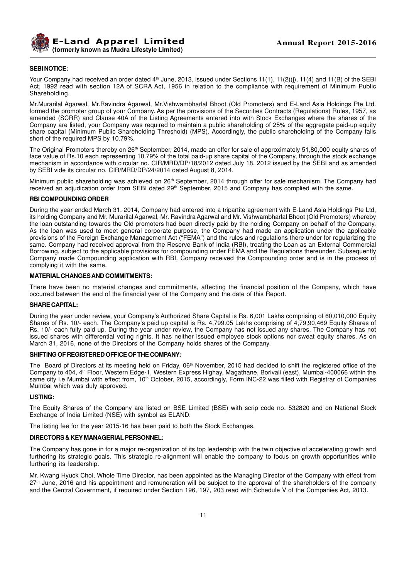

#### **SEBI NOTICE:**

Your Company had received an order dated 4<sup>th</sup> June, 2013, issued under Sections 11(1), 11(2)(j), 11(4) and 11(B) of the SEBI Act, 1992 read with section 12A of SCRA Act, 1956 in relation to the compliance with requirement of Minimum Public Shareholding.

Mr.Murarilal Agarwal, Mr.Ravindra Agarwal, Mr.Vishwambharlal Bhoot (Old Promoters) and E-Land Asia Holdings Pte Ltd. formed the promoter group of your Company. As per the provisions of the Securities Contracts (Regulations) Rules, 1957, as amended (SCRR) and Clause 40A of the Listing Agreements entered into with Stock Exchanges where the shares of the Company are listed, your Company was required to maintain a public shareholding of 25% of the aggregate paid-up equity share capital (Minimum Public Shareholding Threshold) (MPS). Accordingly, the public shareholding of the Company falls short of the required MPS by 10.79%.

The Original Promoters thereby on 26<sup>th</sup> September, 2014, made an offer for sale of approximately 51,80,000 equity shares of face value of Rs.10 each representing 10.79% of the total paid-up share capital of the Company, through the stock exchange mechanism in accordance with circular no. CIR/MRD/DP/18/2012 dated July 18, 2012 issued by the SEBI and as amended by SEBI vide its circular no. CIR/MRD/DP/24/2014 dated August 8, 2014.

Minimum public shareholding was achieved on 26<sup>th</sup> September, 2014 through offer for sale mechanism. The Company had received an adjudication order from SEBI dated 29<sup>th</sup> September, 2015 and Company has complied with the same.

#### **RBI COMPOUNDING ORDER**

During the year ended March 31, 2014, Company had entered into a tripartite agreement with E-Land Asia Holdings Pte Ltd, its holding Company and Mr. Murarilal Agarwal, Mr. Ravindra Agarwal and Mr. Vishwambharlal Bhoot (Old Promoters) whereby the loan outstanding towards the Old promoters had been directly paid by the holding Company on behalf of the Company. As the loan was used to meet general corporate purpose, the Company had made an application under the applicable provisions of the Foreign Exchange Management Act ("FEMA") and the rules and regulations there under for regularizing the same. Company had received approval from the Reserve Bank of India (RBI), treating the Loan as an External Commercial Borrowing, subject to the applicable provisions for compounding under FEMA and the Regulations thereunder. Subsequently Company made Compounding application with RBI. Company received the Compounding order and is in the process of complying it with the same.

#### **MATERIAL CHANGES AND COMMITMENTS:**

There have been no material changes and commitments, affecting the financial position of the Company, which have occurred between the end of the financial year of the Company and the date of this Report.

#### **SHARE CAPITAL:**

During the year under review, your Company's Authorized Share Capital is Rs. 6,001 Lakhs comprising of 60,010,000 Equity Shares of Rs. 10/- each. The Company's paid up capital is Rs. 4,799.05 Lakhs comprising of 4,79,90,469 Equity Shares of Rs. 10/- each fully paid up. During the year under review, the Company has not issued any shares. The Company has not issued shares with differential voting rights. It has neither issued employee stock options nor sweat equity shares. As on March 31, 2016, none of the Directors of the Company holds shares of the Company.

#### **SHIFTING OF REGISTERED OFFICE OF THE COMPANY:**

The Board pf Directors at its meeting held on Friday, 06<sup>th</sup> November, 2015 had decided to shift the registered office of the Company to 404, 4th Floor, Western Edge-1, Western Express Highay, Magathane, Borivali (east), Mumbai-400066 within the same city i.e Mumbai with effect from, 10<sup>th</sup> October, 2015, accordingly, Form INC-22 was filled with Registrar of Companies Mumbai which was duly approved.

#### **LISTING:**

The Equity Shares of the Company are listed on BSE Limited (BSE) with scrip code no. 532820 and on National Stock Exchange of India Limited (NSE) with symbol as ELAND.

The listing fee for the year 2015-16 has been paid to both the Stock Exchanges.

#### **DIRECTORS & KEY MANAGERIAL PERSONNEL:**

The Company has gone in for a major re-organization of its top leadership with the twin objective of accelerating growth and furthering its strategic goals. This strategic re-alignment will enable the company to focus on growth opportunities while furthering its leadership.

Mr. Kwang Hyuck Choi, Whole Time Director, has been appointed as the Managing Director of the Company with effect from  $27<sup>th</sup>$  June, 2016 and his appointment and remuneration will be subject to the approval of the shareholders of the company and the Central Government, if required under Section 196, 197, 203 read with Schedule V of the Companies Act, 2013.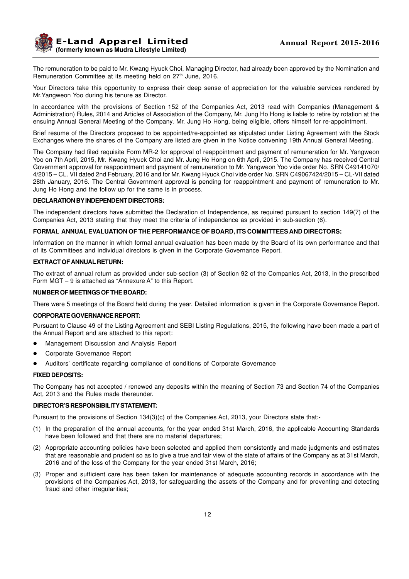

The remuneration to be paid to Mr. Kwang Hyuck Choi, Managing Director, had already been approved by the Nomination and Remuneration Committee at its meeting held on 27<sup>th</sup> June, 2016.

Your Directors take this opportunity to express their deep sense of appreciation for the valuable services rendered by Mr.Yangweon Yoo during his tenure as Director.

In accordance with the provisions of Section 152 of the Companies Act, 2013 read with Companies (Management & Administration) Rules, 2014 and Articles of Association of the Company, Mr. Jung Ho Hong is liable to retire by rotation at the ensuing Annual General Meeting of the Company. Mr. Jung Ho Hong, being eligible, offers himself for re-appointment.

Brief resume of the Directors proposed to be appointed/re-appointed as stipulated under Listing Agreement with the Stock Exchanges where the shares of the Company are listed are given in the Notice convening 19th Annual General Meeting.

The Company had filed requisite Form MR-2 for approval of reappointment and payment of remuneration for Mr. Yangweon Yoo on 7th April, 2015, Mr. Kwang Hyuck Choi and Mr. Jung Ho Hong on 6th April, 2015. The Company has received Central Government approval for reappointment and payment of remuneration to Mr. Yangweon Yoo vide order No. SRN C49141070/ 4/2015 – CL. VII dated 2nd February, 2016 and for Mr. Kwang Hyuck Choi vide order No. SRN C49067424/2015 – CL-VII dated 28th January, 2016. The Central Government approval is pending for reappointment and payment of remuneration to Mr. Jung Ho Hong and the follow up for the same is in process.

#### **DECLARATION BY INDEPENDENT DIRECTORS:**

The independent directors have submitted the Declaration of Independence, as required pursuant to section 149(7) of the Companies Act, 2013 stating that they meet the criteria of independence as provided in sub-section (6).

#### **FORMAL ANNUAL EVALUATION OF THE PERFORMANCE OF BOARD, ITS COMMITTEES AND DIRECTORS:**

Information on the manner in which formal annual evaluation has been made by the Board of its own performance and that of its Committees and individual directors is given in the Corporate Governance Report.

#### **EXTRACT OF ANNUAL RETURN:**

The extract of annual return as provided under sub-section (3) of Section 92 of the Companies Act, 2013, in the prescribed Form MGT – 9 is attached as "Annexure A" to this Report.

#### **NUMBER OF MEETINGS OF THE BOARD:**

There were 5 meetings of the Board held during the year. Detailed information is given in the Corporate Governance Report.

#### **CORPORATE GOVERNANCE REPORT:**

Pursuant to Clause 49 of the Listing Agreement and SEBI Listing Regulations, 2015, the following have been made a part of the Annual Report and are attached to this report:

- l Management Discussion and Analysis Report
- Corporate Governance Report
- Auditors' certificate regarding compliance of conditions of Corporate Governance

# **FIXED DEPOSITS:**

The Company has not accepted / renewed any deposits within the meaning of Section 73 and Section 74 of the Companies Act, 2013 and the Rules made thereunder.

#### **DIRECTOR'S RESPONSIBILITY STATEMENT:**

Pursuant to the provisions of Section 134(3)(c) of the Companies Act, 2013, your Directors state that:-

- (1) In the preparation of the annual accounts, for the year ended 31st March, 2016, the applicable Accounting Standards have been followed and that there are no material departures;
- (2) Appropriate accounting policies have been selected and applied them consistently and made judgments and estimates that are reasonable and prudent so as to give a true and fair view of the state of affairs of the Company as at 31st March, 2016 and of the loss of the Company for the year ended 31st March, 2016;
- (3) Proper and sufficient care has been taken for maintenance of adequate accounting records in accordance with the provisions of the Companies Act, 2013, for safeguarding the assets of the Company and for preventing and detecting fraud and other irregularities;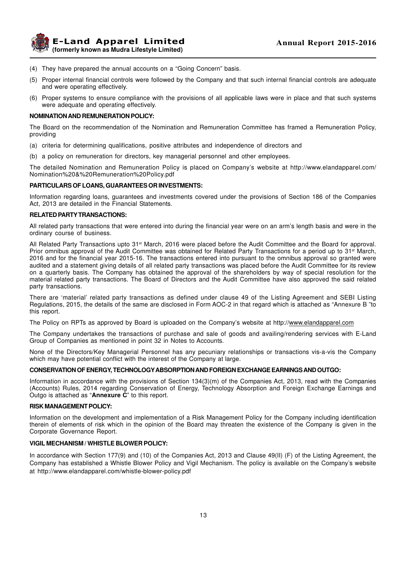

**E-Land Apparel Limited (formerly known as Mudra Lifestyle Limited)**

- (4) They have prepared the annual accounts on a "Going Concern" basis.
- (5) Proper internal financial controls were followed by the Company and that such internal financial controls are adequate and were operating effectively.
- (6) Proper systems to ensure compliance with the provisions of all applicable laws were in place and that such systems were adequate and operating effectively.

#### **NOMINATION AND REMUNERATION POLICY:**

The Board on the recommendation of the Nomination and Remuneration Committee has framed a Remuneration Policy, providing

- (a) criteria for determining qualifications, positive attributes and independence of directors and
- (b) a policy on remuneration for directors, key managerial personnel and other employees.

The detailed Nomination and Remuneration Policy is placed on Company's website at http://www.elandapparel.com/ Nomination%20&%20Remuneration%20Policy.pdf

#### **PARTICULARS OF LOANS, GUARANTEES OR INVESTMENTS:**

Information regarding loans, guarantees and investments covered under the provisions of Section 186 of the Companies Act, 2013 are detailed in the Financial Statements.

#### **RELATED PARTY TRANSACTIONS:**

All related party transactions that were entered into during the financial year were on an arm's length basis and were in the ordinary course of business.

All Related Party Transactions upto 31st March, 2016 were placed before the Audit Committee and the Board for approval. Prior omnibus approval of the Audit Committee was obtained for Related Party Transactions for a period up to 31<sup>st</sup> March, 2016 and for the financial year 2015-16. The transactions entered into pursuant to the omnibus approval so granted were audited and a statement giving details of all related party transactions was placed before the Audit Committee for its review on a quarterly basis. The Company has obtained the approval of the shareholders by way of special resolution for the material related party transactions. The Board of Directors and the Audit Committee have also approved the said related party transactions.

There are 'material' related party transactions as defined under clause 49 of the Listing Agreement and SEBI Listing Regulations, 2015, the details of the same are disclosed in Form AOC-2 in that regard which is attached as "Annexure B "to this report.

The Policy on RPTs as approved by Board is uploaded on the Company's website at http://www.elandapparel.com

The Company undertakes the transactions of purchase and sale of goods and availing/rendering services with E-Land Group of Companies as mentioned in point 32 in Notes to Accounts.

None of the Directors/Key Managerial Personnel has any pecuniary relationships or transactions vis-a-vis the Company which may have potential conflict with the interest of the Company at large.

#### **CONSERVATION OF ENERGY, TECHNOLOGYABSORPTION AND FOREIGN EXCHANGE EARNINGS AND OUTGO:**

Information in accordance with the provisions of Section 134(3)(m) of the Companies Act, 2013, read with the Companies (Accounts) Rules, 2014 regarding Conservation of Energy, Technology Absorption and Foreign Exchange Earnings and Outgo is attached as "**Annexure C**" to this report.

#### **RISK MANAGEMENT POLICY:**

Information on the development and implementation of a Risk Management Policy for the Company including identification therein of elements of risk which in the opinion of the Board may threaten the existence of the Company is given in the Corporate Governance Report.

#### **VIGIL MECHANISM / WHISTLE BLOWER POLICY:**

In accordance with Section 177(9) and (10) of the Companies Act, 2013 and Clause 49(II) (F) of the Listing Agreement, the Company has established a Whistle Blower Policy and Vigil Mechanism. The policy is available on the Company's website at http://www.elandapparel.com/whistle-blower-policy.pdf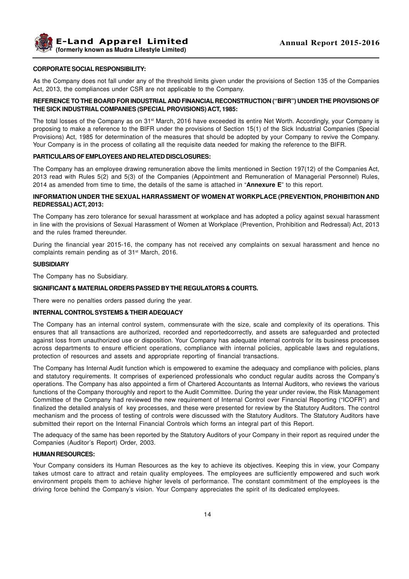**Example 2015-2016 Annual Report 2015-2016 (formerly known as Mudra Lifestyle Limited)**

#### **CORPORATE SOCIAL RESPONSIBILITY:**

As the Company does not fall under any of the threshold limits given under the provisions of Section 135 of the Companies Act, 2013, the compliances under CSR are not applicable to the Company.

#### **REFERENCE TO THE BOARD FOR INDUSTRIAL AND FINANCIAL RECONSTRUCTION ("BIFR") UNDER THE PROVISIONS OF THE SICK INDUSTRIAL COMPANIES (SPECIAL PROVISIONS) ACT, 1985:**

The total losses of the Company as on 31<sup>st</sup> March, 2016 have exceeded its entire Net Worth. Accordingly, your Company is proposing to make a reference to the BIFR under the provisions of Section 15(1) of the Sick Industrial Companies (Special Provisions) Act, 1985 for determination of the measures that should be adopted by your Company to revive the Company. Your Company is in the process of collating all the requisite data needed for making the reference to the BIFR.

#### **PARTICULARS OF EMPLOYEES AND RELATED DISCLOSURES:**

The Company has an employee drawing remuneration above the limits mentioned in Section 197(12) of the Companies Act, 2013 read with Rules 5(2) and 5(3) of the Companies (Appointment and Remuneration of Managerial Personnel) Rules, 2014 as amended from time to time, the details of the same is attached in "**Annexure E**" to this report.

#### **INFORMATION UNDER THE SEXUAL HARRASSMENT OF WOMEN AT WORKPLACE (PREVENTION, PROHIBITION AND REDRESSAL) ACT, 2013:**

The Company has zero tolerance for sexual harassment at workplace and has adopted a policy against sexual harassment in line with the provisions of Sexual Harassment of Women at Workplace (Prevention, Prohibition and Redressal) Act, 2013 and the rules framed thereunder.

During the financial year 2015-16, the company has not received any complaints on sexual harassment and hence no complaints remain pending as of 31<sup>st</sup> March, 2016.

#### **SUBSIDIARY**

The Company has no Subsidiary.

### **SIGNIFICANT & MATERIAL ORDERS PASSED BY THE REGULATORS & COURTS.**

There were no penalties orders passed during the year.

#### **INTERNAL CONTROL SYSTEMS & THEIR ADEQUACY**

The Company has an internal control system, commensurate with the size, scale and complexity of its operations. This ensures that all transactions are authorized, recorded and reportedcorrectly, and assets are safeguarded and protected against loss from unauthorized use or disposition. Your Company has adequate internal controls for its business processes across departments to ensure efficient operations, compliance with internal policies, applicable laws and regulations, protection of resources and assets and appropriate reporting of financial transactions.

The Company has Internal Audit function which is empowered to examine the adequacy and compliance with policies, plans and statutory requirements. It comprises of experienced professionals who conduct regular audits across the Company's operations. The Company has also appointed a firm of Chartered Accountants as Internal Auditors, who reviews the various functions of the Company thoroughly and report to the Audit Committee. During the year under review, the Risk Management Committee of the Company had reviewed the new requirement of Internal Control over Financial Reporting ("ICOFR") and finalized the detailed analysis of key processes, and these were presented for review by the Statutory Auditors. The control mechanism and the process of testing of controls were discussed with the Statutory Auditors. The Statutory Auditors have submitted their report on the Internal Financial Controls which forms an integral part of this Report.

The adequacy of the same has been reported by the Statutory Auditors of your Company in their report as required under the Companies (Auditor's Report) Order, 2003.

#### **HUMAN RESOURCES:**

Your Company considers its Human Resources as the key to achieve its objectives. Keeping this in view, your Company takes utmost care to attract and retain quality employees. The employees are sufficiently empowered and such work environment propels them to achieve higher levels of performance. The constant commitment of the employees is the driving force behind the Company's vision. Your Company appreciates the spirit of its dedicated employees.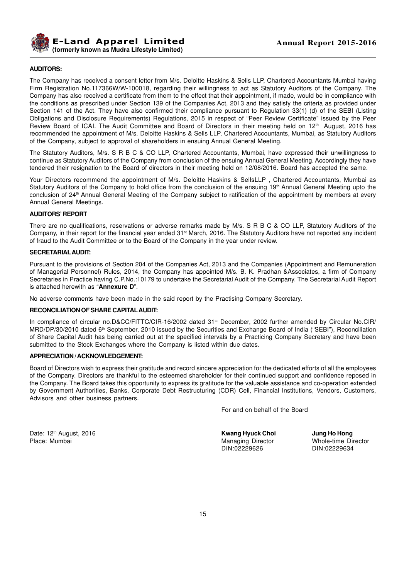

#### **AUDITORS:**

The Company has received a consent letter from M/s. Deloitte Haskins & Sells LLP, Chartered Accountants Mumbai having Firm Registration No.117366W/W-100018, regarding their willingness to act as Statutory Auditors of the Company. The Company has also received a certificate from them to the effect that their appointment, if made, would be in compliance with the conditions as prescribed under Section 139 of the Companies Act, 2013 and they satisfy the criteria as provided under Section 141 of the Act. They have also confirmed their compliance pursuant to Regulation 33(1) (d) of the SEBI (Listing Obligations and Disclosure Requirements) Regulations, 2015 in respect of "Peer Review Certificate" issued by the Peer Review Board of ICAI. The Audit Committee and Board of Directors in their meeting held on 12<sup>th</sup> August, 2016 has recommended the appointment of M/s. Deloitte Haskins & Sells LLP, Chartered Accountants, Mumbai, as Statutory Auditors of the Company, subject to approval of shareholders in ensuing Annual General Meeting.

The Statutory Auditors, M/s. S R B C & CO LLP, Chartered Accountants, Mumbai, have expressed their unwillingness to continue as Statutory Auditors of the Company from conclusion of the ensuing Annual General Meeting. Accordingly they have tendered their resignation to the Board of directors in their meeting held on 12/08/2016. Board has accepted the same.

Your Directors recommend the appointment of M/s. Deloitte Haskins & SellsLLP, Chartered Accountants, Mumbai as Statutory Auditors of the Company to hold office from the conclusion of the ensuing 19<sup>th</sup> Annual General Meeting upto the conclusion of 24th Annual General Meeting of the Company subject to ratification of the appointment by members at every Annual General Meetings.

#### **AUDITORS' REPORT**

There are no qualifications, reservations or adverse remarks made by M/s. S R B C & CO LLP, Statutory Auditors of the Company, in their report for the financial year ended 31st March, 2016. The Statutory Auditors have not reported any incident of fraud to the Audit Committee or to the Board of the Company in the year under review.

#### **SECRETARIALAUDIT:**

Pursuant to the provisions of Section 204 of the Companies Act, 2013 and the Companies (Appointment and Remuneration of Managerial Personnel) Rules, 2014, the Company has appointed M/s. B. K. Pradhan &Associates, a firm of Company Secretaries in Practice having C.P.No.:10179 to undertake the Secretarial Audit of the Company. The Secretarial Audit Report is attached herewith as "**Annexure D**".

No adverse comments have been made in the said report by the Practising Company Secretary.

#### **RECONCILIATION OF SHARE CAPITALAUDIT:**

In compliance of circular no.D&CC/FITTC/CIR-16/2002 dated 31<sup>st</sup> December, 2002 further amended by Circular No.CIR/ MRD/DP/30/2010 dated 6th September, 2010 issued by the Securities and Exchange Board of India ("SEBI"), Reconciliation of Share Capital Audit has being carried out at the specified intervals by a Practicing Company Secretary and have been submitted to the Stock Exchanges where the Company is listed within due dates.

#### **APPRECIATION / ACKNOWLEDGEMENT:**

Board of Directors wish to express their gratitude and record sincere appreciation for the dedicated efforts of all the employees of the Company. Directors are thankful to the esteemed shareholder for their continued support and confidence reposed in the Company. The Board takes this opportunity to express its gratitude for the valuable assistance and co-operation extended by Government Authorities, Banks, Corporate Debt Restructuring (CDR) Cell, Financial Institutions, Vendors, Customers, Advisors and other business partners.

For and on behalf of the Board

Date: 12th August, 2016 **Kwang Hyuck Choi Jung Ho Hong**

Place: Mumbai **Managing Director** Managing Director and Managing Director and Managing Director and Managing Director and Managing Director and Managing Director and Managing Director and Managing Director and Managing Dir DIN:02229626 DIN:02229634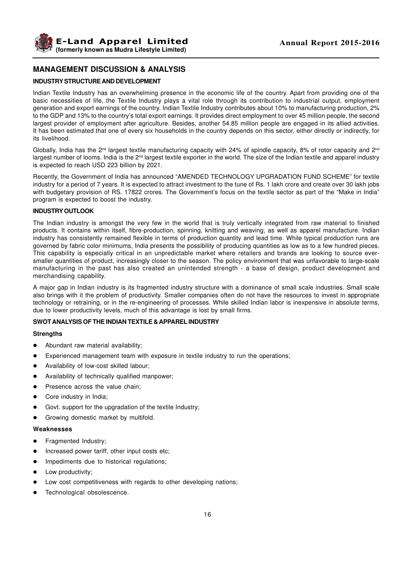

# **MANAGEMENT DISCUSSION & ANALYSIS**

#### **INDUSTRY STRUCTURE AND DEVELOPMENT**

Indian Textile Industry has an overwhelming presence in the economic life of the country. Apart from providing one of the basic necessities of life, the Textile Industry plays a vital role through its contribution to industrial output, employment generation and export earnings of the country. Indian Textile Industry contributes about 10% to manufacturing production, 2% to the GDP and 13% to the country's total export earnings. It provides direct employment to over 45 million people, the second largest provider of employment after agriculture. Besides, another 54.85 million people are engaged in its allied activities. It has been estimated that one of every six households in the country depends on this sector, either directly or indirectly, for its livelihood.

Globally, India has the  $2^{nd}$  largest textile manufacturing capacity with 24% of spindle capacity, 8% of rotor capacity and  $2^{nd}$ largest number of looms. India is the 2<sup>nd</sup> largest textile exporter in the world. The size of the Indian textile and apparel industry is expected to reach USD 223 billion by 2021.

Recently, the Government of India has announced "AMENDED TECHNOLOGY UPGRADATION FUND SCHEME" for textile industry for a period of 7 years. It is expected to attract investment to the tune of Rs. 1 lakh crore and create over 30 lakh jobs with budgetary provision of RS. 17822 crores. The Government's focus on the textile sector as part of the "Make in India" program is expected to boost the industry.

#### **INDUSTRY OUTLOOK**

The Indian industry is amongst the very few in the world that is truly vertically integrated from raw material to finished products. It contains within itself, fibre-production, spinning, knitting and weaving, as well as apparel manufacture. Indian industry has consistently remained flexible in terms of production quantity and lead time. While typical production runs are governed by fabric color minimums, India presents the possibility of producing quantities as low as to a few hundred pieces. This capability is especially critical in an unpredictable market where retailers and brands are looking to source eversmaller quantities of product, increasingly closer to the season. The policy environment that was unfavorable to large-scale manufacturing in the past has also created an unintended strength - a base of design, product development and merchandising capability.

A major gap in Indian industry is its fragmented industry structure with a dominance of small scale industries. Small scale also brings with it the problem of productivity. Smaller companies often do not have the resources to invest in appropriate technology or retraining, or in the re-engineering of processes. While skilled Indian labor is inexpensive in absolute terms, due to lower productivity levels, much of this advantage is lost by small firms.

#### **SWOT ANALYSIS OF THE INDIAN TEXTILE & APPAREL INDUSTRY**

#### **Strengths**

- Abundant raw material availability;
- Experienced management team with exposure in textile industry to run the operations;
- Availability of low-cost skilled labour;
- Availability of technically qualified manpower;
- Presence across the value chain;
- Core industry in India;
- Govt. support for the upgradation of the textile Industry;
- Growing domestic market by multifold.

#### **Weaknesses**

- Fragmented Industry;
- Increased power tariff, other input costs etc;
- Impediments due to historical regulations;
- Low productivity;
- Low cost competitiveness with regards to other developing nations;
- Technological obsolescence.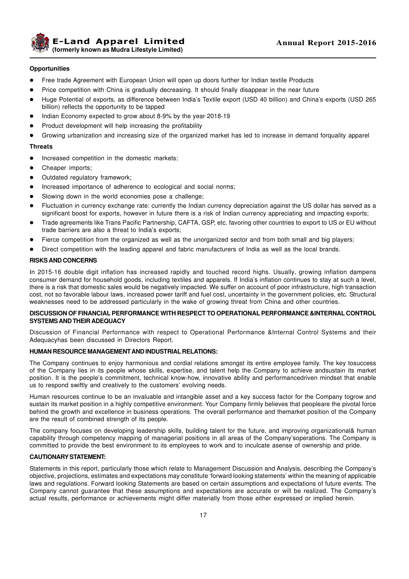**E-Land Apparel Limited (formerly known as Mudra Lifestyle Limited)**

#### **Opportunities**

- Free trade Agreement with European Union will open up doors further for Indian textile Products
- Price competition with China is gradually decreasing. It should finally disappear in the near future
- l Huge Potential of exports, as difference between India's Textile export (USD 40 billion) and China's exports (USD 265 billion) reflects the opportunity to be tapped
- Indian Economy expected to grow about 8-9% by the year 2018-19
- Product development will help increasing the profitability
- l Growing urbanization and increasing size of the organized market has led to increase in demand forquality apparel

#### **Threats**

- Increased competition in the domestic markets;
- Cheaper imports;
- Outdated regulatory framework;
- Increased importance of adherence to ecological and social norms;
- Slowing down in the world economies pose a challenge;
- l Fluctuation in currency exchange rate: currently the Indian currency depreciation against the US dollar has served as a significant boost for exports, however in future there is a risk of Indian currency appreciating and impacting exports;
- l Trade agreements like Trans Pacific Partnership, CAFTA, GSP, etc. favoring other countries to export to US or EU without trade barriers are also a threat to India's exports;
- Fierce competition from the organized as well as the unorganized sector and from both small and big players;
- Direct competition with the leading apparel and fabric manufacturers of India as well as the local brands.

#### **RISKS AND CONCERNS**

In 2015-16 double digit inflation has increased rapidly and touched record highs. Usually, growing inflation dampens consumer demand for household goods, including textiles and apparels. If India's inflation continues to stay at such a level, there is a risk that domestic sales would be negatively impacted. We suffer on account of poor infrastructure, high transaction cost, not so favorable labour laws, increased power tariff and fuel cost, uncertainty in the government policies, etc. Structural weaknesses need to be addressed particularly in the wake of growing threat from China and other countries.

#### **DISCUSSION OF FINANCIAL PERFORMANCE WITH RESPECT TO OPERATIONAL PERFORMANCE &INTERNAL CONTROL SYSTEMS AND THEIR ADEQUACY**

Discussion of Financial Performance with respect to Operational Performance &Internal Control Systems and their Adequacyhas been discussed in Directors Report.

#### **HUMAN RESOURCE MANAGEMENT AND INDUSTRIAL RELATIONS:**

The Company continues to enjoy harmonious and cordial relations amongst its entire employee family. The key tosuccess of the Company lies in its people whose skills, expertise, and talent help the Company to achieve andsustain its market position. It is the people's commitment, technical know-how, innovative ability and performancedriven mindset that enable us to respond swiftly and creatively to the customers' evolving needs.

Human resources continue to be an invaluable and intangible asset and a key success factor for the Company togrow and sustain its market position in a highly competitive environment. Your Company firmly believes that peopleare the pivotal force behind the growth and excellence in business operations. The overall performance and themarket position of the Company are the result of combined strength of its people.

The company focuses on developing leadership skills, building talent for the future, and improving organizational& human capability through competency mapping of managerial positions in all areas of the Company'soperations. The Company is committed to provide the best environment to its employees to work and to inculcate asense of ownership and pride.

#### **CAUTIONARY STATEMENT:**

Statements in this report, particularly those which relate to Management Discussion and Analysis, describing the Company's objective, projections, estimates and expectations may constitute 'forward looking statements' within the meaning of applicable laws and regulations. Forward looking Statements are based on certain assumptions and expectations of future events. The Company cannot guarantee that these assumptions and expectations are accurate or will be realized. The Company's actual results, performance or achievements might differ materially from those either expressed or implied herein.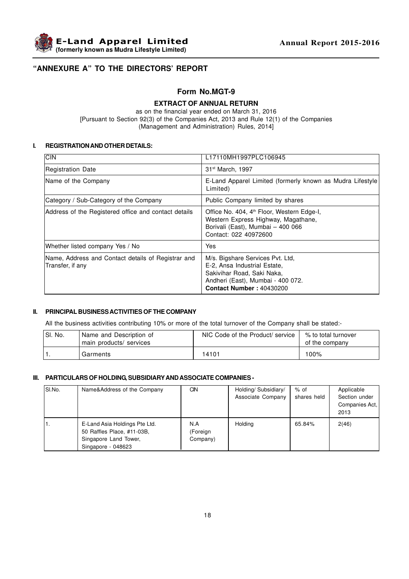

# **"ANNEXURE A" TO THE DIRECTORS' REPORT**

# **Form No.MGT-9**

# **EXTRACT OF ANNUAL RETURN**

as on the financial year ended on March 31, 2016 [Pursuant to Section 92(3) of the Companies Act, 2013 and Rule 12(1) of the Companies (Management and Administration) Rules, 2014]

#### **I. REGISTRATION AND OTHER DETAILS:**

| <b>CIN</b>                                                             | L17110MH1997PLC106945                                                                                                                                                  |
|------------------------------------------------------------------------|------------------------------------------------------------------------------------------------------------------------------------------------------------------------|
| Registration Date                                                      | 31 <sup>st</sup> March, 1997                                                                                                                                           |
| Name of the Company                                                    | E-Land Apparel Limited (formerly known as Mudra Lifestyle)<br>Limited)                                                                                                 |
| Category / Sub-Category of the Company                                 | Public Company limited by shares                                                                                                                                       |
| Address of the Registered office and contact details                   | Office No. 404, 4 <sup>th</sup> Floor, Western Edge-I,<br>Western Express Highway, Magathane,<br>Borivali (East), Mumbai - 400 066<br>Contact: 022 40972600            |
| Whether listed company Yes / No                                        | Yes                                                                                                                                                                    |
| Name, Address and Contact details of Registrar and<br>Transfer, if any | M/s. Bigshare Services Pvt. Ltd,<br>E-2, Ansa Industrial Estate,<br>Sakivihar Road, Saki Naka,<br>Andheri (East), Mumbai - 400 072.<br><b>Contact Number: 40430200</b> |

# **II. PRINCIPAL BUSINESS ACTIVITIES OF THE COMPANY**

All the business activities contributing 10% or more of the total turnover of the Company shall be stated:-

| <sup>1</sup> SI. No. | Name and Description of<br>main products/ services | NIC Code of the Product/ service | % to total turnover<br>of the company |
|----------------------|----------------------------------------------------|----------------------------------|---------------------------------------|
|                      | Garments                                           | 14101                            | 100%                                  |

#### **III. PARTICULARS OF HOLDING, SUBSIDIARY AND ASSOCIATE COMPANIES -**

| ISI.No. | Name&Address of the Company                                                                                | CIN.                        | Holding/ Subsidiary/<br>Associate Company | $%$ of<br>shares held | Applicable<br>Section under<br>Companies Act.<br>2013 |
|---------|------------------------------------------------------------------------------------------------------------|-----------------------------|-------------------------------------------|-----------------------|-------------------------------------------------------|
| Ι.      | E-Land Asia Holdings Pte Ltd.<br>50 Raffles Place, #11-03B,<br>Singapore Land Tower,<br>Singapore - 048623 | N.A<br>(Foreign<br>Company) | Holding                                   | 65.84%                | 2(46)                                                 |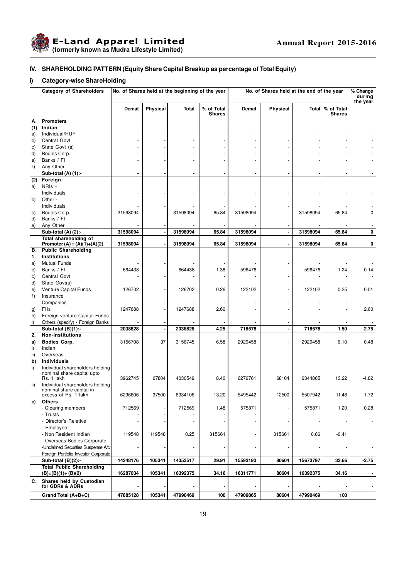

# **IV. SHAREHOLDING PATTERN (Equity Share Capital Breakup as percentage of Total Equity)**

# **i) Category-wise ShareHolding**

|               | <b>Category of Shareholders</b>                               | No. of Shares held at the beginning of the year |          |          | No. of Shares held at the end of the year |                |                |          | % Change<br>during<br>the year |         |
|---------------|---------------------------------------------------------------|-------------------------------------------------|----------|----------|-------------------------------------------|----------------|----------------|----------|--------------------------------|---------|
|               |                                                               | Demat                                           | Physical | Total    | % of Total<br><b>Shares</b>               | Demat          | Physical       | Total    | % of Total<br><b>Shares</b>    |         |
| A             | <b>Promoters</b>                                              |                                                 |          |          |                                           |                |                |          |                                |         |
| (1)           | Indian                                                        |                                                 |          |          |                                           |                |                |          |                                |         |
| a)            | Individual/HUF                                                |                                                 |          |          |                                           |                |                |          |                                |         |
| b)            | Central Govt                                                  |                                                 |          |          |                                           |                |                |          |                                |         |
| C)            | State Govt (s)                                                |                                                 |          |          |                                           |                |                |          |                                |         |
| d)            | Bodies Corp.                                                  |                                                 |          |          |                                           |                |                |          |                                |         |
| e)            | Banks / FI                                                    |                                                 |          |          |                                           |                |                |          |                                |         |
| f)            | Any Other                                                     |                                                 |          |          |                                           |                |                |          |                                |         |
|               | Sub-total $(A)$ $(1)$ :-<br>Foreign                           |                                                 |          |          |                                           | $\blacksquare$ |                |          |                                |         |
| (2)           | NRIs -                                                        |                                                 |          |          |                                           |                |                |          |                                |         |
| a)            | Individuals                                                   |                                                 |          |          |                                           |                |                |          |                                |         |
| b)            | Other -                                                       |                                                 |          |          |                                           |                |                |          |                                |         |
|               | Individuals                                                   |                                                 |          |          |                                           |                |                |          |                                |         |
| C)            | Bodies Corp.                                                  | 31598094                                        |          | 31598094 | 65.84                                     | 31598094       |                | 31598094 | 65.84                          | 0       |
| d)            | Banks / Fl                                                    |                                                 |          |          |                                           |                |                |          |                                |         |
| e)            | Any Other                                                     |                                                 |          |          |                                           |                |                |          |                                |         |
|               | Sub-total (A) (2):-                                           | 31598094                                        |          | 31598094 | 65.84                                     | 31598094       | $\blacksquare$ | 31598094 | 65.84                          | 0       |
|               | Total shareholding of                                         |                                                 |          |          |                                           | 31598094       |                |          |                                | 0       |
| В.            | Promoter (A) = $(A)(1)+(A)(2)$<br><b>Public Shareholding</b>  | 31598094                                        |          | 31598094 | 65.84                                     |                |                | 31598094 | 65.84                          |         |
| 1.            | Institutions                                                  |                                                 |          |          |                                           |                |                |          |                                |         |
| a)            | <b>Mutual Funds</b>                                           |                                                 |          |          |                                           |                |                |          |                                |         |
| b)            | Banks / FI                                                    | 664438                                          |          | 664438   | 1.38                                      | 596476         |                | 596476   | 1.24                           | 0.14    |
| C)            | <b>Central Govt</b>                                           |                                                 |          |          |                                           |                |                |          |                                |         |
| d)            | State Govt(s)                                                 |                                                 |          |          |                                           |                |                |          |                                |         |
| e)            | Venture Capital Funds                                         | 126702                                          |          | 126702   | 0.26                                      | 122102         |                | 122102   | 0.25                           | 0.01    |
| f)            | Insurance                                                     |                                                 |          |          |                                           |                |                |          |                                |         |
|               | Companies                                                     |                                                 |          |          |                                           |                |                |          |                                |         |
| g)            | Flis                                                          | 1247688                                         |          | 1247688  | 2.60                                      |                |                |          |                                | 2.60    |
| h)            | Foreign venture Capital Funds                                 |                                                 |          |          |                                           |                |                |          |                                |         |
| i)            | Others (specify) - Foreign Banks                              |                                                 |          |          |                                           |                |                |          |                                |         |
|               | Sub-total $(B)(1)$ :-                                         | 2038828                                         |          | 2038828  | 4.25                                      | 718578         | $\blacksquare$ | 718578   | 1.50                           | 2.75    |
| 2.            | <b>Non-Institutions</b>                                       |                                                 |          |          |                                           |                |                |          |                                |         |
| a)            | <b>Bodies Corp.</b>                                           | 3156708                                         | 37       | 3156745  | 6.58                                      | 2929458        |                | 2929458  | 6.10                           | 0.48    |
| i)            | Indian                                                        |                                                 |          |          |                                           |                |                |          |                                |         |
| $\mathsf{ii}$ | Overseas                                                      |                                                 |          |          |                                           |                |                |          |                                |         |
| b)            | <b>Individuals</b>                                            |                                                 |          |          |                                           |                |                |          |                                |         |
| i)            | Individual shareholders holding<br>nominal share capital upto |                                                 |          |          |                                           |                |                |          |                                |         |
|               | Rs. 1 lakh                                                    | 3962745                                         | 67804    | 4030549  | 8.40                                      | 6276761        | 68104          | 6344865  | 13.22                          | -4.82   |
| ii)           | Individual shareholders holding                               |                                                 |          |          |                                           |                |                |          |                                |         |
|               | nominal share capital in                                      |                                                 |          |          |                                           |                |                |          |                                |         |
|               | excess of Rs. 1 lakh                                          | 6296606                                         | 37500    | 6334106  | 13.20                                     | 5495442        | 12500          | 5507942  | 11.48                          | 1.72    |
| C)            | <b>Others</b>                                                 |                                                 |          |          |                                           |                |                |          |                                |         |
|               | - Clearing members                                            | 712569                                          |          | 712569   | 1.48                                      | 575871         |                | 575871   | 1.20                           | 0.28    |
|               | - Trusts                                                      |                                                 |          |          |                                           |                |                |          |                                |         |
|               | - Director's Relative<br>- Employee                           |                                                 |          |          |                                           |                |                |          |                                |         |
|               | - Non Resident Indian                                         | 119548                                          | 119548   | 0.25     | 315661                                    |                | 315661         | 0.66     | $-0.41$                        |         |
|               | - Overseas Bodies Corporate                                   |                                                 |          |          |                                           |                |                |          |                                |         |
|               | -Unclaimed Securities Suspense A/c                            |                                                 |          |          |                                           |                |                |          |                                |         |
|               | Foreign Portfolio Investor Corporate                          |                                                 |          |          |                                           |                |                |          |                                |         |
|               | Sub-total $(B)(2)$ :-                                         | 14248176                                        | 105341   | 14353517 | 29.91                                     | 15593193       | 80604          | 15673797 | 32.66                          | $-2.75$ |
|               | <b>Total Public Shareholding</b>                              |                                                 |          |          |                                           |                |                |          |                                |         |
|               | $(B)=(B)(1)+(B)(2)$                                           | 16287034                                        | 105341   | 16392375 | 34.16                                     | 16311771       | 80604          | 16392375 | 34.16                          |         |
| C.            | Shares held by Custodian                                      |                                                 |          |          |                                           |                |                |          |                                |         |
|               | for GDRs & ADRs                                               |                                                 |          |          |                                           |                |                |          |                                |         |
|               | Grand Total (A+B+C)                                           | 47885128                                        | 105341   | 47990469 | 100                                       | 47909865       | 80604          | 47990469 | 100                            |         |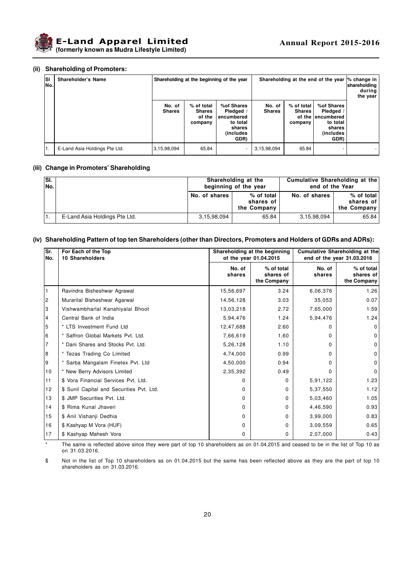

#### **(ii) Shareholding of Promoters:**

| <b>SI</b><br>lNo. | Shareholder's Name            |                         |                                                  | Shareholding at the beginning of the year                                        |                         |                                        | Shareholding at the end of the year  % change in                                          | shareholding<br>during<br>the year |
|-------------------|-------------------------------|-------------------------|--------------------------------------------------|----------------------------------------------------------------------------------|-------------------------|----------------------------------------|-------------------------------------------------------------------------------------------|------------------------------------|
|                   |                               | No. of<br><b>Shares</b> | % of total<br><b>Shares</b><br>of the<br>company | %of Shares<br>Pledged /<br>encumbered<br>to total<br>shares<br>(includes<br>GDR) | No. of<br><b>Shares</b> | % of total<br><b>Shares</b><br>company | %of Shares<br>Pledged /<br>of the lencumbered<br>to total<br>shares<br>(includes)<br>GDR) |                                    |
|                   | E-Land Asia Holdings Pte Ltd. | 3,15,98,094             | 65.84                                            | ٠                                                                                | 3,15,98,094             | 65.84                                  |                                                                                           |                                    |

#### **(iii) Change in Promoters' Shareholding**

| ISI.<br>lNo. |                               | Shareholding at the<br>beginning of the year |                                        | Cumulative Shareholding at the<br>end of the Year |                                        |  |
|--------------|-------------------------------|----------------------------------------------|----------------------------------------|---------------------------------------------------|----------------------------------------|--|
|              |                               | No. of shares                                | % of total<br>shares of<br>the Company | No. of shares                                     | % of total<br>shares of<br>the Company |  |
|              | E-Land Asia Holdings Pte Ltd. | 3,15,98,094                                  | 65.84                                  | 3,15,98,094                                       | 65.84                                  |  |

#### **(iv) Shareholding Pattern of top ten Shareholders (other than Directors, Promoters and Holders of GDRs and ADRs):**

| Sr.<br>No.     | For Each of the Top<br><b>10 Shareholders</b> | Shareholding at the beginning<br>of the year 01.04.2015 |                                        | <b>Cumulative Shareholding at the</b><br>end of the year 31.03.2016 |                                        |
|----------------|-----------------------------------------------|---------------------------------------------------------|----------------------------------------|---------------------------------------------------------------------|----------------------------------------|
|                |                                               | No. of<br>shares                                        | % of total<br>shares of<br>the Company | No. of<br>shares                                                    | % of total<br>shares of<br>the Company |
|                | Ravindra Bisheshwar Agrawal                   | 15,56,697                                               | 3.24                                   | 6,06,376                                                            | 1.26                                   |
| $\overline{c}$ | Murarilal Bisheshwar Agarwal                  | 14,56,128                                               | 3.03                                   | 35,053                                                              | 0.07                                   |
| 3              | Vishwambharlal Kanahiyalal Bhoot              | 13,03,218                                               | 2.72                                   | 7,65,000                                                            | 1.59                                   |
| 4              | Central Bank of India                         | 5,94,476                                                | 1.24                                   | 5,94,476                                                            | 1.24                                   |
| 5              | * LTS Investment Fund Ltd                     | 12,47,688                                               | 2.60                                   | 0                                                                   | $\Omega$                               |
| 6              | * Saffron Global Markets Pvt. Ltd.            | 7,66,619                                                | 1.60                                   | 0                                                                   | $\mathbf 0$                            |
| $\overline{7}$ | * Dani Shares and Stocks Pvt. Ltd.            | 5,26,128                                                | 1.10                                   | $\Omega$                                                            | $\mathbf 0$                            |
| 8              | * Tezas Trading Co Limited                    | 4,74,000                                                | 0.99                                   | 0                                                                   | $\mathbf 0$                            |
| 9              | Sarba Mangalam Finetex Pvt. Ltd               | 4,50,000                                                | 0.94                                   | 0                                                                   | $\Omega$                               |
| 10             | * New Berry Advisors Limited                  | 2,35,392                                                | 0.49                                   | 0                                                                   | 0                                      |
| 11             | \$ Vora Financial Services Pvt. Ltd.          | $\Omega$                                                | 0                                      | 5,91,122                                                            | 1.23                                   |
| 12             | \$ Sunil Capital and Securities Pvt. Ltd.     | $\Omega$                                                | 0                                      | 5,37,550                                                            | 1.12                                   |
| 13             | \$ JMP Securities Pvt. Ltd.                   | $\Omega$                                                | $\Omega$                               | 5,03,460                                                            | 1.05                                   |
| 14             | \$ Rima Kunal Jhaveri                         | $\Omega$                                                | 0                                      | 4,46,590                                                            | 0.93                                   |
| 15             | \$ Anil Vishanji Dedhia                       | $\Omega$                                                | $\Omega$                               | 3,99,000                                                            | 0.83                                   |
| 16             | \$ Kashyap M Vora (HUF)                       | 0                                                       | 0                                      | 3,09,559                                                            | 0.65                                   |
| 17             | \$ Kashyap Mahesh Vora                        | 0                                                       | 0                                      | 2,07,000                                                            | 0.43                                   |

The same is reflected above since they were part of top 10 shareholders as on 01.04.2015 and ceased to be in the list of Top 10 as on 31.03.2016.

\$ Not in the list of Top 10 shareholders as on 01.04.2015 but the same has been reflected above as they are the part of top 10 shareholders as on 31.03.2016.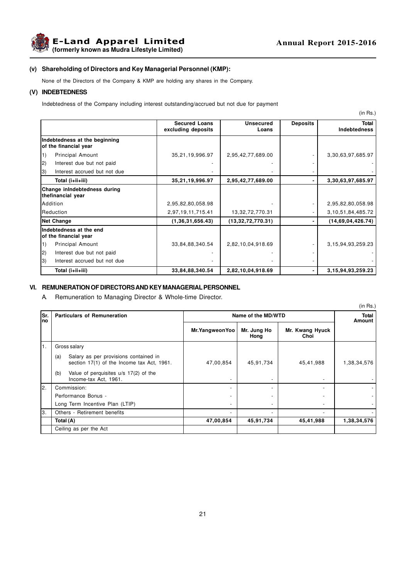

#### **(v) Shareholding of Directors and Key Managerial Personnel (KMP):**

None of the Directors of the Company & KMP are holding any shares in the Company.

#### **(V) INDEBTEDNESS**

Indebtedness of the Company including interest outstanding/accrued but not due for payment

|                                                        |                                            |                           |                 | (in Rs.)                     |
|--------------------------------------------------------|--------------------------------------------|---------------------------|-----------------|------------------------------|
|                                                        | <b>Secured Loans</b><br>excluding deposits | <b>Unsecured</b><br>Loans | <b>Deposits</b> | Total<br><b>Indebtedness</b> |
| Indebtedness at the beginning<br>of the financial year |                                            |                           |                 |                              |
| 1)<br>Principal Amount                                 | 35,21,19,996.97                            | 2,95,42,77,689.00         |                 | 3,30,63,97,685.97            |
| 2)<br>Interest due but not paid                        |                                            |                           |                 |                              |
| Interest accrued but not due<br> 3)                    |                                            |                           |                 |                              |
| Total (i+ii+iii)                                       | 35,21,19,996.97                            | 2,95,42,77,689.00         |                 | 3,30,63,97,685.97            |
| Change inIndebtedness during<br>thefinancial year      |                                            |                           |                 |                              |
| <b>Addition</b>                                        | 2,95,82,80,058.98                          |                           |                 | 2,95,82,80,058.98            |
| Reduction                                              | 2,97,19,11,715.41                          | 13,32,72,770.31           |                 | 3, 10, 51, 84, 485. 72       |
| <b>Net Change</b>                                      | (1,36,31,656.43)                           | (13,32,72,770.31)         |                 | (14,69,04,426.74)            |
| Indebtedness at the end<br>of the financial year       |                                            |                           |                 |                              |
| 1)<br><b>Principal Amount</b>                          | 33,84,88,340.54                            | 2,82,10,04,918.69         |                 | 3, 15, 94, 93, 259. 23       |
| 2)<br>Interest due but not paid                        |                                            |                           |                 |                              |
| 3)<br>Interest accrued but not due                     |                                            |                           |                 |                              |
| Total (i+ii+iii)                                       | 33,84,88,340.54                            | 2,82,10,04,918.69         |                 | 3, 15, 94, 93, 259. 23       |

#### **VI. REMUNERATION OF DIRECTORS AND KEY MANAGERIAL PERSONNEL**

A. Remuneration to Managing Director & Whole-time Director.

|            |                                                                                            |                          |                          |                         | (in Rs.)    |
|------------|--------------------------------------------------------------------------------------------|--------------------------|--------------------------|-------------------------|-------------|
| Sr.<br>lno | <b>Particulars of Remuneration</b>                                                         | Name of the MD/WTD       | Total<br>Amount          |                         |             |
|            |                                                                                            | Mr.YangweonYoo           | Mr. Jung Ho<br>Hong      | Mr. Kwang Hyuck<br>Choi |             |
| I1.        | Gross salary                                                                               |                          |                          |                         |             |
|            | Salary as per provisions contained in<br>(a)<br>section 17(1) of the Income tax Act, 1961. | 47,00,854                | 45,91,734                | 45,41,988               | 1,38,34,576 |
|            | Value of perquisites u/s 17(2) of the<br>(b)<br>Income-tax Act, 1961.                      | $\overline{\phantom{a}}$ | $\overline{\phantom{a}}$ |                         |             |
| l2.        | Commission:                                                                                | $\overline{\phantom{a}}$ |                          |                         |             |
|            | Performance Bonus -                                                                        | $\overline{\phantom{a}}$ |                          |                         |             |
|            | Long Term Incentive Plan (LTIP)                                                            | $\overline{\phantom{a}}$ |                          |                         |             |
| lз.        | Others - Retirement benefits                                                               | $\overline{\phantom{a}}$ |                          |                         |             |
|            | Total (A)                                                                                  | 47,00,854                | 45,91,734                | 45,41,988               | 1,38,34,576 |
|            | Ceiling as per the Act                                                                     |                          |                          |                         |             |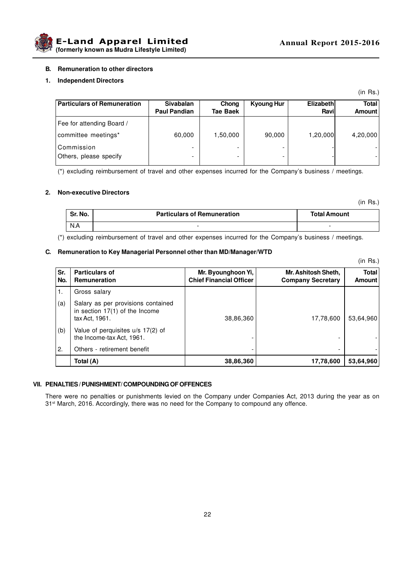

#### **B. Remuneration to other directors**

#### **1. Independent Directors**

| Particulars of Remuneration                      | <b>Sivabalan</b><br><b>Paul Pandian</b> | Chong<br><b>Tae Baek</b> | Kyoung Hur | <b>Elizabeth</b><br>Ravi | <b>Total</b><br>Amount |
|--------------------------------------------------|-----------------------------------------|--------------------------|------------|--------------------------|------------------------|
| Fee for attending Board /<br>committee meetings* | 60,000                                  | 1,50,000                 | 90,000     | 1,20,000                 | 4,20,000               |
| l Commission<br>Others, please specify           |                                         | -                        |            |                          |                        |

(\*) excluding reimbursement of travel and other expenses incurred for the Company's business / meetings.

#### **2. Non-executive Directors**

(in Rs.)

(in Rs.)

(in Rs.)

| Sr. No. | <b>Particulars of Remuneration</b> | <b>Total Amount</b> |
|---------|------------------------------------|---------------------|
| N.A     |                                    |                     |

(\*) excluding reimbursement of travel and other expenses incurred for the Company's business / meetings.

### **C. Remuneration to Key Managerial Personnel other than MD/Manager/WTD**

**Sr. Particulars of Mr. Byounghoon Yi, Mr. Ashitosh Sheth, Total No. Remuneration Chief Financial Officer Company Secretary Amount** 1. Gross salary (a)  $\vert$  Salary as per provisions contained in section 17(1) of the Income tax Act, 1961. 38,86,360 17,78,600 53,64,960 (b)  $\vert$  Value of perquisites u/s 17(2) of the Income-tax Act, 1961. 2.  $\big|$  Others - retirement benefit **Total (A) 38,86,360 17,78,600 53,64,960**

#### **VII. PENALTIES / PUNISHMENT/ COMPOUNDING OF OFFENCES**

There were no penalties or punishments levied on the Company under Companies Act, 2013 during the year as on 31<sup>st</sup> March, 2016. Accordingly, there was no need for the Company to compound any offence.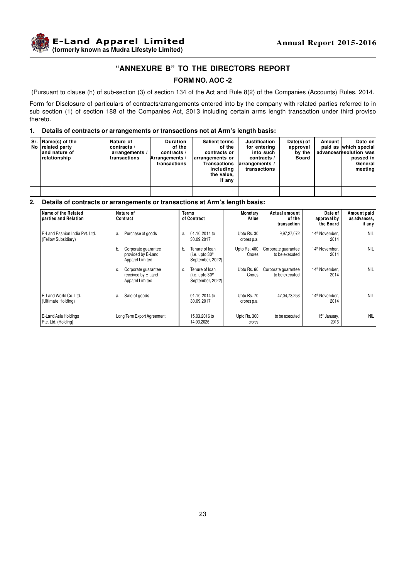

# **"ANNEXURE B" TO THE DIRECTORS REPORT**

# **FORM NO. AOC -2**

(Pursuant to clause (h) of sub-section (3) of section 134 of the Act and Rule 8(2) of the Companies (Accounts) Rules, 2014.

Form for Disclosure of particulars of contracts/arrangements entered into by the company with related parties referred to in sub section (1) of section 188 of the Companies Act, 2013 including certain arms length transaction under third proviso thereto.

#### **1. Details of contracts or arrangements or transactions not at Arm's length basis:**

| Sr.   Name(s) of the<br>No related party<br>l and nature of<br>relationship | Nature of<br>contracts /<br>arrangements /<br>transactions | <b>Duration</b><br>of the<br>contracts /<br>Arrangements /<br>transactions | <b>Salient terms</b><br>of the<br>contracts or<br>larrangements or<br>Transactions<br>including<br>the value,<br>if any | <b>Justification</b><br>for entering<br>into such<br>contracts /<br>$ arrangements \rangle$<br>transactions | Date(s) of<br>approval<br>by the<br>Board | Amount | Date on<br>paid as which special<br>advancesresolution was<br>passed in<br>General<br>meeting |
|-----------------------------------------------------------------------------|------------------------------------------------------------|----------------------------------------------------------------------------|-------------------------------------------------------------------------------------------------------------------------|-------------------------------------------------------------------------------------------------------------|-------------------------------------------|--------|-----------------------------------------------------------------------------------------------|
|                                                                             |                                                            |                                                                            |                                                                                                                         |                                                                                                             |                                           |        |                                                                                               |

#### **2. Details of contracts or arrangements or transactions at Arm's length basis:**

| Name of the Related<br>parties and Relation           | Nature of<br>Contract                                              | <b>Terms</b><br>of Contract                                             | Monetary<br>Value          | <b>Actual amount</b><br>of the<br>transaction | Date of<br>approval by<br>the Board | Amount paid<br>as advances.<br>if any |
|-------------------------------------------------------|--------------------------------------------------------------------|-------------------------------------------------------------------------|----------------------------|-----------------------------------------------|-------------------------------------|---------------------------------------|
| E-Land Fashion India Pvt. Ltd.<br>(Fellow Subsidiary) | Purchase of goods<br>a.                                            | 01.10.2014 to<br>a.<br>30.09.2017                                       | Upto Rs. 30<br>crores p.a. | 9,97,27,072                                   | 14 <sup>th</sup> November.<br>2014  | <b>NIL</b>                            |
|                                                       | Corporate quarantee<br>b.<br>provided by E-Land<br>Apparel Limited | Tenure of loan<br>b.<br>(i.e. upto 30 <sup>th</sup><br>September, 2022) | Upto Rs. 400<br>Crores     | Corporate quarantee<br>to be executed         | 14 <sup>th</sup> November.<br>2014  | <b>NIL</b>                            |
|                                                       | Corporate guarantee<br>C.<br>received by E-Land<br>Apparel Limited | Tenure of loan<br>C.<br>(i.e. upto 30 <sup>th</sup><br>September, 2022) | Upto Rs. 60<br>Crores      | Corporate guarantee<br>to be executed         | 14 <sup>th</sup> November,<br>2014  | <b>NIL</b>                            |
| E-Land World Co. Ltd.<br>(Ultimate Holding)           | Sale of goods<br>a.                                                | 01.10.2014 to<br>30.09.2017                                             | Upto Rs. 70<br>crores p.a. | 47,04,73,253                                  | 14 <sup>th</sup> November,<br>2014  | <b>NIL</b>                            |
| E-Land Asia Holdings<br>Pte. Ltd. (Holding)           | Long Term Export Agreement                                         | 15.03.2016 to<br>14.03.2026                                             | Upto Rs. 300<br>crores     | to be executed                                | 15 <sup>th</sup> January,<br>2016   | <b>NIL</b>                            |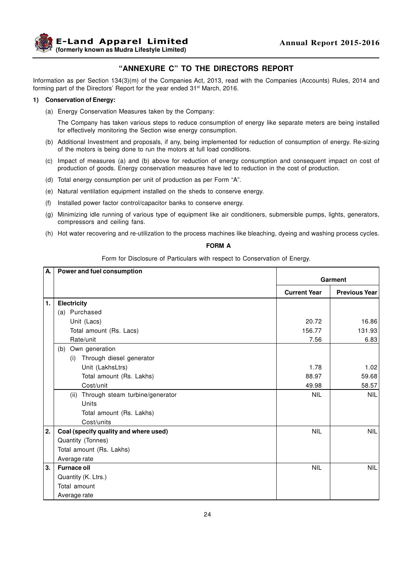

# **"ANNEXURE C" TO THE DIRECTORS REPORT**

Information as per Section 134(3)(m) of the Companies Act, 2013, read with the Companies (Accounts) Rules, 2014 and forming part of the Directors' Report for the year ended 31<sup>st</sup> March, 2016.

#### **1) Conservation of Energy:**

(a) Energy Conservation Measures taken by the Company:

The Company has taken various steps to reduce consumption of energy like separate meters are being installed for effectively monitoring the Section wise energy consumption.

- (b) Additional Investment and proposals, if any, being implemented for reduction of consumption of energy. Re-sizing of the motors is being done to run the motors at full load conditions.
- (c) Impact of measures (a) and (b) above for reduction of energy consumption and consequent impact on cost of production of goods. Energy conservation measures have led to reduction in the cost of production.
- (d) Total energy consumption per unit of production as per Form "A".
- (e) Natural ventilation equipment installed on the sheds to conserve energy.
- (f) Installed power factor control/capacitor banks to conserve energy.
- (g) Minimizing idle running of various type of equipment like air conditioners, submersible pumps, lights, generators, compressors and ceiling fans.
- (h) Hot water recovering and re-utilization to the process machines like bleaching, dyeing and washing process cycles.

# **FORM A**

Form for Disclosure of Particulars with respect to Conservation of Energy.

| А. | Power and fuel consumption              |                     |                      |
|----|-----------------------------------------|---------------------|----------------------|
|    |                                         |                     | Garment              |
|    |                                         | <b>Current Year</b> | <b>Previous Year</b> |
| 1. | Electricity                             |                     |                      |
|    | (a) Purchased                           |                     |                      |
|    | Unit (Lacs)                             | 20.72               | 16.86                |
|    | Total amount (Rs. Lacs)                 | 156.77              | 131.93               |
|    | Rate/unit                               | 7.56                | 6.83                 |
|    | Own generation<br>(b)                   |                     |                      |
|    | Through diesel generator<br>(i)         |                     |                      |
|    | Unit (LakhsLtrs)                        | 1.78                | 1.02                 |
|    | Total amount (Rs. Lakhs)                | 88.97               | 59.68                |
|    | Cost/unit                               | 49.98               | 58.57                |
|    | Through steam turbine/generator<br>(ii) | <b>NIL</b>          | <b>NIL</b>           |
|    | Units                                   |                     |                      |
|    | Total amount (Rs. Lakhs)                |                     |                      |
|    | Cost/units                              |                     |                      |
| 2. | Coal (specify quality and where used)   | <b>NIL</b>          | <b>NIL</b>           |
|    | Quantity (Tonnes)                       |                     |                      |
|    | Total amount (Rs. Lakhs)                |                     |                      |
|    | Average rate                            |                     |                      |
| 3. | <b>Furnace oil</b>                      | <b>NIL</b>          | <b>NIL</b>           |
|    | Quantity (K. Ltrs.)                     |                     |                      |
|    | Total amount                            |                     |                      |
|    | Average rate                            |                     |                      |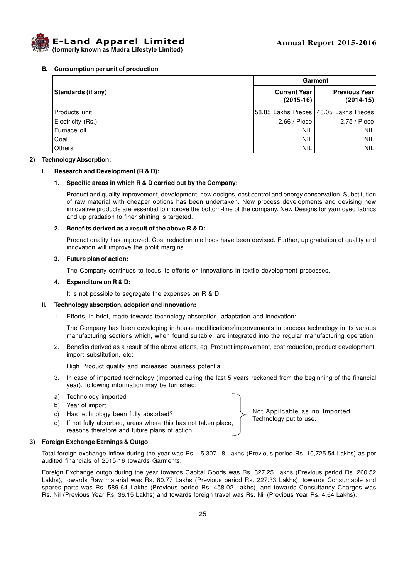



#### **B. Consumption per unit of production**

|                    | Garment                            |                                         |  |  |
|--------------------|------------------------------------|-----------------------------------------|--|--|
| Standards (if any) | <b>Current Year</b><br>$(2015-16)$ | <b>Previous Year</b><br>$(2014-15)$     |  |  |
| Products unit      |                                    | 58.85 Lakhs Pieces   48.05 Lakhs Pieces |  |  |
| Electricity (Rs.)  | 2.66 / Piece                       | 2.75 / Piece                            |  |  |
| Furnace oil        | NIL                                | NIL                                     |  |  |
| Coal               | <b>NIL</b>                         | NIL                                     |  |  |
| Others             | <b>NIL</b>                         | <b>NIL</b>                              |  |  |

#### **2) Technology Absorption:**

#### **I. Research and Development (R & D):**

#### **1. Specific areas in which R & D carried out by the Company:**

Product and quality improvement, development, new designs, cost control and energy conservation. Substitution of raw material with cheaper options has been undertaken. New process developments and devising new innovative products are essential to improve the bottom-line of the company. New Designs for yarn dyed fabrics and up gradation to finer shirting is targeted.

#### **2. Benefits derived as a result of the above R & D:**

Product quality has improved. Cost reduction methods have been devised. Further, up gradation of quality and innovation will improve the profit margins.

#### **3. Future plan of action:**

The Company continues to focus its efforts on innovations in textile development processes.

#### **4. Expenditure on R & D:**

It is not possible to segregate the expenses on R & D.

#### **II. Technology absorption, adoption and innovation:**

1. Efforts, in brief, made towards technology absorption, adaptation and innovation:

The Company has been developing in-house modifications/improvements in process technology in its various manufacturing sections which, when found suitable, are integrated into the regular manufacturing operation.

2. Benefits derived as a result of the above efforts, eg. Product improvement, cost reduction, product development, import substitution, etc:

High Product quality and increased business potential

- 3. In case of imported technology (imported during the last 5 years reckoned from the beginning of the financial year), following information may be furnished:
- a) Technology imported
- b) Year of import
- c) Has technology been fully absorbed?
- d) If not fully absorbed, areas where this has not taken place, reasons therefore and future plans of action

#### **3) Foreign Exchange Earnings & Outgo**

Total foreign exchange inflow during the year was Rs. 15,307.18 Lakhs (Previous period Rs. 10,725.54 Lakhs) as per audited financials of 2015-16 towards Garments.

Foreign Exchange outgo during the year towards Capital Goods was Rs. 327.25 Lakhs (Previous period Rs. 260.52 Lakhs), towards Raw material was Rs. 80.77 Lakhs (Previous period Rs. 227.33 Lakhs), towards Consumable and spares parts was Rs. 589.64 Lakhs (Previous period Rs. 458.02 Lakhs), and towards Consultancy Charges was Rs. Nil (Previous Year Rs. 36.15 Lakhs) and towards foreign travel was Rs. Nil (Previous Year Rs. 4.64 Lakhs).

Not Applicable as no Imported Technology put to use.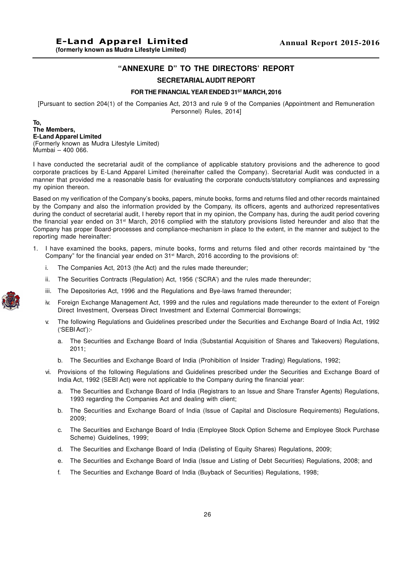# **"ANNEXURE D" TO THE DIRECTORS' REPORT**

# **SECRETARIALAUDIT REPORT**

#### **FOR THE FINANCIAL YEAR ENDED 31ST MARCH, 2016**

[Pursuant to section 204(1) of the Companies Act, 2013 and rule 9 of the Companies (Appointment and Remuneration Personnel) Rules, 2014]

# **To, The Members, E-Land Apparel Limited**

(Formerly known as Mudra Lifestyle Limited) Mumbai – 400 066.

I have conducted the secretarial audit of the compliance of applicable statutory provisions and the adherence to good corporate practices by E-Land Apparel Limited (hereinafter called the Company). Secretarial Audit was conducted in a manner that provided me a reasonable basis for evaluating the corporate conducts/statutory compliances and expressing my opinion thereon.

Based on my verification of the Company's books, papers, minute books, forms and returns filed and other records maintained by the Company and also the information provided by the Company, its officers, agents and authorized representatives during the conduct of secretarial audit, I hereby report that in my opinion, the Company has, during the audit period covering the financial year ended on 31st March, 2016 complied with the statutory provisions listed hereunder and also that the Company has proper Board-processes and compliance-mechanism in place to the extent, in the manner and subject to the reporting made hereinafter:

- 1. I have examined the books, papers, minute books, forms and returns filed and other records maintained by "the Company" for the financial year ended on  $31<sup>st</sup>$  March, 2016 according to the provisions of:
	- i. The Companies Act, 2013 (the Act) and the rules made thereunder;
	- ii. The Securities Contracts (Regulation) Act, 1956 ('SCRA') and the rules made thereunder;
	- iii. The Depositories Act, 1996 and the Regulations and Bye-laws framed thereunder;
	- iv. Foreign Exchange Management Act, 1999 and the rules and regulations made thereunder to the extent of Foreign Direct Investment, Overseas Direct Investment and External Commercial Borrowings;
	- v. The following Regulations and Guidelines prescribed under the Securities and Exchange Board of India Act, 1992 ('SEBI Act'):
		- a. The Securities and Exchange Board of India (Substantial Acquisition of Shares and Takeovers) Regulations, 2011;
		- b. The Securities and Exchange Board of India (Prohibition of Insider Trading) Regulations, 1992;
	- vi. Provisions of the following Regulations and Guidelines prescribed under the Securities and Exchange Board of India Act, 1992 (SEBI Act) were not applicable to the Company during the financial year:
		- a. The Securities and Exchange Board of India (Registrars to an Issue and Share Transfer Agents) Regulations, 1993 regarding the Companies Act and dealing with client;
		- b. The Securities and Exchange Board of India (Issue of Capital and Disclosure Requirements) Regulations, 2009;
		- c. The Securities and Exchange Board of India (Employee Stock Option Scheme and Employee Stock Purchase Scheme) Guidelines, 1999;
		- d. The Securities and Exchange Board of India (Delisting of Equity Shares) Regulations, 2009;
		- e. The Securities and Exchange Board of India (Issue and Listing of Debt Securities) Regulations, 2008; and
		- f. The Securities and Exchange Board of India (Buyback of Securities) Regulations, 1998;

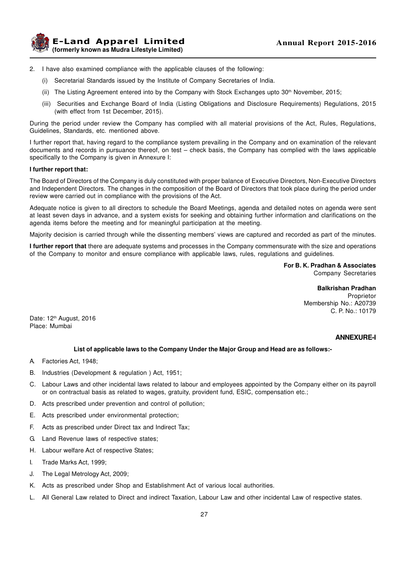

- 2. I have also examined compliance with the applicable clauses of the following:
	- (i) Secretarial Standards issued by the Institute of Company Secretaries of India.
	- (ii) The Listing Agreement entered into by the Company with Stock Exchanges upto  $30<sup>th</sup>$  November, 2015;
	- (iii) Securities and Exchange Board of India (Listing Obligations and Disclosure Requirements) Regulations, 2015 (with effect from 1st December, 2015).

During the period under review the Company has complied with all material provisions of the Act, Rules, Regulations, Guidelines, Standards, etc. mentioned above.

I further report that, having regard to the compliance system prevailing in the Company and on examination of the relevant documents and records in pursuance thereof, on test – check basis, the Company has complied with the laws applicable specifically to the Company is given in Annexure I:

#### **I further report that:**

The Board of Directors of the Company is duly constituted with proper balance of Executive Directors, Non-Executive Directors and Independent Directors. The changes in the composition of the Board of Directors that took place during the period under review were carried out in compliance with the provisions of the Act.

Adequate notice is given to all directors to schedule the Board Meetings, agenda and detailed notes on agenda were sent at least seven days in advance, and a system exists for seeking and obtaining further information and clarifications on the agenda items before the meeting and for meaningful participation at the meeting.

Majority decision is carried through while the dissenting members' views are captured and recorded as part of the minutes.

**I further report that** there are adequate systems and processes in the Company commensurate with the size and operations of the Company to monitor and ensure compliance with applicable laws, rules, regulations and guidelines.

> **For B. K. Pradhan & Associates** Company Secretaries

> > **Balkrishan Pradhan** Proprietor Membership No.: A20739 C. P. No.: 10179

Date: 12<sup>th</sup> August, 2016 Place: Mumbai

#### **ANNEXURE-I**

#### **List of applicable laws to the Company Under the Major Group and Head are as follows:-**

- A. Factories Act, 1948;
- B. Industries (Development & regulation ) Act, 1951;
- C. Labour Laws and other incidental laws related to labour and employees appointed by the Company either on its payroll or on contractual basis as related to wages, gratuity, provident fund, ESIC, compensation etc.;
- D. Acts prescribed under prevention and control of pollution;
- E. Acts prescribed under environmental protection;
- F. Acts as prescribed under Direct tax and Indirect Tax;
- G. Land Revenue laws of respective states;
- H. Labour welfare Act of respective States;
- I. Trade Marks Act, 1999;
- J. The Legal Metrology Act, 2009;
- K. Acts as prescribed under Shop and Establishment Act of various local authorities.
- L. All General Law related to Direct and indirect Taxation, Labour Law and other incidental Law of respective states.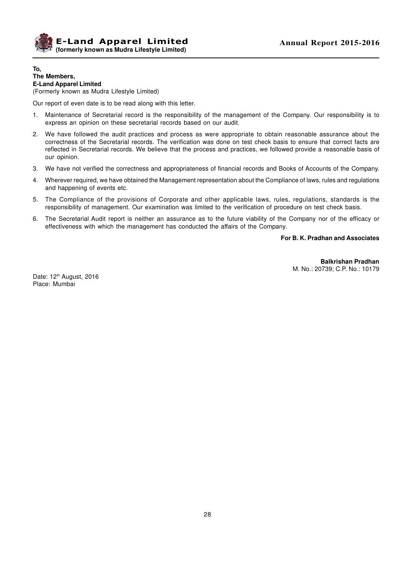

# **To, The Members, E-Land Apparel Limited**

(Formerly known as Mudra Lifestyle Limited)

Our report of even date is to be read along with this letter.

- 1. Maintenance of Secretarial record is the responsibility of the management of the Company. Our responsibility is to express an opinion on these secretarial records based on our audit.
- 2. We have followed the audit practices and process as were appropriate to obtain reasonable assurance about the correctness of the Secretarial records. The verification was done on test check basis to ensure that correct facts are reflected in Secretarial records. We believe that the process and practices, we followed provide a reasonable basis of our opinion.
- 3. We have not verified the correctness and appropriateness of financial records and Books of Accounts of the Company.
- 4. Wherever required, we have obtained the Management representation about the Compliance of laws, rules and regulations and happening of events etc.
- 5. The Compliance of the provisions of Corporate and other applicable laws, rules, regulations, standards is the responsibility of management. Our examination was limited to the verification of procedure on test check basis.
- 6. The Secretarial Audit report is neither an assurance as to the future viability of the Company nor of the efficacy or effectiveness with which the management has conducted the affairs of the Company.

#### **For B. K. Pradhan and Associates**

**Balkrishan Pradhan** M. No.: 20739; C.P. No.: 10179

Date: 12<sup>th</sup> August, 2016 Place: Mumbai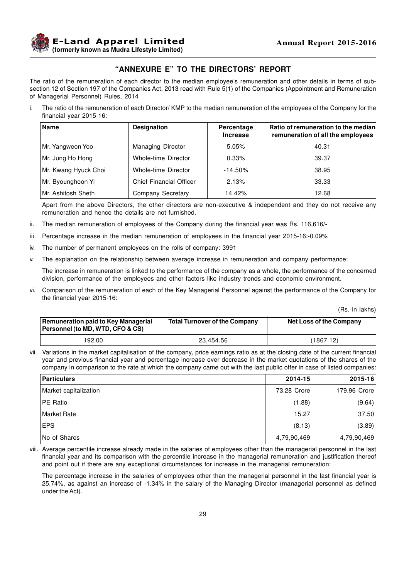

# **"ANNEXURE E" TO THE DIRECTORS' REPORT**

The ratio of the remuneration of each director to the median employee's remuneration and other details in terms of subsection 12 of Section 197 of the Companies Act, 2013 read with Rule 5(1) of the Companies (Appointment and Remuneration of Managerial Personnel) Rules, 2014

i. The ratio of the remuneration of each Director/ KMP to the median remuneration of the employees of the Company for the financial year 2015-16:

| <b>Name</b>          | <b>Designation</b>             | Percentage<br><b>Increase</b> | Ratio of remuneration to the median<br>remuneration of all the employees |
|----------------------|--------------------------------|-------------------------------|--------------------------------------------------------------------------|
| Mr. Yangweon Yoo     | <b>Managing Director</b>       | 5.05%                         | 40.31                                                                    |
| Mr. Jung Ho Hong     | Whole-time Director            | 0.33%                         | 39.37                                                                    |
| Mr. Kwang Hyuck Choi | Whole-time Director            | $-14.50\%$                    | 38.95                                                                    |
| Mr. Byounghoon Yi    | <b>Chief Financial Officer</b> | 2.13%                         | 33.33                                                                    |
| Mr. Ashitosh Sheth   | Company Secretary              | 14.42%                        | 12.68                                                                    |

Apart from the above Directors, the other directors are non-executive & independent and they do not receive any remuneration and hence the details are not furnished.

- ii. The median remuneration of employees of the Company during the financial year was Rs. 116,616/-
- iii. Percentage increase in the median remuneration of employees in the financial year 2015-16:-0.09%
- iv. The number of permanent employees on the rolls of company: 3991
- v. The explanation on the relationship between average increase in remuneration and company performance:

The increase in remuneration is linked to the performance of the company as a whole, the performance of the concerned division, performance of the employees and other factors like industry trends and economic environment.

vi. Comparison of the remuneration of each of the Key Managerial Personnel against the performance of the Company for the financial year 2015-16:

(Rs. in lakhs)

| Remuneration paid to Key Managerial<br><b>Personnel (to MD, WTD, CFO &amp; CS)</b> | <b>Total Turnover of the Company</b> | <b>Net Loss of the Company</b> |
|------------------------------------------------------------------------------------|--------------------------------------|--------------------------------|
| 192.00                                                                             | 23,454.56                            | (1867.12)                      |

vii. Variations in the market capitalisation of the company, price earnings ratio as at the closing date of the current financial year and previous financial year and percentage increase over decrease in the market quotations of the shares of the company in comparison to the rate at which the company came out with the last public offer in case of listed companies:

| Particulars           | 2014-15     | $2015 - 16$  |
|-----------------------|-------------|--------------|
| Market capitalization | 73.28 Crore | 179.96 Crore |
| IPE Ratio             | (1.88)      | (9.64)       |
| l Market Rate         | 15.27       | 37.50        |
| EPS                   | (8.13)      | (3.89)       |
| No of Shares          | 4,79,90,469 | 4,79,90,469  |

viii. Average percentile increase already made in the salaries of employees other than the managerial personnel in the last financial year and its comparison with the percentile increase in the managerial remuneration and justification thereof and point out if there are any exceptional circumstances for increase in the managerial remuneration:

The percentage increase in the salaries of employees other than the managerial personnel in the last financial year is 25.74%, as against an increase of -1.34% in the salary of the Managing Director (managerial personnel as defined under the Act).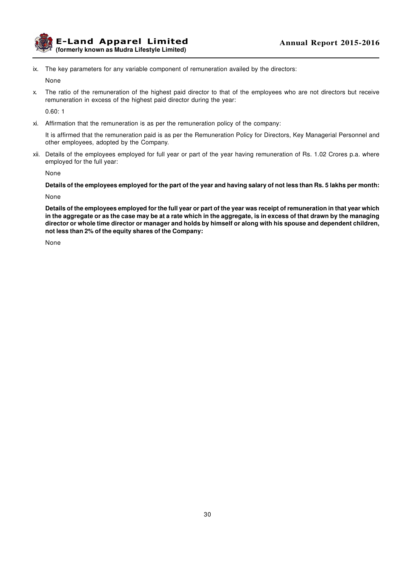

ix. The key parameters for any variable component of remuneration availed by the directors:

None

x. The ratio of the remuneration of the highest paid director to that of the employees who are not directors but receive remuneration in excess of the highest paid director during the year:

0.60: 1

xi. Affirmation that the remuneration is as per the remuneration policy of the company:

It is affirmed that the remuneration paid is as per the Remuneration Policy for Directors, Key Managerial Personnel and other employees, adopted by the Company.

xii. Details of the employees employed for full year or part of the year having remuneration of Rs. 1.02 Crores p.a. where employed for the full year:

None

**Details of the employees employed for the part of the year and having salary of not less than Rs. 5 lakhs per month:**

None

**Details of the employees employed for the full year or part of the year was receipt of remuneration in that year which in the aggregate or as the case may be at a rate which in the aggregate, is in excess of that drawn by the managing director or whole time director or manager and holds by himself or along with his spouse and dependent children, not less than 2% of the equity shares of the Company:**

None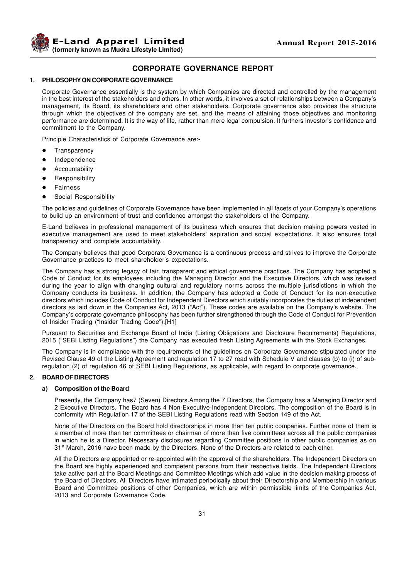

# **CORPORATE GOVERNANCE REPORT**

#### **1. PHILOSOPHY ON CORPORATE GOVERNANCE**

Corporate Governance essentially is the system by which Companies are directed and controlled by the management in the best interest of the stakeholders and others. In other words, it involves a set of relationships between a Company's management, its Board, its shareholders and other stakeholders. Corporate governance also provides the structure through which the objectives of the company are set, and the means of attaining those objectives and monitoring performance are determined. It is the way of life, rather than mere legal compulsion. It furthers investor's confidence and commitment to the Company.

Principle Characteristics of Corporate Governance are:-

- **Transparency**
- $\bullet$  Independence
- Accountability
- Responsibility
- **Fairness**
- Social Responsibility

The policies and guidelines of Corporate Governance have been implemented in all facets of your Company's operations to build up an environment of trust and confidence amongst the stakeholders of the Company.

E-Land believes in professional management of its business which ensures that decision making powers vested in executive management are used to meet stakeholders' aspiration and social expectations. It also ensures total transparency and complete accountability.

The Company believes that good Corporate Governance is a continuous process and strives to improve the Corporate Governance practices to meet shareholder's expectations.

The Company has a strong legacy of fair, transparent and ethical governance practices. The Company has adopted a Code of Conduct for its employees including the Managing Director and the Executive Directors, which was revised during the year to align with changing cultural and regulatory norms across the multiple jurisdictions in which the Company conducts its business. In addition, the Company has adopted a Code of Conduct for its non-executive directors which includes Code of Conduct for Independent Directors which suitably incorporates the duties of independent directors as laid down in the Companies Act, 2013 ("Act"). These codes are available on the Company's website. The Company's corporate governance philosophy has been further strengthened through the Code of Conduct for Prevention of Insider Trading ("Insider Trading Code").[H1]

Pursuant to Securities and Exchange Board of India (Listing Obligations and Disclosure Requirements) Regulations, 2015 ("SEBI Listing Regulations") the Company has executed fresh Listing Agreements with the Stock Exchanges.

The Company is in compliance with the requirements of the guidelines on Corporate Governance stipulated under the Revised Clause 49 of the Listing Agreement and regulation 17 to 27 read with Schedule V and clauses (b) to (i) of subregulation (2) of regulation 46 of SEBI Listing Regulations, as applicable, with regard to corporate governance.

#### **2. BOARD OF DIRECTORS**

#### **a) Composition of the Board**

Presently, the Company has7 (Seven) Directors.Among the 7 Directors, the Company has a Managing Director and 2 Executive Directors. The Board has 4 Non-Executive-Independent Directors. The composition of the Board is in conformity with Regulation 17 of the SEBI Listing Regulations read with Section 149 of the Act.

None of the Directors on the Board hold directorships in more than ten public companies. Further none of them is a member of more than ten committees or chairman of more than five committees across all the public companies in which he is a Director. Necessary disclosures regarding Committee positions in other public companies as on 31st March, 2016 have been made by the Directors. None of the Directors are related to each other.

All the Directors are appointed or re-appointed with the approval of the shareholders. The Independent Directors on the Board are highly experienced and competent persons from their respective fields. The Independent Directors take active part at the Board Meetings and Committee Meetings which add value in the decision making process of the Board of Directors. All Directors have intimated periodically about their Directorship and Membership in various Board and Committee positions of other Companies, which are within permissible limits of the Companies Act, 2013 and Corporate Governance Code.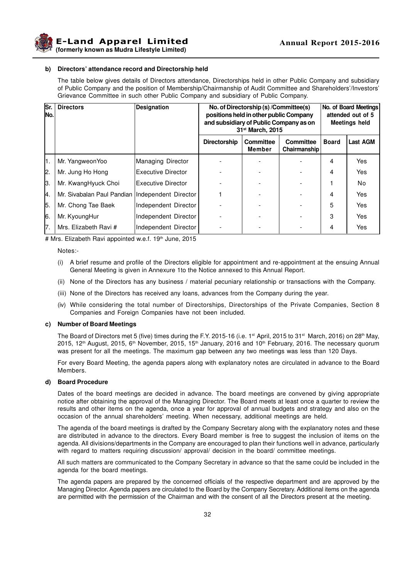

**Example 2015-2016 Annual Report 2015-2016 (formerly known as Mudra Lifestyle Limited)**

#### **b) Directors' attendance record and Directorship held**

The table below gives details of Directors attendance, Directorships held in other Public Company and subsidiary of Public Company and the position of Membership/Chairmanship of Audit Committee and Shareholders'/Investors' Grievance Committee in such other Public Company and subsidiary of Public Company.

| Sr.<br>INo. | <b>Directors</b>                                  | <b>Designation</b>         | No. of Directorship (s) /Committee(s)<br>positions held in other public Company<br>and subsidiary of Public Company as on<br>31 <sup>st</sup> March, 2015 |                     |                                         | No. of Board Meetings<br>attended out of 5<br><b>Meetings held</b> |                 |
|-------------|---------------------------------------------------|----------------------------|-----------------------------------------------------------------------------------------------------------------------------------------------------------|---------------------|-----------------------------------------|--------------------------------------------------------------------|-----------------|
|             |                                                   |                            | <b>Directorship</b>                                                                                                                                       | Committee<br>Member | <b>Committee</b><br><b>Chairmanship</b> | <b>Board</b>                                                       | <b>Last AGM</b> |
| I1.         | Mr. Yangweon Yoo                                  | Managing Director          |                                                                                                                                                           |                     |                                         | 4                                                                  | Yes             |
| 12.         | Mr. Jung Ho Hong                                  | <b>Executive Director</b>  |                                                                                                                                                           |                     |                                         | 4                                                                  | Yes             |
| 13.         | Mr. KwangHyuck Choi                               | <b>IExecutive Director</b> |                                                                                                                                                           |                     |                                         |                                                                    | No              |
| 4.          | Mr. Sivabalan Paul Pandian   Independent Director |                            |                                                                                                                                                           |                     |                                         | 4                                                                  | <b>Yes</b>      |
| 5.          | Mr. Chong Tae Baek                                | Independent Director       |                                                                                                                                                           |                     |                                         | 5                                                                  | Yes             |
| 16.         | Mr. KyoungHur                                     | Independent Director       |                                                                                                                                                           |                     |                                         | 3                                                                  | Yes             |
| 17.         | Mrs. Elizabeth Ravi #                             | Independent Director       |                                                                                                                                                           |                     |                                         | 4                                                                  | Yes             |

# Mrs. Elizabeth Ravi appointed w.e.f. 19<sup>th</sup> June, 2015

Notes:-

- (i) A brief resume and profile of the Directors eligible for appointment and re-appointment at the ensuing Annual General Meeting is given in Annexure 1to the Notice annexed to this Annual Report.
- (ii) None of the Directors has any business / material pecuniary relationship or transactions with the Company.
- (iii) None of the Directors has received any loans, advances from the Company during the year.
- (iv) While considering the total number of Directorships, Directorships of the Private Companies, Section 8 Companies and Foreign Companies have not been included.

#### **c) Number of Board Meetings**

The Board of Directors met 5 (five) times during the F.Y. 2015-16 (i.e. 1<sup>st</sup> April, 2015 to 31<sup>st</sup> March, 2016) on 28<sup>th</sup> May, 2015, 12<sup>th</sup> August, 2015, 6<sup>th</sup> November, 2015, 15<sup>th</sup> January, 2016 and 10<sup>th</sup> February, 2016. The necessary quorum was present for all the meetings. The maximum gap between any two meetings was less than 120 Days.

For every Board Meeting, the agenda papers along with explanatory notes are circulated in advance to the Board Members.

#### **d) Board Procedure**

Dates of the board meetings are decided in advance. The board meetings are convened by giving appropriate notice after obtaining the approval of the Managing Director. The Board meets at least once a quarter to review the results and other items on the agenda, once a year for approval of annual budgets and strategy and also on the occasion of the annual shareholders' meeting. When necessary, additional meetings are held.

The agenda of the board meetings is drafted by the Company Secretary along with the explanatory notes and these are distributed in advance to the directors. Every Board member is free to suggest the inclusion of items on the agenda. All divisions/departments in the Company are encouraged to plan their functions well in advance, particularly with regard to matters requiring discussion/ approval/ decision in the board/ committee meetings.

All such matters are communicated to the Company Secretary in advance so that the same could be included in the agenda for the board meetings.

The agenda papers are prepared by the concerned officials of the respective department and are approved by the Managing Director. Agenda papers are circulated to the Board by the Company Secretary. Additional items on the agenda are permitted with the permission of the Chairman and with the consent of all the Directors present at the meeting.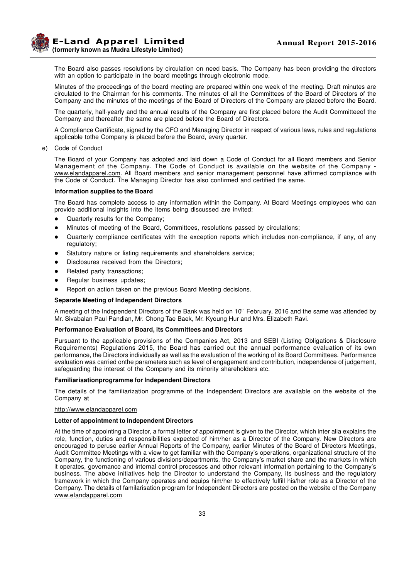**E-Land Apparel Limited (formerly known as Mudra Lifestyle Limited)**

The Board also passes resolutions by circulation on need basis. The Company has been providing the directors with an option to participate in the board meetings through electronic mode.

Minutes of the proceedings of the board meeting are prepared within one week of the meeting. Draft minutes are circulated to the Chairman for his comments. The minutes of all the Committees of the Board of Directors of the Company and the minutes of the meetings of the Board of Directors of the Company are placed before the Board.

The quarterly, half-yearly and the annual results of the Company are first placed before the Audit Committeeof the Company and thereafter the same are placed before the Board of Directors.

A Compliance Certificate, signed by the CFO and Managing Director in respect of various laws, rules and regulations applicable tothe Company is placed before the Board, every quarter.

e) Code of Conduct

The Board of your Company has adopted and laid down a Code of Conduct for all Board members and Senior Management of the Company. The Code of Conduct is available on the website of the Company www.elandapparel.com. All Board members and senior management personnel have affirmed compliance with the Code of Conduct. The Managing Director has also confirmed and certified the same.

#### **Information supplies to the Board**

The Board has complete access to any information within the Company. At Board Meetings employees who can provide additional insights into the items being discussed are invited:

- Quarterly results for the Company;
- l Minutes of meeting of the Board, Committees, resolutions passed by circulations;
- l Quarterly compliance certificates with the exception reports which includes non-compliance, if any, of any regulatory;
- Statutory nature or listing requirements and shareholders service;
- Disclosures received from the Directors;
- Related party transactions;
- Regular business updates;
- Report on action taken on the previous Board Meeting decisions.

### **Separate Meeting of Independent Directors**

A meeting of the Independent Directors of the Bank was held on 10<sup>th</sup> February, 2016 and the same was attended by Mr. Sivabalan Paul Pandian, Mr. Chong Tae Baek, Mr. Kyoung Hur and Mrs. Elizabeth Ravi.

#### **Performance Evaluation of Board, its Committees and Directors**

Pursuant to the applicable provisions of the Companies Act, 2013 and SEBI (Listing Obligations & Disclosure Requirements) Regulations 2015, the Board has carried out the annual performance evaluation of its own performance, the Directors individually as well as the evaluation of the working of its Board Committees. Performance evaluation was carried onthe parameters such as level of engagement and contribution, independence of judgement, safeguarding the interest of the Company and its minority shareholders etc.

#### **Familiarisationprogramme for Independent Directors**

The details of the familiarization programme of the Independent Directors are available on the website of the Company at

### http://www.elandapparel.com

#### **Letter of appointment to Independent Directors**

At the time of appointing a Director, a formal letter of appointment is given to the Director, which inter alia explains the role, function, duties and responsibilities expected of him/her as a Director of the Company. New Directors are encouraged to peruse earlier Annual Reports of the Company, earlier Minutes of the Board of Directors Meetings, Audit Committee Meetings with a view to get familiar with the Company's operations, organizational structure of the Company, the functioning of various divisions/departments, the Company's market share and the markets in which it operates, governance and internal control processes and other relevant information pertaining to the Company's business. The above initiatives help the Director to understand the Company, its business and the regulatory framework in which the Company operates and equips him/her to effectively fulfill his/her role as a Director of the Company. The details of familarisation program for Independent Directors are posted on the website of the Company www.elandapparel.com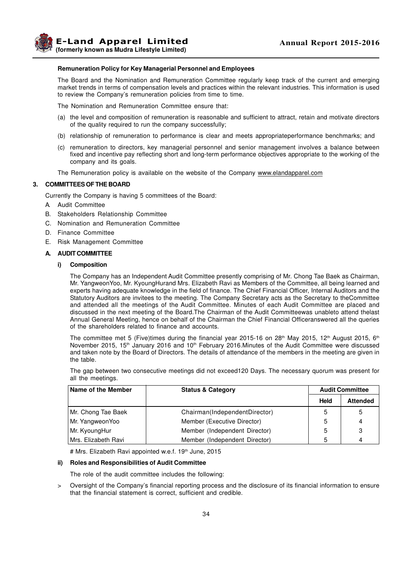

### **Remuneration Policy for Key Managerial Personnel and Employees**

The Board and the Nomination and Remuneration Committee regularly keep track of the current and emerging market trends in terms of compensation levels and practices within the relevant industries. This information is used to review the Company's remuneration policies from time to time.

The Nomination and Remuneration Committee ensure that:

- (a) the level and composition of remuneration is reasonable and sufficient to attract, retain and motivate directors of the quality required to run the company successfully;
- (b) relationship of remuneration to performance is clear and meets appropriateperformance benchmarks; and
- (c) remuneration to directors, key managerial personnel and senior management involves a balance between fixed and incentive pay reflecting short and long-term performance objectives appropriate to the working of the company and its goals.

The Remuneration policy is available on the website of the Company www.elandapparel.com

### **3. COMMITTEES OF THE BOARD**

Currently the Company is having 5 committees of the Board:

- A. Audit Committee
- B. Stakeholders Relationship Committee
- C. Nomination and Remuneration Committee
- D. Finance Committee
- E. Risk Management Committee

#### **A. AUDIT COMMITTEE**

**i) Composition**

The Company has an Independent Audit Committee presently comprising of Mr. Chong Tae Baek as Chairman, Mr. YangweonYoo, Mr. KyoungHurand Mrs. Elizabeth Ravi as Members of the Committee, all being learned and experts having adequate knowledge in the field of finance. The Chief Financial Officer, Internal Auditors and the Statutory Auditors are invitees to the meeting. The Company Secretary acts as the Secretary to theCommittee and attended all the meetings of the Audit Committee. Minutes of each Audit Committee are placed and discussed in the next meeting of the Board.The Chairman of the Audit Committeewas unableto attend thelast Annual General Meeting, hence on behalf of the Chairman the Chief Financial Officeranswered all the queries of the shareholders related to finance and accounts.

The committee met 5 (Five)times during the financial year 2015-16 on 28<sup>th</sup> May 2015, 12<sup>th</sup> August 2015, 6<sup>th</sup> November 2015, 15<sup>th</sup> January 2016 and 10<sup>th</sup> February 2016.Minutes of the Audit Committee were discussed and taken note by the Board of Directors. The details of attendance of the members in the meeting are given in the table.

The gap between two consecutive meetings did not exceed120 Days. The necessary quorum was present for all the meetings.

| Name of the Member  | <b>Status &amp; Category</b>  |      | <b>Audit Committee</b> |
|---------------------|-------------------------------|------|------------------------|
|                     |                               | Held | <b>Attended</b>        |
| Mr. Chong Tae Baek  | Chairman(IndependentDirector) | 5    | 5                      |
| Mr. Yangweon Yoo    | Member (Executive Director)   | 5    | 4                      |
| Mr. KyoungHur       | Member (Independent Director) | 5    | 3                      |
| Mrs. Elizabeth Ravi | Member (Independent Director) | 5    | 4                      |

# Mrs. Elizabeth Ravi appointed w.e.f. 19<sup>th</sup> June, 2015

### **ii) Roles and Responsibilities of Audit Committee**

The role of the audit committee includes the following:

> Oversight of the Company's financial reporting process and the disclosure of its financial information to ensure that the financial statement is correct, sufficient and credible.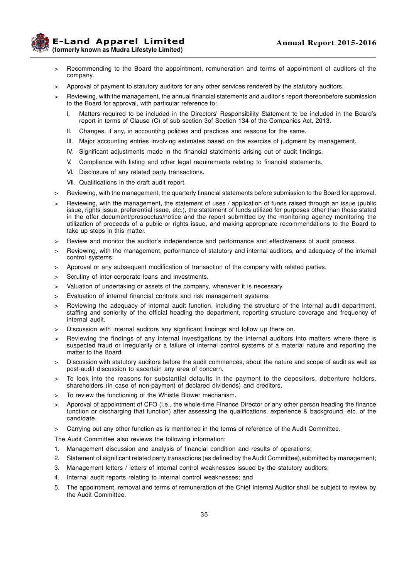**E-Land Apparel Limited (formerly known as Mudra Lifestyle Limited)**

- > Recommending to the Board the appointment, remuneration and terms of appointment of auditors of the company.
- > Approval of payment to statutory auditors for any other services rendered by the statutory auditors.
- Reviewing, with the management, the annual financial statements and auditor's report thereonbefore submission to the Board for approval, with particular reference to:
	- I. Matters required to be included in the Directors' Responsibility Statement to be included in the Board's report in terms of Clause (C) of sub-section 3of Section 134 of the Companies Act, 2013.
	- II. Changes, if any, in accounting policies and practices and reasons for the same.
	- III. Major accounting entries involving estimates based on the exercise of judgment by management.
	- IV. Significant adjustments made in the financial statements arising out of audit findings.
	- V. Compliance with listing and other legal requirements relating to financial statements.
	- VI. Disclosure of any related party transactions.
	- VII. Qualifications in the draft audit report.
- > Reviewing, with the management, the quarterly financial statements before submission to the Board for approval.
- > Reviewing, with the management, the statement of uses / application of funds raised through an issue (public issue, rights issue, preferential issue, etc.), the statement of funds utilized for purposes other than those stated in the offer document/prospectus/notice and the report submitted by the monitoring agency monitoring the utilization of proceeds of a public or rights issue, and making appropriate recommendations to the Board to take up steps in this matter.
- > Review and monitor the auditor's independence and performance and effectiveness of audit process.
- > Reviewing, with the management, performance of statutory and internal auditors, and adequacy of the internal control systems.
- > Approval or any subsequent modification of transaction of the company with related parties.
- > Scrutiny of inter-corporate loans and investments.
- > Valuation of undertaking or assets of the company, whenever it is necessary.
- > Evaluation of internal financial controls and risk management systems.
- > Reviewing the adequacy of internal audit function, including the structure of the internal audit department, staffing and seniority of the official heading the department, reporting structure coverage and frequency of internal audit.
- > Discussion with internal auditors any significant findings and follow up there on.
- Reviewing the findings of any internal investigations by the internal auditors into matters where there is suspected fraud or irregularity or a failure of internal control systems of a material nature and reporting the matter to the Board.
- > Discussion with statutory auditors before the audit commences, about the nature and scope of audit as well as post-audit discussion to ascertain any area of concern.
- > To look into the reasons for substantial defaults in the payment to the depositors, debenture holders, shareholders (in case of non-payment of declared dividends) and creditors.
- > To review the functioning of the Whistle Blower mechanism.
- > Approval of appointment of CFO (i.e., the whole-time Finance Director or any other person heading the finance function or discharging that function) after assessing the qualifications, experience & background, etc. of the candidate.
- > Carrying out any other function as is mentioned in the terms of reference of the Audit Committee.

The Audit Committee also reviews the following information:

- 1. Management discussion and analysis of financial condition and results of operations;
- 2. Statement of significant related party transactions (as defined by the Audit Committee),submitted by management;
- 3. Management letters / letters of internal control weaknesses issued by the statutory auditors;
- 4. Internal audit reports relating to internal control weaknesses; and
- 5. The appointment, removal and terms of remuneration of the Chief Internal Auditor shall be subject to review by the Audit Committee.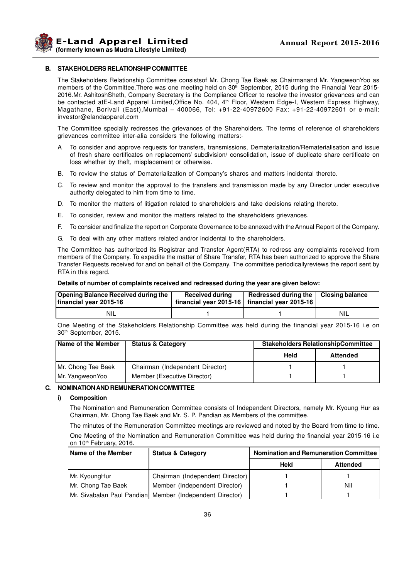**Example 2015-2016 Annual Report 2015-2016 (formerly known as Mudra Lifestyle Limited)**

### **B. STAKEHOLDERS RELATIONSHIP COMMITTEE**

The Stakeholders Relationship Committee consistsof Mr. Chong Tae Baek as Chairmanand Mr. YangweonYoo as members of the Committee. There was one meeting held on 30<sup>th</sup> September, 2015 during the Financial Year 2015-2016.Mr. AshitoshSheth, Company Secretary is the Compliance Officer to resolve the investor grievances and can be contacted atE-Land Apparel Limited, Office No. 404, 4<sup>th</sup> Floor, Western Edge-I, Western Express Highway, Magathane, Borivali (East),Mumbai – 400066, Tel: +91-22-40972600 Fax: +91-22-40972601 or e-mail: investor@elandapparel.com

The Committee specially redresses the grievances of the Shareholders. The terms of reference of shareholders grievances committee inter-alia considers the following matters:-

- A. To consider and approve requests for transfers, transmissions, Dematerialization/Rematerialisation and issue of fresh share certificates on replacement/ subdivision/ consolidation, issue of duplicate share certificate on loss whether by theft, misplacement or otherwise.
- B. To review the status of Dematerialization of Company's shares and matters incidental thereto.
- C. To review and monitor the approval to the transfers and transmission made by any Director under executive authority delegated to him from time to time.
- D. To monitor the matters of litigation related to shareholders and take decisions relating thereto.
- E. To consider, review and monitor the matters related to the shareholders grievances.
- F. To consider and finalize the report on Corporate Governance to be annexed with the Annual Report of the Company.
- G. To deal with any other matters related and/or incidental to the shareholders.

The Committee has authorized its Registrar and Transfer Agent(RTA) to redress any complaints received from members of the Company. To expedite the matter of Share Transfer, RTA has been authorized to approve the Share Transfer Requests received for and on behalf of the Company. The committee periodicallyreviews the report sent by RTA in this regard.

#### **Details of number of complaints received and redressed during the year are given below:**

| <b>Opening Balance Received during the</b><br>financial year 2015-16 | <b>Received during</b> | Redressed during the   Closing balance<br>financial year 2015-16   financial year 2015-16 |            |
|----------------------------------------------------------------------|------------------------|-------------------------------------------------------------------------------------------|------------|
| -NIL                                                                 |                        |                                                                                           | <b>NIL</b> |

One Meeting of the Stakeholders Relationship Committee was held during the financial year 2015-16 i.e on 30th September, 2015.

| <b>Name of the Member</b> | <b>Status &amp; Category</b>    | <b>Stakeholders RelationshipCommittee</b> |                 |
|---------------------------|---------------------------------|-------------------------------------------|-----------------|
|                           |                                 | Held                                      | <b>Attended</b> |
| Mr. Chong Tae Baek        | Chairman (Independent Director) |                                           |                 |
| Mr. YangweonYoo           | Member (Executive Director)     |                                           |                 |

### **C. NOMINATION AND REMUNERATION COMMITTEE**

### **i) Composition**

The Nomination and Remuneration Committee consists of Independent Directors, namely Mr. Kyoung Hur as Chairman, Mr. Chong Tae Baek and Mr. S. P. Pandian as Members of the committee.

The minutes of the Remuneration Committee meetings are reviewed and noted by the Board from time to time. One Meeting of the Nomination and Remuneration Committee was held during the financial year 2015-16 i.e

| on 10 <sup>th</sup> February, 2016. |                                                          |      |                                              |  |  |  |  |
|-------------------------------------|----------------------------------------------------------|------|----------------------------------------------|--|--|--|--|
| <b>Name of the Member</b>           | <b>Status &amp; Category</b>                             |      | <b>Nomination and Remuneration Committee</b> |  |  |  |  |
|                                     |                                                          | Held | <b>Attended</b>                              |  |  |  |  |
| Mr. KyoungHur                       | Chairman (Independent Director)                          |      |                                              |  |  |  |  |
| Mr. Chong Tae Baek                  | Member (Independent Director)                            |      | Nil                                          |  |  |  |  |
|                                     | Mr. Sivabalan Paul Pandian Member (Independent Director) |      |                                              |  |  |  |  |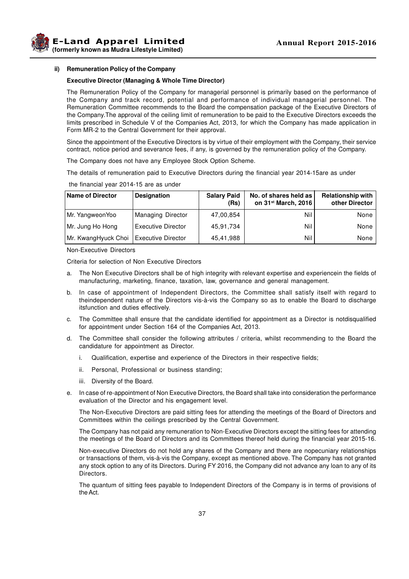

### **ii) Remuneration Policy of the Company**

### **Executive Director (Managing & Whole Time Director)**

The Remuneration Policy of the Company for managerial personnel is primarily based on the performance of the Company and track record, potential and performance of individual managerial personnel. The Remuneration Committee recommends to the Board the compensation package of the Executive Directors of the Company.The approval of the ceiling limit of remuneration to be paid to the Executive Directors exceeds the limits prescribed in Schedule V of the Companies Act, 2013, for which the Company has made application in Form MR-2 to the Central Government for their approval.

Since the appointment of the Executive Directors is by virtue of their employment with the Company, their service contract, notice period and severance fees, if any, is governed by the remuneration policy of the Company.

The Company does not have any Employee Stock Option Scheme.

The details of remuneration paid to Executive Directors during the financial year 2014-15are as under

| <b>Name of Director</b> | <b>Designation</b>        | <b>Salary Paid</b><br>(Rs) | No. of shares held as<br>on 31 <sup>st</sup> March, 2016 | <b>Relationship with</b><br>other Director |
|-------------------------|---------------------------|----------------------------|----------------------------------------------------------|--------------------------------------------|
| Mr. YangweonYoo         | Managing Director         | 47,00,854                  | Nil                                                      | None                                       |
| Mr. Jung Ho Hong        | <b>Executive Director</b> | 45,91,734                  | Nil                                                      | None                                       |
| Mr. KwangHyuck Choi     | Executive Director        | 45,41,988                  | Nil                                                      | None                                       |

the financial year 2014-15 are as under

Non-Executive Directors

Criteria for selection of Non Executive Directors

- a. The Non Executive Directors shall be of high integrity with relevant expertise and experiencein the fields of manufacturing, marketing, finance, taxation, law, governance and general management.
- b. In case of appointment of Independent Directors, the Committee shall satisfy itself with regard to theindependent nature of the Directors vis-à-vis the Company so as to enable the Board to discharge itsfunction and duties effectively.
- c. The Committee shall ensure that the candidate identified for appointment as a Director is notdisqualified for appointment under Section 164 of the Companies Act, 2013.
- d. The Committee shall consider the following attributes / criteria, whilst recommending to the Board the candidature for appointment as Director.
	- i. Qualification, expertise and experience of the Directors in their respective fields;
	- ii. Personal, Professional or business standing;
	- iii. Diversity of the Board.
- e. In case of re-appointment of Non Executive Directors, the Board shall take into consideration the performance evaluation of the Director and his engagement level.

The Non-Executive Directors are paid sitting fees for attending the meetings of the Board of Directors and Committees within the ceilings prescribed by the Central Government.

The Company has not paid any remuneration to Non-Executive Directors except the sitting fees for attending the meetings of the Board of Directors and its Committees thereof held during the financial year 2015-16.

Non-executive Directors do not hold any shares of the Company and there are nopecuniary relationships or transactions of them, vis-à-vis the Company, except as mentioned above. The Company has not granted any stock option to any of its Directors. During FY 2016, the Company did not advance any loan to any of its **Directors** 

The quantum of sitting fees payable to Independent Directors of the Company is in terms of provisions of the Act.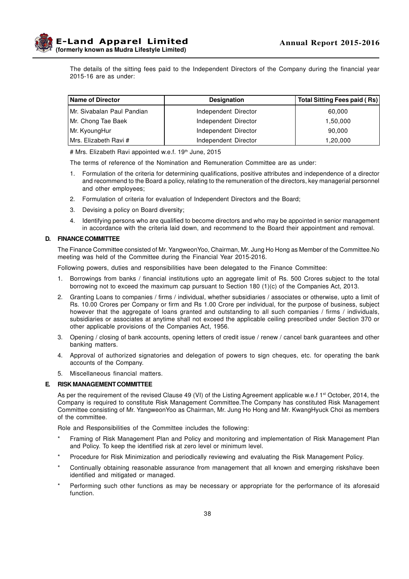

The details of the sitting fees paid to the Independent Directors of the Company during the financial year 2015-16 are as under:

| <b>Name of Director</b><br><b>Designation</b> |                      | <b>Total Sitting Fees paid (Rs)</b> |
|-----------------------------------------------|----------------------|-------------------------------------|
| Mr. Sivabalan Paul Pandian                    | Independent Director | 60,000                              |
| Mr. Chong Tae Baek                            | Independent Director | 1,50,000                            |
| Mr. KyoungHur                                 | Independent Director | 90,000                              |
| Mrs. Elizabeth Ravi #                         | Independent Director | 1,20,000                            |

# Mrs. Elizabeth Ravi appointed w.e.f. 19<sup>th</sup> June, 2015

The terms of reference of the Nomination and Remuneration Committee are as under:

- 1. Formulation of the criteria for determining qualifications, positive attributes and independence of a director and recommend to the Board a policy, relating to the remuneration of the directors, key managerial personnel and other employees;
- 2. Formulation of criteria for evaluation of Independent Directors and the Board;
- 3. Devising a policy on Board diversity;
- 4. Identifying persons who are qualified to become directors and who may be appointed in senior management in accordance with the criteria laid down, and recommend to the Board their appointment and removal.

### **D. FINANCE COMMITTEE**

The Finance Committee consisted of Mr. YangweonYoo, Chairman, Mr. Jung Ho Hong as Member of the Committee.No meeting was held of the Committee during the Financial Year 2015-2016.

Following powers, duties and responsibilities have been delegated to the Finance Committee:

- 1. Borrowings from banks / financial institutions upto an aggregate limit of Rs. 500 Crores subject to the total borrowing not to exceed the maximum cap pursuant to Section 180 (1)(c) of the Companies Act, 2013.
- 2. Granting Loans to companies / firms / individual, whether subsidiaries / associates or otherwise, upto a limit of Rs. 10.00 Crores per Company or firm and Rs 1.00 Crore per individual, for the purpose of business, subject however that the aggregate of loans granted and outstanding to all such companies / firms / individuals, subsidiaries or associates at anytime shall not exceed the applicable ceiling prescribed under Section 370 or other applicable provisions of the Companies Act, 1956.
- 3. Opening / closing of bank accounts, opening letters of credit issue / renew / cancel bank guarantees and other banking matters.
- 4. Approval of authorized signatories and delegation of powers to sign cheques, etc. for operating the bank accounts of the Company.
- 5. Miscellaneous financial matters.

#### **E. RISK MANAGEMENT COMMITTEE**

As per the requirement of the revised Clause 49 (VI) of the Listing Agreement applicable w.e.f 1<sup>st</sup> October, 2014, the Company is required to constitute Risk Management Committee.The Company has constituted Risk Management Committee consisting of Mr. YangweonYoo as Chairman, Mr. Jung Ho Hong and Mr. KwangHyuck Choi as members of the committee.

Role and Responsibilities of the Committee includes the following:

- Framing of Risk Management Plan and Policy and monitoring and implementation of Risk Management Plan and Policy. To keep the identified risk at zero level or minimum level.
- Procedure for Risk Minimization and periodically reviewing and evaluating the Risk Management Policy.
- Continually obtaining reasonable assurance from management that all known and emerging riskshave been identified and mitigated or managed.
- Performing such other functions as may be necessary or appropriate for the performance of its aforesaid function.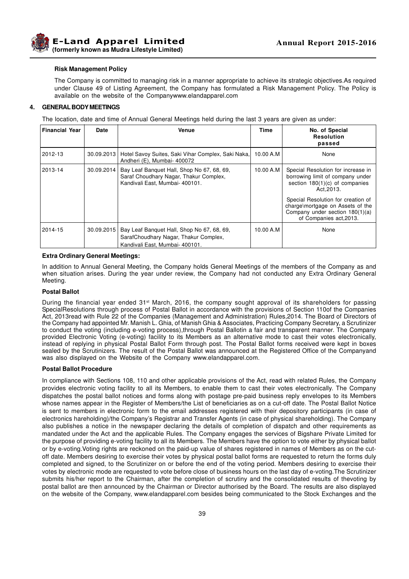

#### **Risk Management Policy**

The Company is committed to managing risk in a manner appropriate to achieve its strategic objectives.As required under Clause 49 of Listing Agreement, the Company has formulated a Risk Management Policy. The Policy is available on the website of the Companywww.elandapparel.com

### **4. GENERAL BODY MEETINGS**

The location, date and time of Annual General Meetings held during the last 3 years are given as under:

| <b>Financial Year</b> | Date | <b>Venue</b>                                                                                                                         | <b>Time</b> | No. of Special<br><b>Resolution</b><br>passed                                                                                                                                                                                                                   |
|-----------------------|------|--------------------------------------------------------------------------------------------------------------------------------------|-------------|-----------------------------------------------------------------------------------------------------------------------------------------------------------------------------------------------------------------------------------------------------------------|
| 2012-13               |      | 30.09.2013   Hotel Savoy Suites, Saki Vihar Complex, Saki Naka,<br>Andheri (E), Mumbai- 400072                                       | 10.00 A.M   | None                                                                                                                                                                                                                                                            |
| 2013-14               |      | 30.09.2014   Bay Leaf Banquet Hall, Shop No 67, 68, 69,<br>Saraf Choudhary Nagar, Thakur Complex,<br>Kandivali East. Mumbai- 400101. | 10.00 A.M   | Special Resolution for increase in<br>borrowing limit of company under<br>section $180(1)(c)$ of companies<br>Act.2013.<br>Special Resolution for creation of<br>charge\mortgage on Assets of the<br>Company under section 180(1)(a)<br>of Companies act, 2013. |
| 2014-15               |      | 30.09.2015   Bay Leaf Banquet Hall, Shop No 67, 68, 69,<br>SarafChoudhary Nagar, Thakur Complex,<br>Kandivali East, Mumbai- 400101.  | 10.00 A.M   | None                                                                                                                                                                                                                                                            |

### **Extra Ordinary General Meetings:**

In addition to Annual General Meeting, the Company holds General Meetings of the members of the Company as and when situation arises. During the year under review, the Company had not conducted any Extra Ordinary General Meeting.

#### **Postal Ballot**

During the financial year ended 31<sup>st</sup> March, 2016, the company sought approval of its shareholders for passing SpecialResolutions through process of Postal Ballot in accordance with the provisions of Section 110of the Companies Act, 2013read with Rule 22 of the Companies (Management and Administration) Rules,2014. The Board of Directors of the Company had appointed Mr. Manish L. Ghia, of Manish Ghia & Associates, Practicing Company Secretary, a Scrutinizer to conduct the voting (including e-voting process),through Postal Ballotin a fair and transparent manner. The Company provided Electronic Voting (e-voting) facility to its Members as an alternative mode to cast their votes electronically, instead of replying in physical Postal Ballot Form through post. The Postal Ballot forms received were kept in boxes sealed by the Scrutinizers. The result of the Postal Ballot was announced at the Registered Office of the Companyand was also displayed on the Website of the Company www.elandapparel.com.

### **Postal Ballot Procedure**

In compliance with Sections 108, 110 and other applicable provisions of the Act, read with related Rules, the Company provides electronic voting facility to all its Members, to enable them to cast their votes electronically. The Company dispatches the postal ballot notices and forms along with postage pre-paid business reply envelopes to its Members whose names appear in the Register of Members/the List of beneficiaries as on a cut-off date. The Postal Ballot Notice is sent to members in electronic form to the email addresses registered with their depository participants (in case of electronics hareholding)/the Company's Registrar and Transfer Agents (in case of physical shareholding). The Company also publishes a notice in the newspaper declaring the details of completion of dispatch and other requirements as mandated under the Act and the applicable Rules. The Company engages the services of Bigshare Private Limited for the purpose of providing e-voting facility to all its Members. The Members have the option to vote either by physical ballot or by e-voting.Voting rights are reckoned on the paid-up value of shares registered in names of Members as on the cutoff date. Members desiring to exercise their votes by physical postal ballot forms are requested to return the forms duly completed and signed, to the Scrutinizer on or before the end of the voting period. Members desiring to exercise their votes by electronic mode are requested to vote before close of business hours on the last day of e-voting.The Scrutinizer submits his/her report to the Chairman, after the completion of scrutiny and the consolidated results of thevoting by postal ballot are then announced by the Chairman or Director authorised by the Board. The results are also displayed on the website of the Company, www.elandapparel.com besides being communicated to the Stock Exchanges and the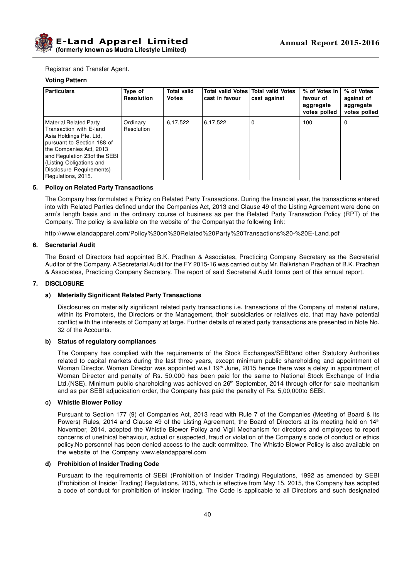

Registrar and Transfer Agent.

### **Voting Pattern**

| <b>Particulars</b>                                                                                                                                                                                                                                         | Type of<br><b>Resolution</b> | <b>Total valid</b><br><b>Votes</b> | cast in favour | Total valid Votes Total valid Votes<br>cast against | % of Votes in<br>favour of<br>aggregate<br>votes polled | % of Votes<br>against of<br>aggregate<br>votes polled |
|------------------------------------------------------------------------------------------------------------------------------------------------------------------------------------------------------------------------------------------------------------|------------------------------|------------------------------------|----------------|-----------------------------------------------------|---------------------------------------------------------|-------------------------------------------------------|
| <b>Material Related Party</b><br>Transaction with E-land<br>Asia Holdings Pte. Ltd.<br>pursuant to Section 188 of<br>the Companies Act, 2013<br>and Regulation 23of the SEBI<br>(Listing Obligations and<br>Disclosure Requirements)<br>Regulations, 2015. | Ordinary<br>Resolution       | 6,17,522                           | 6,17,522       | 0                                                   | 100                                                     | 0                                                     |

### **5. Policy on Related Party Transactions**

The Company has formulated a Policy on Related Party Transactions. During the financial year, the transactions entered into with Related Parties defined under the Companies Act, 2013 and Clause 49 of the Listing Agreement were done on arm's length basis and in the ordinary course of business as per the Related Party Transaction Policy (RPT) of the Company. The policy is available on the website of the Companyat the following link:

http://www.elandapparel.com/Policy%20on%20Related%20Party%20Transactions%20-%20E-Land.pdf

### **6. Secretarial Audit**

The Board of Directors had appointed B.K. Pradhan & Associates, Practicing Company Secretary as the Secretarial Auditor of the Company. A Secretarial Audit for the FY 2015-16 was carried out by Mr. Balkrishan Pradhan of B.K. Pradhan & Associates, Practicing Company Secretary. The report of said Secretarial Audit forms part of this annual report.

### **7. DISCLOSURE**

### **a) Materially Significant Related Party Transactions**

Disclosures on materially significant related party transactions i.e. transactions of the Company of material nature, within its Promoters, the Directors or the Management, their subsidiaries or relatives etc. that may have potential conflict with the interests of Company at large. Further details of related party transactions are presented in Note No. 32 of the Accounts.

### **b) Status of regulatory compliances**

The Company has complied with the requirements of the Stock Exchanges/SEBI/and other Statutory Authorities related to capital markets during the last three years, except minimum public shareholding and appointment of Woman Director. Woman Director was appointed w.e.f 19<sup>th</sup> June, 2015 hence there was a delay in appointment of Woman Director and penalty of Rs. 50,000 has been paid for the same to National Stock Exchange of India Ltd.(NSE). Minimum public shareholding was achieved on 26<sup>th</sup> September, 2014 through offer for sale mechanism and as per SEBI adjudication order, the Company has paid the penalty of Rs. 5,00,000to SEBI.

### **c) Whistle Blower Policy**

Pursuant to Section 177 (9) of Companies Act, 2013 read with Rule 7 of the Companies (Meeting of Board & its Powers) Rules, 2014 and Clause 49 of the Listing Agreement, the Board of Directors at its meeting held on 14<sup>th</sup> November, 2014, adopted the Whistle Blower Policy and Vigil Mechanism for directors and employees to report concerns of unethical behaviour, actual or suspected, fraud or violation of the Company's code of conduct or ethics policy.No personnel has been denied access to the audit committee. The Whistle Blower Policy is also available on the website of the Company www.elandapparel.com

### **d) Prohibition of Insider Trading Code**

Pursuant to the requirements of SEBI (Prohibition of Insider Trading) Regulations, 1992 as amended by SEBI (Prohibition of Insider Trading) Regulations, 2015, which is effective from May 15, 2015, the Company has adopted a code of conduct for prohibition of insider trading. The Code is applicable to all Directors and such designated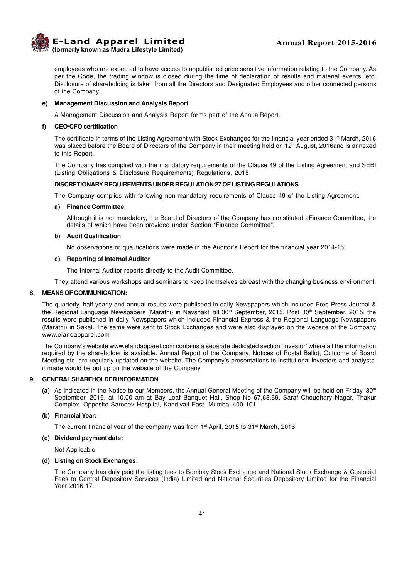

employees who are expected to have access to unpublished price sensitive information relating to the Company. As per the Code, the trading window is closed during the time of declaration of results and material events, etc. Disclosure of shareholding is taken from all the Directors and Designated Employees and other connected persons of the Company.

### **e) Management Discussion and Analysis Report**

A Management Discussion and Analysis Report forms part of the AnnualReport.

### **f) CEO/CFO certification**

The certificate in terms of the Listing Agreement with Stock Exchanges for the financial year ended 31<sup>st</sup> March, 2016 was placed before the Board of Directors of the Company in their meeting held on 12<sup>th</sup> August, 2016and is annexed to this Report.

The Company has complied with the mandatory requirements of the Clause 49 of the Listing Agreement and SEBI (Listing Obligations & Disclosure Requirements) Regulations, 2015

### **DISCRETIONARY REQUIREMENTS UNDER REGULATION 27 OF LISTING REGULATIONS**

The Company complies with following non-mandatory requirements of Clause 49 of the Listing Agreement.

### **a) Finance Committee**

Although it is not mandatory, the Board of Directors of the Company has constituted aFinance Committee, the details of which have been provided under Section "Finance Committee".

### **b) Audit Qualification**

No observations or qualifications were made in the Auditor's Report for the financial year 2014-15.

### **c) Reporting of Internal Auditor**

The Internal Auditor reports directly to the Audit Committee.

They attend various workshops and seminars to keep themselves abreast with the changing business environment.

### **8. MEANS OF COMMUNICATION:**

The quarterly, half-yearly and annual results were published in daily Newspapers which included Free Press Journal & the Regional Language Newspapers (Marathi) in Navshakti till 30<sup>th</sup> September, 2015. Post 30<sup>th</sup> September, 2015, the results were published in daily Newspapers which included Financial Express & the Regional Language Newspapers (Marathi) in Sakal. The same were sent to Stock Exchanges and were also displayed on the website of the Company www.elandapparel.com

The Company's website www.elandapparel.com contains a separate dedicated section 'Investor' where all the information required by the shareholder is available. Annual Report of the Company, Notices of Postal Ballot, Outcome of Board Meeting etc. are regularly updated on the website. The Company's presentations to institutional investors and analysts, if made would be put up on the website of the Company.

### **9. GENERAL SHAREHOLDER INFORMATION**

**(a)** As indicated in the Notice to our Members, the Annual General Meeting of the Company will be held on Friday, 30th September, 2016, at 10.00 am at Bay Leaf Banquet Hall, Shop No 67,68,69, Saraf Choudhary Nagar, Thakur Complex, Opposite Sarodev Hospital, Kandivali East, Mumbai-400 101

### **(b) Financial Year:**

The current financial year of the company was from  $1<sup>st</sup>$  April, 2015 to 31<sup>st</sup> March, 2016.

#### **(c) Dividend payment date:**

Not Applicable

### **(d) Listing on Stock Exchanges:**

The Company has duly paid the listing fees to Bombay Stock Exchange and National Stock Exchange & Custodial Fees to Central Depository Services (India) Limited and National Securities Depository Limited for the Financial Year 2016-17.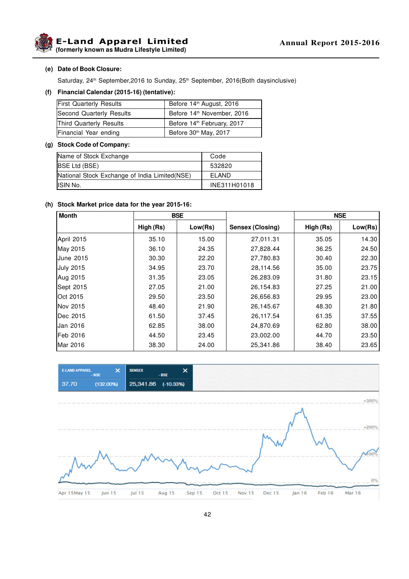**(formerly known as Mudra Lifestyle Limited)**

### **(e) Date of Book Closure:**

Saturday, 24<sup>th</sup> September, 2016 to Sunday, 25<sup>th</sup> September, 2016(Both daysinclusive)

### **(f) Financial Calendar (2015-16) (tentative):**

| <b>First Quarterly Results</b> | Before 14 <sup>th</sup> August, 2016   |
|--------------------------------|----------------------------------------|
| Second Quarterly Results       | Before 14th November, 2016             |
| Third Quarterly Results        | Before 14 <sup>th</sup> February, 2017 |
| Financial Year ending          | Before 30th May, 2017                  |

### **(g) Stock Code of Company:**

| Name of Stock Exchange                         | Code         |
|------------------------------------------------|--------------|
| <b>BSE Ltd (BSE)</b>                           | 532820       |
| National Stock Exchange of India Limited (NSE) | FI AND       |
| ISIN No.                                       | INE311H01018 |

### **(h) Stock Market price data for the year 2015-16:**

| <b>Month</b>     | <b>BSE</b> |         |                  |           | <b>NSE</b> |
|------------------|------------|---------|------------------|-----------|------------|
|                  | High (Rs)  | Low(Rs) | Sensex (Closing) | High (Rs) | Low(Rs)    |
| April 2015       | 35.10      | 15.00   | 27,011.31        | 35.05     | 14.30      |
| May 2015         | 36.10      | 24.35   | 27,828.44        | 36.25     | 24.50      |
| <b>June 2015</b> | 30.30      | 22.20   | 27,780.83        | 30.40     | 22.30      |
| <b>July 2015</b> | 34.95      | 23.70   | 28,114.56        | 35.00     | 23.75      |
| Aug 2015         | 31.35      | 23.05   | 26,283.09        | 31.80     | 23.15      |
| Sept 2015        | 27.05      | 21.00   | 26,154.83        | 27.25     | 21.00      |
| <b>Oct 2015</b>  | 29.50      | 23.50   | 26,656.83        | 29.95     | 23.00      |
| Nov 2015         | 48.40      | 21.90   | 26,145.67        | 48.30     | 21.80      |
| Dec 2015         | 61.50      | 37.45   | 26,117.54        | 61.35     | 37.55      |
| IJan 2016        | 62.85      | 38.00   | 24,870.69        | 62.80     | 38.00      |
| Feb 2016         | 44.50      | 23.45   | 23,002.00        | 44.70     | 23.50      |
| Mar 2016         | 38.30      | 24.00   | 25,341.86        | 38.40     | 23.65      |

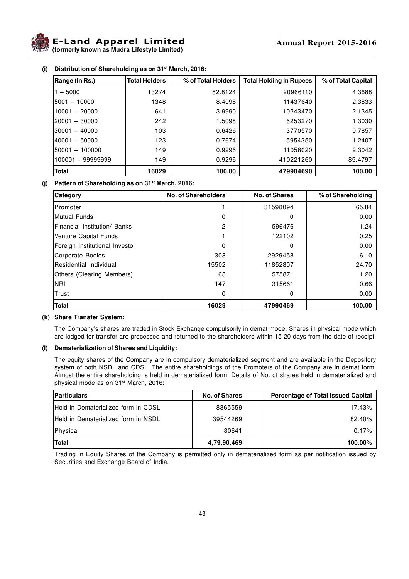

**E-Land Apparel Limited (formerly known as Mudra Lifestyle Limited)**

| Range (In Rs.)       | <b>Total Holders</b> | % of Total Holders | <b>Total Holding in Rupees</b> | % of Total Capital |
|----------------------|----------------------|--------------------|--------------------------------|--------------------|
| $-5000$              | 13274                | 82.8124            | 20966110                       | 4.3688             |
| 15001 - 10000        | 1348                 | 8.4098             | 11437640                       | 2.3833             |
| 10001 - 20000        | 641                  | 3.9990             | 10243470                       | 2.1345             |
| l20001 – 30000       | 242                  | 1.5098             | 6253270                        | 1.3030             |
| l30001 – 40000       | 103                  | 0.6426             | 3770570                        | 0.7857             |
| 40001 - 50000        | 123                  | 0.7674             | 5954350                        | 1.2407             |
| 150001 - 100000      | 149                  | 0.9296             | 11058020                       | 2.3042             |
| - 99999999<br>100001 | 149                  | 0.9296             | 410221260                      | 85.4797            |
| <b>Total</b>         | 16029                | 100.00             | 479904690                      | 100.00             |

### **(i) Distribution of Shareholding as on 31st March, 2016:**

### **(j) Pattern of Shareholding as on 31st March, 2016:**

| Category                       | <b>No. of Shareholders</b> | <b>No. of Shares</b> | % of Shareholding |
|--------------------------------|----------------------------|----------------------|-------------------|
| <b>IPromoter</b>               |                            | 31598094             | 65.84             |
| Mutual Funds                   | $\Omega$                   | 0                    | 0.00              |
| Financial Institution/ Banks   | $\overline{2}$             | 596476               | 1.24              |
| Venture Capital Funds          |                            | 122102               | 0.25              |
| Foreign Institutional Investor | $\Omega$                   | 0                    | 0.00              |
| Corporate Bodies               | 308                        | 2929458              | 6.10              |
| <b>Residential Individual</b>  | 15502                      | 11852807             | 24.70             |
| Others (Clearing Members)      | 68                         | 575871               | 1.20              |
| <b>NRI</b>                     | 147                        | 315661               | 0.66              |
| Trust                          | 0                          | 0                    | 0.00              |
| <b>Total</b>                   | 16029                      | 47990469             | 100.00            |

### **(k) Share Transfer System:**

The Company's shares are traded in Stock Exchange compulsorily in demat mode. Shares in physical mode which are lodged for transfer are processed and returned to the shareholders within 15-20 days from the date of receipt.

### **(l) Dematerialization of Shares and Liquidity:**

The equity shares of the Company are in compulsory dematerialized segment and are available in the Depository system of both NSDL and CDSL. The entire shareholdings of the Promoters of the Company are in demat form. Almost the entire shareholding is held in dematerialized form. Details of No. of shares held in dematerialized and physical mode as on 31<sup>st</sup> March, 2016:

| <b>Particulars</b>                         | <b>No. of Shares</b> | <b>Percentage of Total issued Capital</b> |
|--------------------------------------------|----------------------|-------------------------------------------|
| <b>Held in Dematerialized form in CDSL</b> | 8365559              | 17.43%                                    |
| <b>Held in Dematerialized form in NSDL</b> | 39544269             | 82.40%                                    |
| Physical                                   | 80641                | 0.17%                                     |
| Total                                      | 4,79,90,469          | 100.00%                                   |

Trading in Equity Shares of the Company is permitted only in dematerialized form as per notification issued by Securities and Exchange Board of India.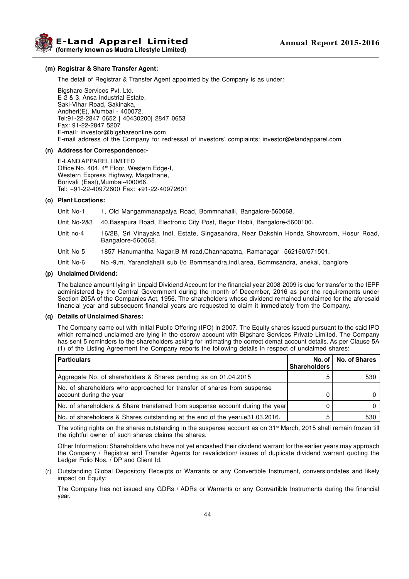**Example 2015-2016 Annual Report 2015-2016 (formerly known as Mudra Lifestyle Limited)**

### **(m) Registrar & Share Transfer Agent:**

The detail of Registrar & Transfer Agent appointed by the Company is as under:

Bigshare Services Pvt. Ltd. E-2 & 3, Ansa Industrial Estate, Saki-Vihar Road, Sakinaka, Andheri(E), Mumbai - 400072. Tel:91-22-2847 0652 | 40430200| 2847 0653 Fax: 91-22-2847 5207 E-mail: investor@bigshareonline.com E-mail address of the Company for redressal of investors' complaints: investor@elandapparel.com

#### **(n) Address for Correspondence:-**

E-LAND APPAREL LIMITED Office No. 404, 4<sup>th</sup> Floor, Western Edge-I, Western Express Highway, Magathane, Borivali (East),Mumbai-400066. Tel: +91-22-40972600 Fax: +91-22-40972601

### **(o) Plant Locations:**

Unit No-1 1, Old Mangammanapalya Road, Bommnahalli, Bangalore-560068.

- Unit No-2&3 40,Basapura Road, Electronic City Post, Begur Hobli, Bangalore-5600100.
- Unit no-4 16/2B, Sri Vinayaka Indl, Estate, Singasandra, Near Dakshin Honda Showroom, Hosur Road, Bangalore-560068.
- Unit No-5 1857 Hanumantha Nagar,B M road,Channapatna, Ramanagar- 562160/571501.
- Unit No-6 No.-9,m. Yarandlahalli sub l/o Bommsandra,indl.area, Bommsandra, anekal, banglore

### **(p) Unclaimed Dividend:**

The balance amount lying in Unpaid Dividend Account for the financial year 2008-2009 is due for transfer to the IEPF administered by the Central Government during the month of December, 2016 as per the requirements under Section 205A of the Companies Act, 1956. The shareholders whose dividend remained unclaimed for the aforesaid financial year and subsequent financial years are requested to claim it immediately from the Company.

### **(q) Details of Unclaimed Shares:**

The Company came out with Initial Public Offering (IPO) in 2007. The Equity shares issued pursuant to the said IPO which remained unclaimed are lying in the escrow account with Bigshare Services Private Limited. The Company has sent 5 reminders to the shareholders asking for intimating the correct demat account details. As per Clause 5A (1) of the Listing Agreement the Company reports the following details in respect of unclaimed shares:

| <b>Particulars</b>                                                                                 | No. of I<br><b>Shareholders</b> | <b>No. of Shares</b> |
|----------------------------------------------------------------------------------------------------|---------------------------------|----------------------|
| Aggregate No. of shareholders & Shares pending as on 01.04.2015                                    |                                 | 530                  |
| No. of shareholders who approached for transfer of shares from suspense<br>account during the year |                                 |                      |
| No. of shareholders & Share transferred from suspense account during the year                      |                                 |                      |
| No. of shareholders & Shares outstanding at the end of the yeari.e31.03.2016.                      |                                 | 530                  |

The voting rights on the shares outstanding in the suspense account as on 31st March, 2015 shall remain frozen till the rightful owner of such shares claims the shares.

Other Information: Shareholders who have not yet encashed their dividend warrant for the earlier years may approach the Company / Registrar and Transfer Agents for revalidation/ issues of duplicate dividend warrant quoting the Ledger Folio Nos. / DP and Client Id.

(r) Outstanding Global Depository Receipts or Warrants or any Convertible Instrument, conversiondates and likely impact on Equity:

The Company has not issued any GDRs / ADRs or Warrants or any Convertible Instruments during the financial year.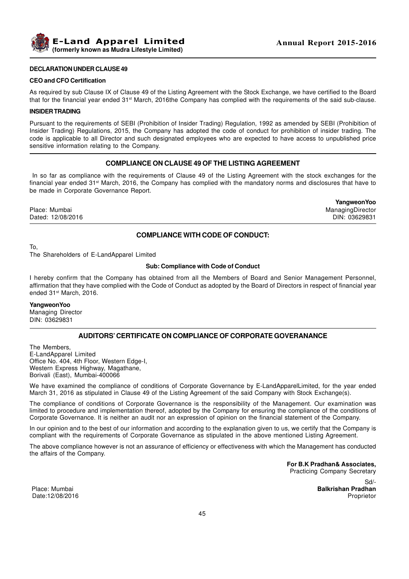

### **DECLARATION UNDER CLAUSE 49**

#### **CEO and CFO Certification**

As required by sub Clause IX of Clause 49 of the Listing Agreement with the Stock Exchange, we have certified to the Board that for the financial year ended 31<sup>st</sup> March, 2016the Company has complied with the requirements of the said sub-clause.

#### **INSIDER TRADING**

Pursuant to the requirements of SEBI (Prohibition of Insider Trading) Regulation, 1992 as amended by SEBI (Prohibition of Insider Trading) Regulations, 2015, the Company has adopted the code of conduct for prohibition of insider trading. The code is applicable to all Director and such designated employees who are expected to have access to unpublished price sensitive information relating to the Company.

### **COMPLIANCE ON CLAUSE 49 OF THE LISTING AGREEMENT**

 In so far as compliance with the requirements of Clause 49 of the Listing Agreement with the stock exchanges for the financial year ended 31st March, 2016, the Company has complied with the mandatory norms and disclosures that have to be made in Corporate Governance Report.

Place: Mumbai ManagingDirector Dated: 12/08/2016

**YangweonYoo**

To,

The Shareholders of E-LandApparel Limited

### **Sub: Compliance with Code of Conduct**

**COMPLIANCE WITH CODE OF CONDUCT:**

I hereby confirm that the Company has obtained from all the Members of Board and Senior Management Personnel, affirmation that they have complied with the Code of Conduct as adopted by the Board of Directors in respect of financial year ended 31st March, 2016.

#### **YangweonYoo**

Managing Director DIN: 03629831

### **AUDITORS' CERTIFICATE ON COMPLIANCE OF CORPORATE GOVERANANCE**

The Members, E-LandApparel Limited Office No. 404, 4th Floor, Western Edge-I, Western Express Highway, Magathane, Borivali (East), Mumbai-400066

We have examined the compliance of conditions of Corporate Governance by E-LandApparelLimited, for the year ended March 31, 2016 as stipulated in Clause 49 of the Listing Agreement of the said Company with Stock Exchange(s).

The compliance of conditions of Corporate Governance is the responsibility of the Management. Our examination was limited to procedure and implementation thereof, adopted by the Company for ensuring the compliance of the conditions of Corporate Governance. It is neither an audit nor an expression of opinion on the financial statement of the Company.

In our opinion and to the best of our information and according to the explanation given to us, we certify that the Company is compliant with the requirements of Corporate Governance as stipulated in the above mentioned Listing Agreement.

The above compliance however is not an assurance of efficiency or effectiveness with which the Management has conducted the affairs of the Company.

> **For B.K Pradhan& Associates,** Practicing Company Secretary

Sd/- Place: Mumbai **Balkrishan Pradhan**

Date:12/08/2016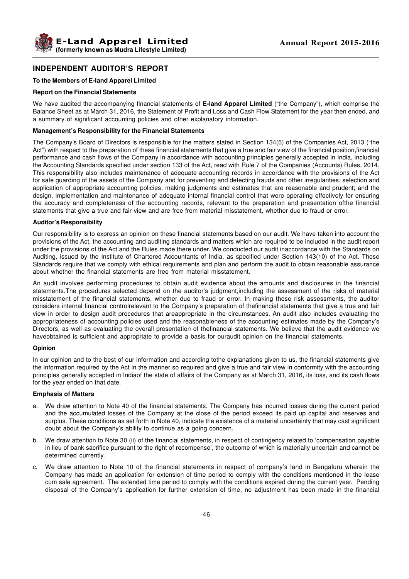# **INDEPENDENT AUDITOR'S REPORT**

### **To the Members of E-land Apparel Limited**

#### **Report on the Financial Statements**

We have audited the accompanying financial statements of **E-land Apparel Limited** ("the Company"), which comprise the Balance Sheet as at March 31, 2016, the Statement of Profit and Loss and Cash Flow Statement for the year then ended, and a summary of significant accounting policies and other explanatory information.

### **Management's Responsibility for the Financial Statements**

The Company's Board of Directors is responsible for the matters stated in Section 134(5) of the Companies Act, 2013 ("the Act") with respect to the preparation of these financial statements that give a true and fair view of the financial position,financial performance and cash flows of the Company in accordance with accounting principles generally accepted in India, including the Accounting Standards specified under section 133 of the Act, read with Rule 7 of the Companies (Accounts) Rules, 2014. This responsibility also includes maintenance of adequate accounting records in accordance with the provisions of the Act for safe guarding of the assets of the Company and for preventing and detecting frauds and other irregularities; selection and application of appropriate accounting policies; making judgments and estimates that are reasonable and prudent; and the design, implementation and maintenance of adequate internal financial control that were operating effectively for ensuring the accuracy and completeness of the accounting records, relevant to the preparation and presentation ofthe financial statements that give a true and fair view and are free from material misstatement, whether due to fraud or error.

### **Auditor's Responsibility**

Our responsibility is to express an opinion on these financial statements based on our audit. We have taken into account the provisions of the Act, the accounting and auditing standards and matters which are required to be included in the audit report under the provisions of the Act and the Rules made there under. We conducted our audit inaccordance with the Standards on Auditing, issued by the Institute of Chartered Accountants of India, as specified under Section 143(10) of the Act. Those Standards require that we comply with ethical requirements and plan and perform the audit to obtain reasonable assurance about whether the financial statements are free from material misstatement.

An audit involves performing procedures to obtain audit evidence about the amounts and disclosures in the financial statements.The procedures selected depend on the auditor's judgment,including the assessment of the risks of material misstatement of the financial statements, whether due to fraud or error. In making those risk assessments, the auditor considers internal financial controlrelevant to the Company's preparation of thefinancial statements that give a true and fair view in order to design audit procedures that areappropriate in the circumstances. An audit also includes evaluating the appropriateness of accounting policies used and the reasonableness of the accounting estimates made by the Company's Directors, as well as evaluating the overall presentation of thefinancial statements. We believe that the audit evidence we haveobtained is sufficient and appropriate to provide a basis for ouraudit opinion on the financial statements.

### **Opinion**

In our opinion and to the best of our information and according tothe explanations given to us, the financial statements give the information required by the Act in the manner so required and give a true and fair view in conformity with the accounting principles generally accepted in Indiaof the state of affairs of the Company as at March 31, 2016, its loss, and its cash flows for the year ended on that date.

### **Emphasis of Matters**

- a. We draw attention to Note 40 of the financial statements. The Company has incurred losses during the current period and the accumulated losses of the Company at the close of the period exceed its paid up capital and reserves and surplus. These conditions as set forth in Note 40, indicate the existence of a material uncertainty that may cast significant doubt about the Company's ability to continue as a going concern.
- b. We draw attention to Note 30 (ii) of the financial statements, in respect of contingency related to 'compensation payable in lieu of bank sacrifice pursuant to the right of recompense', the outcome of which is materially uncertain and cannot be determined currently.
- c. We draw attention to Note 10 of the financial statements in respect of company's land in Bengaluru wherein the Company has made an application for extension of time period to comply with the conditions mentioned in the lease cum sale agreement. The extended time period to comply with the conditions expired during the current year. Pending disposal of the Company's application for further extension of time, no adjustment has been made in the financial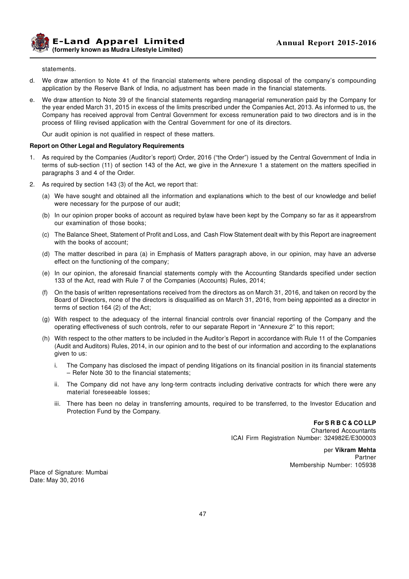**E-Land Apparel Limited (formerly known as Mudra Lifestyle Limited)**

#### statements.

- d. We draw attention to Note 41 of the financial statements where pending disposal of the company's compounding application by the Reserve Bank of India, no adjustment has been made in the financial statements.
- e. We draw attention to Note 39 of the financial statements regarding managerial remuneration paid by the Company for the year ended March 31, 2015 in excess of the limits prescribed under the Companies Act, 2013. As informed to us, the Company has received approval from Central Government for excess remuneration paid to two directors and is in the process of filing revised application with the Central Government for one of its directors.

Our audit opinion is not qualified in respect of these matters.

### **Report on Other Legal and Regulatory Requirements**

- 1. As required by the Companies (Auditor's report) Order, 2016 ("the Order") issued by the Central Government of India in terms of sub-section (11) of section 143 of the Act, we give in the Annexure 1 a statement on the matters specified in paragraphs 3 and 4 of the Order.
- 2. As required by section 143 (3) of the Act, we report that:
	- (a) We have sought and obtained all the information and explanations which to the best of our knowledge and belief were necessary for the purpose of our audit;
	- (b) In our opinion proper books of account as required bylaw have been kept by the Company so far as it appearsfrom our examination of those books;
	- (c) The Balance Sheet, Statement of Profit and Loss, and Cash Flow Statement dealt with by this Report are inagreement with the books of account;
	- (d) The matter described in para (a) in Emphasis of Matters paragraph above, in our opinion, may have an adverse effect on the functioning of the company;
	- (e) In our opinion, the aforesaid financial statements comply with the Accounting Standards specified under section 133 of the Act, read with Rule 7 of the Companies (Accounts) Rules, 2014;
	- (f) On the basis of written representations received from the directors as on March 31, 2016, and taken on record by the Board of Directors, none of the directors is disqualified as on March 31, 2016, from being appointed as a director in terms of section 164 (2) of the Act;
	- (g) With respect to the adequacy of the internal financial controls over financial reporting of the Company and the operating effectiveness of such controls, refer to our separate Report in "Annexure 2" to this report;
	- (h) With respect to the other matters to be included in the Auditor's Report in accordance with Rule 11 of the Companies (Audit and Auditors) Rules, 2014, in our opinion and to the best of our information and according to the explanations given to us:
		- i. The Company has disclosed the impact of pending litigations on its financial position in its financial statements – Refer Note 30 to the financial statements;
		- ii. The Company did not have any long-term contracts including derivative contracts for which there were any material foreseeable losses;
		- iii. There has been no delay in transferring amounts, required to be transferred, to the Investor Education and Protection Fund by the Company.

**For S R B C & CO LLP**

Chartered Accountants ICAI Firm Registration Number: 324982E/E300003

> per **Vikram Mehta** Partner Membership Number: 105938

Place of Signature: Mumbai Date: May 30, 2016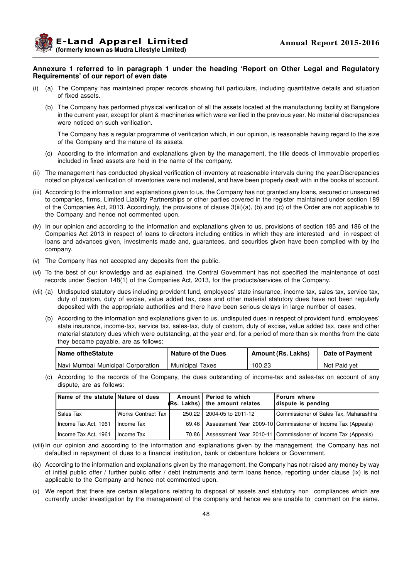**Example 2015-2016 Annual Report 2015-2016 (formerly known as Mudra Lifestyle Limited)**

### **Annexure 1 referred to in paragraph 1 under the heading 'Report on Other Legal and Regulatory Requirements' of our report of even date**

- (i) (a) The Company has maintained proper records showing full particulars, including quantitative details and situation of fixed assets.
	- (b) The Company has performed physical verification of all the assets located at the manufacturing facility at Bangalore in the current year, except for plant & machineries which were verified in the previous year. No material discrepancies were noticed on such verification.

The Company has a regular programme of verification which, in our opinion, is reasonable having regard to the size of the Company and the nature of its assets.

- (c) According to the information and explanations given by the management, the title deeds of immovable properties included in fixed assets are held in the name of the company.
- (ii) The management has conducted physical verification of inventory at reasonable intervals during the year.Discrepancies noted on physical verification of inventories were not material, and have been properly dealt with in the books of account.
- (iii) According to the information and explanations given to us, the Company has not granted any loans, secured or unsecured to companies, firms, Limited Liability Partnerships or other parties covered in the register maintained under section 189 of the Companies Act, 2013. Accordingly, the provisions of clause 3(iii)(a), (b) and (c) of the Order are not applicable to the Company and hence not commented upon.
- (iv) In our opinion and according to the information and explanations given to us, provisions of section 185 and 186 of the Companies Act 2013 in respect of loans to directors including entities in which they are interested and in respect of loans and advances given, investments made and, guarantees, and securities given have been complied with by the company.
- (v) The Company has not accepted any deposits from the public.
- (vi) To the best of our knowledge and as explained, the Central Government has not specified the maintenance of cost records under Section 148(1) of the Companies Act, 2013, for the products/services of the Company.
- (vii) (a) Undisputed statutory dues including provident fund, employees' state insurance, income-tax, sales-tax, service tax, duty of custom, duty of excise, value added tax, cess and other material statutory dues have not been regularly deposited with the appropriate authorities and there have been serious delays in large number of cases.
	- (b) According to the information and explanations given to us, undisputed dues in respect of provident fund, employees' state insurance, income-tax, service tax, sales-tax, duty of custom, duty of excise, value added tax, cess and other material statutory dues which were outstanding, at the year end, for a period of more than six months from the date they became payable, are as follows:

| Name of the Statute               | <b>Nature of the Dues</b> | Amount (Rs. Lakhs) | <b>Date of Payment</b> |
|-----------------------------------|---------------------------|--------------------|------------------------|
| Navi Mumbai Municipal Corporation | <b>Municipal Taxes</b>    | 100.23             | Not Paid vet           |

(c) According to the records of the Company, the dues outstanding of income-tax and sales-tax on account of any dispute, are as follows:

| Name of the statute Nature of dues |                    |         | Amount   Period to which<br>$(Rs. Lakhs)$ the amount relates | <b>Forum where</b><br>dispute is pending                       |
|------------------------------------|--------------------|---------|--------------------------------------------------------------|----------------------------------------------------------------|
| Sales Tax                          | Works Contract Tax | 250.22  | 2004-05 to 2011-12                                           | Commissioner of Sales Tax, Maharashtra                         |
| Income Tax Act, 1961               | Income Tax         | 69.46 L |                                                              | Assessment Year 2009-10 Commissioner of Income Tax (Appeals)   |
| Income Tax Act, 1961               | I Income Tax       | 70.86 I |                                                              | Assessment Year 2010-11   Commissioner of Income Tax (Appeals) |

- (viii) In our opinion and according to the information and explanations given by the management, the Company has not defaulted in repayment of dues to a financial institution, bank or debenture holders or Government.
- (ix) According to the information and explanations given by the management, the Company has not raised any money by way of initial public offer / further public offer / debt instruments and term loans hence, reporting under clause (ix) is not applicable to the Company and hence not commented upon.
- (x) We report that there are certain allegations relating to disposal of assets and statutory non compliances which are currently under investigation by the management of the company and hence we are unable to comment on the same.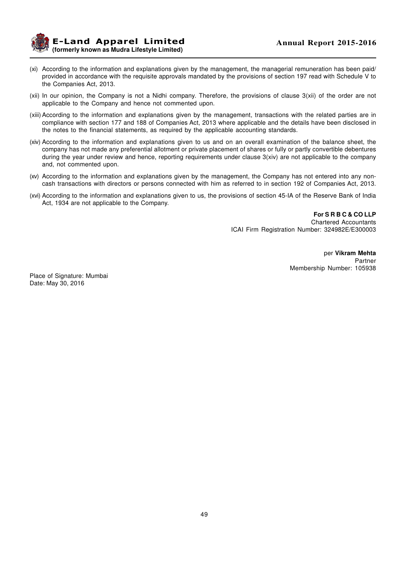**E-Land Apparel Limited (formerly known as Mudra Lifestyle Limited)**

- (xi) According to the information and explanations given by the management, the managerial remuneration has been paid/ provided in accordance with the requisite approvals mandated by the provisions of section 197 read with Schedule V to the Companies Act, 2013.
- (xii) In our opinion, the Company is not a Nidhi company. Therefore, the provisions of clause 3(xii) of the order are not applicable to the Company and hence not commented upon.
- (xiii) According to the information and explanations given by the management, transactions with the related parties are in compliance with section 177 and 188 of Companies Act, 2013 where applicable and the details have been disclosed in the notes to the financial statements, as required by the applicable accounting standards.
- (xiv) According to the information and explanations given to us and on an overall examination of the balance sheet, the company has not made any preferential allotment or private placement of shares or fully or partly convertible debentures during the year under review and hence, reporting requirements under clause 3(xiv) are not applicable to the company and, not commented upon.
- (xv) According to the information and explanations given by the management, the Company has not entered into any noncash transactions with directors or persons connected with him as referred to in section 192 of Companies Act, 2013.
- (xvi) According to the information and explanations given to us, the provisions of section 45-IA of the Reserve Bank of India Act, 1934 are not applicable to the Company.

**For S R B C & CO LLP** Chartered Accountants ICAI Firm Registration Number: 324982E/E300003

> per **Vikram Mehta** Partner Membership Number: 105938

Place of Signature: Mumbai Date: May 30, 2016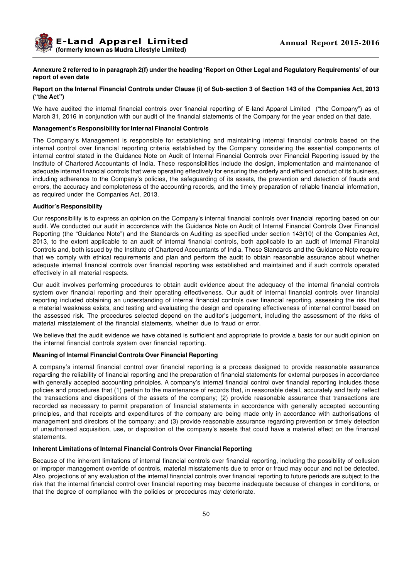### **Annexure 2 referred to in paragraph 2(f) under the heading 'Report on Other Legal and Regulatory Requirements' of our report of even date**

### **Report on the Internal Financial Controls under Clause (i) of Sub-section 3 of Section 143 of the Companies Act, 2013 ("the Act")**

We have audited the internal financial controls over financial reporting of E-land Apparel Limited ("the Company") as of March 31, 2016 in conjunction with our audit of the financial statements of the Company for the year ended on that date.

### **Management's Responsibility for Internal Financial Controls**

The Company's Management is responsible for establishing and maintaining internal financial controls based on the internal control over financial reporting criteria established by the Company considering the essential components of internal control stated in the Guidance Note on Audit of Internal Financial Controls over Financial Reporting issued by the Institute of Chartered Accountants of India. These responsibilities include the design, implementation and maintenance of adequate internal financial controls that were operating effectively for ensuring the orderly and efficient conduct of its business, including adherence to the Company's policies, the safeguarding of its assets, the prevention and detection of frauds and errors, the accuracy and completeness of the accounting records, and the timely preparation of reliable financial information, as required under the Companies Act, 2013.

### **Auditor's Responsibility**

Our responsibility is to express an opinion on the Company's internal financial controls over financial reporting based on our audit. We conducted our audit in accordance with the Guidance Note on Audit of Internal Financial Controls Over Financial Reporting (the "Guidance Note") and the Standards on Auditing as specified under section 143(10) of the Companies Act, 2013, to the extent applicable to an audit of internal financial controls, both applicable to an audit of Internal Financial Controls and, both issued by the Institute of Chartered Accountants of India. Those Standards and the Guidance Note require that we comply with ethical requirements and plan and perform the audit to obtain reasonable assurance about whether adequate internal financial controls over financial reporting was established and maintained and if such controls operated effectively in all material respects.

Our audit involves performing procedures to obtain audit evidence about the adequacy of the internal financial controls system over financial reporting and their operating effectiveness. Our audit of internal financial controls over financial reporting included obtaining an understanding of internal financial controls over financial reporting, assessing the risk that a material weakness exists, and testing and evaluating the design and operating effectiveness of internal control based on the assessed risk. The procedures selected depend on the auditor's judgement, including the assessment of the risks of material misstatement of the financial statements, whether due to fraud or error.

We believe that the audit evidence we have obtained is sufficient and appropriate to provide a basis for our audit opinion on the internal financial controls system over financial reporting.

#### **Meaning of Internal Financial Controls Over Financial Reporting**

A company's internal financial control over financial reporting is a process designed to provide reasonable assurance regarding the reliability of financial reporting and the preparation of financial statements for external purposes in accordance with generally accepted accounting principles. A company's internal financial control over financial reporting includes those policies and procedures that (1) pertain to the maintenance of records that, in reasonable detail, accurately and fairly reflect the transactions and dispositions of the assets of the company; (2) provide reasonable assurance that transactions are recorded as necessary to permit preparation of financial statements in accordance with generally accepted accounting principles, and that receipts and expenditures of the company are being made only in accordance with authorisations of management and directors of the company; and (3) provide reasonable assurance regarding prevention or timely detection of unauthorised acquisition, use, or disposition of the company's assets that could have a material effect on the financial statements.

#### **Inherent Limitations of Internal Financial Controls Over Financial Reporting**

Because of the inherent limitations of internal financial controls over financial reporting, including the possibility of collusion or improper management override of controls, material misstatements due to error or fraud may occur and not be detected. Also, projections of any evaluation of the internal financial controls over financial reporting to future periods are subject to the risk that the internal financial control over financial reporting may become inadequate because of changes in conditions, or that the degree of compliance with the policies or procedures may deteriorate.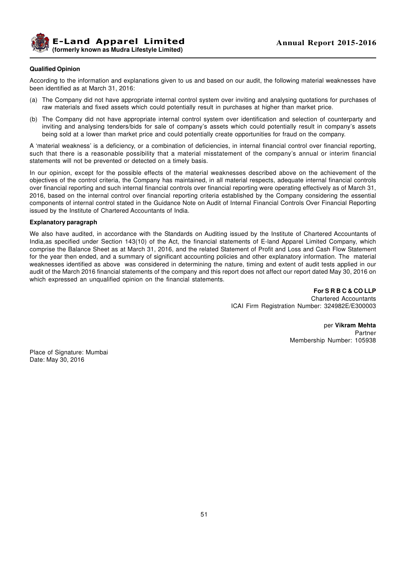

### **Qualified Opinion**

According to the information and explanations given to us and based on our audit, the following material weaknesses have been identified as at March 31, 2016:

- (a) The Company did not have appropriate internal control system over inviting and analysing quotations for purchases of raw materials and fixed assets which could potentially result in purchases at higher than market price.
- (b) The Company did not have appropriate internal control system over identification and selection of counterparty and inviting and analysing tenders/bids for sale of company's assets which could potentially result in company's assets being sold at a lower than market price and could potentially create opportunities for fraud on the company.

A 'material weakness' is a deficiency, or a combination of deficiencies, in internal financial control over financial reporting, such that there is a reasonable possibility that a material misstatement of the company's annual or interim financial statements will not be prevented or detected on a timely basis.

In our opinion, except for the possible effects of the material weaknesses described above on the achievement of the objectives of the control criteria, the Company has maintained, in all material respects, adequate internal financial controls over financial reporting and such internal financial controls over financial reporting were operating effectively as of March 31, 2016, based on the internal control over financial reporting criteria established by the Company considering the essential components of internal control stated in the Guidance Note on Audit of Internal Financial Controls Over Financial Reporting issued by the Institute of Chartered Accountants of India.

### **Explanatory paragraph**

We also have audited, in accordance with the Standards on Auditing issued by the Institute of Chartered Accountants of India,as specified under Section 143(10) of the Act, the financial statements of E-land Apparel Limited Company, which comprise the Balance Sheet as at March 31, 2016, and the related Statement of Profit and Loss and Cash Flow Statement for the year then ended, and a summary of significant accounting policies and other explanatory information. The material weaknesses identified as above was considered in determining the nature, timing and extent of audit tests applied in our audit of the March 2016 financial statements of the company and this report does not affect our report dated May 30, 2016 on which expressed an unqualified opinion on the financial statements.

> **For S R B C & CO LLP** Chartered Accountants ICAI Firm Registration Number: 324982E/E300003

> > per **Vikram Mehta** Partner Membership Number: 105938

Place of Signature: Mumbai Date: May 30, 2016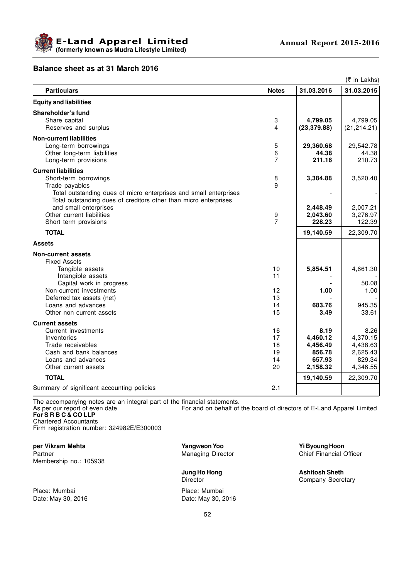

# **Balance sheet as at 31 March 2016**

| (₹ in Lakhs)                                                                                                                          |                |              |                    |  |
|---------------------------------------------------------------------------------------------------------------------------------------|----------------|--------------|--------------------|--|
| <b>Particulars</b>                                                                                                                    | <b>Notes</b>   | 31.03.2016   | 31.03.2015         |  |
| <b>Equity and liabilities</b>                                                                                                         |                |              |                    |  |
| Shareholder's fund                                                                                                                    |                |              |                    |  |
| Share capital                                                                                                                         | 3              | 4,799.05     | 4,799.05           |  |
| Reserves and surplus                                                                                                                  | 4              | (23, 379.88) | (21, 214.21)       |  |
| <b>Non-current liabilities</b>                                                                                                        |                |              |                    |  |
| Long-term borrowings                                                                                                                  | 5              | 29,360.68    | 29,542.78          |  |
| Other long-term liabilities                                                                                                           | 6              | 44.38        | 44.38              |  |
| Long-term provisions                                                                                                                  | $\overline{7}$ | 211.16       | 210.73             |  |
| <b>Current liabilities</b>                                                                                                            |                |              |                    |  |
| Short-term borrowings                                                                                                                 | 8              | 3,384.88     | 3,520.40           |  |
| Trade payables                                                                                                                        | 9              |              |                    |  |
| Total outstanding dues of micro enterprises and small enterprises<br>Total outstanding dues of creditors other than micro enterprises |                |              |                    |  |
| and small enterprises                                                                                                                 |                | 2,448.49     | 2,007.21           |  |
| Other current liabilities                                                                                                             | 9              | 2,043.60     | 3,276.97           |  |
| Short term provisions                                                                                                                 | $\overline{7}$ | 228.23       | 122.39             |  |
| <b>TOTAL</b>                                                                                                                          |                | 19,140.59    | 22,309.70          |  |
| <b>Assets</b>                                                                                                                         |                |              |                    |  |
| <b>Non-current assets</b>                                                                                                             |                |              |                    |  |
| <b>Fixed Assets</b>                                                                                                                   |                |              |                    |  |
| Tangible assets                                                                                                                       | 10             | 5,854.51     | 4,661.30           |  |
| Intangible assets                                                                                                                     | 11             |              |                    |  |
| Capital work in progress                                                                                                              |                |              | 50.08              |  |
| Non-current investments                                                                                                               | 12             | 1.00         | 1.00               |  |
| Deferred tax assets (net)                                                                                                             | 13             |              |                    |  |
| Loans and advances                                                                                                                    | 14             | 683.76       | 945.35             |  |
| Other non current assets                                                                                                              | 15             | 3.49         | 33.61              |  |
| <b>Current assets</b>                                                                                                                 |                |              |                    |  |
| Current investments                                                                                                                   | 16             | 8.19         | 8.26               |  |
| Inventories                                                                                                                           | 17             | 4,460.12     | 4,370.15           |  |
| Trade receivables                                                                                                                     | 18             | 4,456.49     | 4,438.63           |  |
| Cash and bank balances                                                                                                                | 19             | 856.78       | 2,625.43           |  |
| Loans and advances                                                                                                                    | 14<br>20       | 657.93       | 829.34<br>4,346.55 |  |
| Other current assets                                                                                                                  |                | 2,158.32     |                    |  |
| <b>TOTAL</b>                                                                                                                          |                | 19,140.59    | 22,309.70          |  |
| Summary of significant accounting policies                                                                                            | 2.1            |              |                    |  |

The accompanying notes are an integral part of the financial statements.

As per our report of even date For and on behalf of the board of directors of E-Land Apparel Limited **For S R B C & CO LLP** Chartered Accountants

Firm registration number: 324982E/E300003

Partner Managing Director Managing Director Membership no.: 105938

Place: Mumbai Place: Mumbai Date: May 30, 2016 **Date: May 30, 2016** 

**per Vikram Mehta Yangweon Yoo Yangweon Yoo Yi Byoung Hoon Ying Wangweon Yoo Ying Wanading Director Ying Chief** Financial Officer

**Jung Ho Hong**<br> **Ashitosh Sheth**<br> **Director**<br> **Company Secre** Company Secretary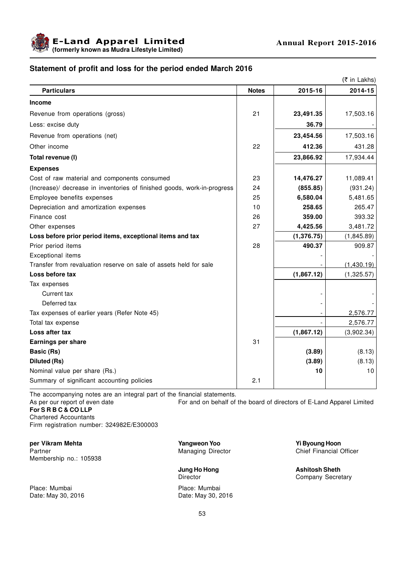

# **Statement of profit and loss for the period ended March 2016**

|                                                                         |              |             | (₹ in Lakhs) |
|-------------------------------------------------------------------------|--------------|-------------|--------------|
| <b>Particulars</b>                                                      | <b>Notes</b> | 2015-16     | 2014-15      |
| <b>Income</b>                                                           |              |             |              |
| Revenue from operations (gross)                                         | 21           | 23,491.35   | 17,503.16    |
| Less: excise duty                                                       |              | 36.79       |              |
| Revenue from operations (net)                                           |              | 23,454.56   | 17,503.16    |
| Other income                                                            | 22           | 412.36      | 431.28       |
| Total revenue (I)                                                       |              | 23,866.92   | 17,934.44    |
| <b>Expenses</b>                                                         |              |             |              |
| Cost of raw material and components consumed                            | 23           | 14,476.27   | 11,089.41    |
| (Increase)/ decrease in inventories of finished goods, work-in-progress | 24           | (855.85)    | (931.24)     |
| Employee benefits expenses                                              | 25           | 6,580.04    | 5,481.65     |
| Depreciation and amortization expenses                                  | 10           | 258.65      | 265.47       |
| Finance cost                                                            | 26           | 359.00      | 393.32       |
| Other expenses                                                          | 27           | 4,425.56    | 3,481.72     |
| Loss before prior period items, exceptional items and tax               |              | (1, 376.75) | (1,845.89)   |
| Prior period items                                                      | 28           | 490.37      | 909.87       |
| Exceptional items                                                       |              |             |              |
| Transfer from revaluation reserve on sale of assets held for sale       |              |             | (1,430.19)   |
| Loss before tax                                                         |              | (1,867.12)  | (1,325.57)   |
| Tax expenses                                                            |              |             |              |
| Current tax                                                             |              |             |              |
| Deferred tax                                                            |              |             |              |
| Tax expenses of earlier years (Refer Note 45)                           |              |             | 2,576.77     |
| Total tax expense                                                       |              |             | 2,576.77     |
| Loss after tax                                                          |              | (1,867.12)  | (3,902.34)   |
| <b>Earnings per share</b>                                               | 31           |             |              |
| <b>Basic (Rs)</b>                                                       |              | (3.89)      | (8.13)       |
| Diluted (Rs)                                                            |              | (3.89)      | (8.13)       |
| Nominal value per share (Rs.)                                           |              | 10          | 10           |
| Summary of significant accounting policies                              | 2.1          |             |              |

The accompanying notes are an integral part of the financial statements.<br>As per our report of even date For and on behalf of For and on behalf of the board of directors of E-Land Apparel Limited

**For S R B C & CO LLP**

Chartered Accountants

Firm registration number: 324982E/E300003

**per Vikram Mehta Yangweon Yoo Yi Byoung Hoon** Partner **Managing Director** Chief Financial Officer Membership no.: 105938

Place: Mumbai **Place: Mumbai** Date: May 30, 2016 **Date: May 30, 2016** 

**Jung Ho Hong**<br> **Ashitosh Sheth**<br> **Director**<br> **Company Secre** 

Company Secretary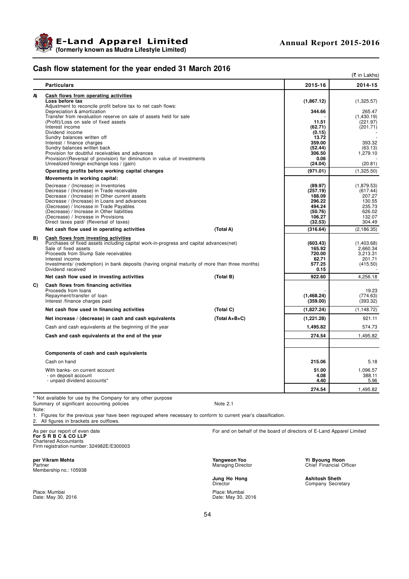

# **Cash flow statement for the year ended 31 March 2016**

|    | www.come.com                                                                                                                                                                                                                                                                                                                                                |               |                                                                                   | (₹ in Lakhs)                                                                       |
|----|-------------------------------------------------------------------------------------------------------------------------------------------------------------------------------------------------------------------------------------------------------------------------------------------------------------------------------------------------------------|---------------|-----------------------------------------------------------------------------------|------------------------------------------------------------------------------------|
|    | <b>Particulars</b>                                                                                                                                                                                                                                                                                                                                          |               | 2015-16                                                                           | 2014-15                                                                            |
| A) | Cash flows from operating activities<br>Loss before tax<br>Adjustment to reconcile profit before tax to net cash flows:                                                                                                                                                                                                                                     |               | (1,867.12)                                                                        | (1,325.57)                                                                         |
|    | Depreciation & amortization<br>Transfer from revaluation reserve on sale of assets held for sale                                                                                                                                                                                                                                                            |               | 344.66                                                                            | 265.47<br>(1,430.19)                                                               |
|    | (Profit)/Loss on sale of fixed assets<br>Interest income<br>Dividend income                                                                                                                                                                                                                                                                                 |               | 11.51<br>(62.71)<br>(0.15)<br>13.72                                               | (221.97)<br>(201.71)                                                               |
|    | Sundry balances written off<br>Interest / finance charges<br>Sundry balances written back<br>Provision for doubtful receivables and advances                                                                                                                                                                                                                |               | 359.00<br>(52.44)<br>306.50                                                       | 393.32<br>(63.13)<br>1,279.10                                                      |
|    | Provision/(Reversal of provision) for diminution in value of investments<br>Unrealized foreign exchange loss / (gain)                                                                                                                                                                                                                                       |               | 0.06<br>(24.04)                                                                   | (20.81)                                                                            |
|    | Operating profits before working capital changes                                                                                                                                                                                                                                                                                                            |               | (971.01)                                                                          | (1,325.50)                                                                         |
|    | Movements in working capital:                                                                                                                                                                                                                                                                                                                               |               |                                                                                   |                                                                                    |
|    | Decrease / (Increase) in Inventories<br>Decrease / (Increase) in Trade receivable<br>Decrease / (Increase) in Other current assets<br>Decrease / (Increase) in Loans and advances<br>(Decrease) / Increase in Trade Payables<br>(Decrease) / Increase in Other liabilities<br>(Decrease) / Increase in Provisions<br>Direct taxes paid/ (Reversal of taxes) |               | (89.97)<br>(257.19)<br>188.09<br>296.22<br>494.24<br>(50.76)<br>106.27<br>(32.53) | (1,879.53)<br>(617.44)<br>207.27<br>130.55<br>235.73<br>626.02<br>132.07<br>304.49 |
|    | Net cash flow used in operating activities                                                                                                                                                                                                                                                                                                                  | (Total A)     | (316.64)                                                                          | (2, 186.35)                                                                        |
| B) | Cash flows from investing activities<br>Purchases of fixed assets including capital work-in-progress and capital advances(net)<br>Sale of fixed assets<br>Proceeds from Slump Sale receivables<br>Interest income<br>Investments/ (redemption) in bank deposits (having original maturity of more than three months)<br>Dividend received                   |               | (603.43)<br>165.92<br>720.00<br>62.71<br>577.25<br>0.15                           | (1,403.68)<br>2.660.34<br>3.213.31<br>201.71<br>(415.50)                           |
|    | Net cash flow used in investing activities                                                                                                                                                                                                                                                                                                                  | (Total B)     | 922.60                                                                            | 4,256.18                                                                           |
| C) | Cash flows from financing activities<br>Proceeds from loans<br>Repayment/transfer of loan<br>Interest /finance charges paid                                                                                                                                                                                                                                 |               | (1,468.24)<br>(359.00)                                                            | 19.23<br>(774.63)<br>(393.32)                                                      |
|    | Net cash flow used in financing activities                                                                                                                                                                                                                                                                                                                  | (Total C)     | (1,827.24)                                                                        | (1, 148.72)                                                                        |
|    | Net increase / (decrease) in cash and cash equivalents                                                                                                                                                                                                                                                                                                      | (Total A+B+C) | (1,221.28)                                                                        | 921.11                                                                             |
|    | Cash and cash equivalents at the beginning of the year                                                                                                                                                                                                                                                                                                      |               | 1,495.82                                                                          | 574.73                                                                             |
|    | Cash and cash equivalents at the end of the year                                                                                                                                                                                                                                                                                                            |               | 274.54                                                                            | 1,495.82                                                                           |
|    | Components of cash and cash equivalents                                                                                                                                                                                                                                                                                                                     |               |                                                                                   |                                                                                    |
|    | Cash on hand                                                                                                                                                                                                                                                                                                                                                |               | 215.06                                                                            | 5.18                                                                               |
|    | With banks- on current account<br>- on deposit account<br>- unpaid dividend accounts*                                                                                                                                                                                                                                                                       |               | 51.00<br>4.08<br>4.40                                                             | 1,096.57<br>388.11<br>5.96                                                         |
|    |                                                                                                                                                                                                                                                                                                                                                             |               | 274.54                                                                            | 1.495.82                                                                           |

\* Not available for use by the Company for any other purpose Summary of significant accounting policies in the Community of Summary of Summary of Summary of Summary 1. Note:

1. Figures for the previous year have been regrouped where necessary to conform to current year's classification. 2. All figures in brackets are outflows.

**For S R B C & CO LLP** Chartered Accountants Firm registration number: 324982E/E300003

**Per Vikram Mehta Per Vikram Mehta Partner Yoon Partner Yoon Partner Yoon Byoung Hoon Managing Director** Membership no.: 105938

Place: Mumbai **Place: Mumbai Place: Mumbai Place: Mumbai** Place: May 30, intervention Place: May 30, intervention<br>Place: May 30, 2016

For and on behalf of the board of directors of E-Land Apparel Limited

**Jung Ho Hong Ashitosh Sheth**

Date: May 30, 2016 Date: May 30, 2016

Yi Byoung Hoon<br>Chief Financial Officer

Company Secretary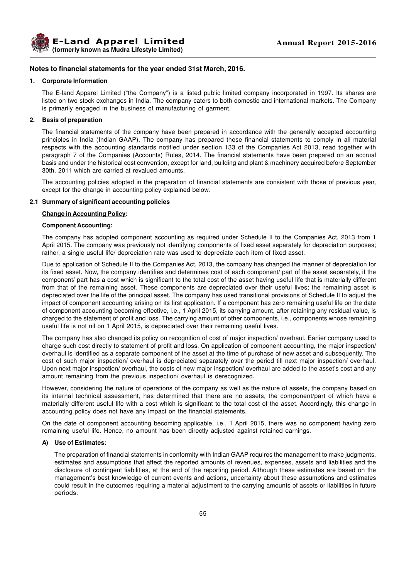

### **Notes to financial statements for the year ended 31st March, 2016.**

#### **1. Corporate Information**

The E-land Apparel Limited ("the Company") is a listed public limited company incorporated in 1997. Its shares are listed on two stock exchanges in India. The company caters to both domestic and international markets. The Company is primarily engaged in the business of manufacturing of garment.

### **2. Basis of preparation**

The financial statements of the company have been prepared in accordance with the generally accepted accounting principles in India (Indian GAAP). The company has prepared these financial statements to comply in all material respects with the accounting standards notified under section 133 of the Companies Act 2013, read together with paragraph 7 of the Companies (Accounts) Rules, 2014. The financial statements have been prepared on an accrual basis and under the historical cost convention, except for land, building and plant & machinery acquired before September 30th, 2011 which are carried at revalued amounts.

The accounting policies adopted in the preparation of financial statements are consistent with those of previous year, except for the change in accounting policy explained below.

### **2.1 Summary of significant accounting policies**

### **Change in Accounting Policy:**

### **Component Accounting:**

The company has adopted component accounting as required under Schedule II to the Companies Act, 2013 from 1 April 2015. The company was previously not identifying components of fixed asset separately for depreciation purposes; rather, a single useful life/ depreciation rate was used to depreciate each item of fixed asset.

Due to application of Schedule II to the Companies Act, 2013, the company has changed the manner of depreciation for its fixed asset. Now, the company identifies and determines cost of each component/ part of the asset separately, if the component/ part has a cost which is significant to the total cost of the asset having useful life that is materially different from that of the remaining asset. These components are depreciated over their useful lives; the remaining asset is depreciated over the life of the principal asset. The company has used transitional provisions of Schedule II to adjust the impact of component accounting arising on its first application. If a component has zero remaining useful life on the date of component accounting becoming effective, i.e., 1 April 2015, its carrying amount, after retaining any residual value, is charged to the statement of profit and loss. The carrying amount of other components, i.e., components whose remaining useful life is not nil on 1 April 2015, is depreciated over their remaining useful lives.

The company has also changed its policy on recognition of cost of major inspection/ overhaul. Earlier company used to charge such cost directly to statement of profit and loss. On application of component accounting, the major inspection/ overhaul is identified as a separate component of the asset at the time of purchase of new asset and subsequently. The cost of such major inspection/ overhaul is depreciated separately over the period till next major inspection/ overhaul. Upon next major inspection/ overhaul, the costs of new major inspection/ overhaul are added to the asset's cost and any amount remaining from the previous inspection/ overhaul is derecognized.

However, considering the nature of operations of the company as well as the nature of assets, the company based on its internal technical assessment, has determined that there are no assets, the component/part of which have a materially different useful life with a cost which is significant to the total cost of the asset. Accordingly, this change in accounting policy does not have any impact on the financial statements.

On the date of component accounting becoming applicable, i.e., 1 April 2015, there was no component having zero remaining useful life. Hence, no amount has been directly adjusted against retained earnings.

#### **A) Use of Estimates:**

The preparation of financial statements in conformity with Indian GAAP requires the management to make judgments, estimates and assumptions that affect the reported amounts of revenues, expenses, assets and liabilities and the disclosure of contingent liabilities, at the end of the reporting period. Although these estimates are based on the management's best knowledge of current events and actions, uncertainty about these assumptions and estimates could result in the outcomes requiring a material adjustment to the carrying amounts of assets or liabilities in future periods.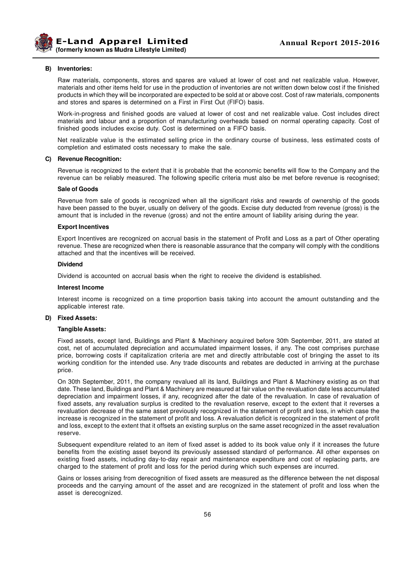

#### **B) Inventories:**

Raw materials, components, stores and spares are valued at lower of cost and net realizable value. However, materials and other items held for use in the production of inventories are not written down below cost if the finished products in which they will be incorporated are expected to be sold at or above cost. Cost of raw materials, components and stores and spares is determined on a First in First Out (FIFO) basis.

Work-in-progress and finished goods are valued at lower of cost and net realizable value. Cost includes direct materials and labour and a proportion of manufacturing overheads based on normal operating capacity. Cost of finished goods includes excise duty. Cost is determined on a FIFO basis.

Net realizable value is the estimated selling price in the ordinary course of business, less estimated costs of completion and estimated costs necessary to make the sale.

### **C) Revenue Recognition:**

Revenue is recognized to the extent that it is probable that the economic benefits will flow to the Company and the revenue can be reliably measured. The following specific criteria must also be met before revenue is recognised;

### **Sale of Goods**

Revenue from sale of goods is recognized when all the significant risks and rewards of ownership of the goods have been passed to the buyer, usually on delivery of the goods. Excise duty deducted from revenue (gross) is the amount that is included in the revenue (gross) and not the entire amount of liability arising during the year.

#### **Export Incentives**

Export Incentives are recognized on accrual basis in the statement of Profit and Loss as a part of Other operating revenue. These are recognized when there is reasonable assurance that the company will comply with the conditions attached and that the incentives will be received.

### **Dividend**

Dividend is accounted on accrual basis when the right to receive the dividend is established.

#### **Interest Income**

Interest income is recognized on a time proportion basis taking into account the amount outstanding and the applicable interest rate.

#### **D) Fixed Assets:**

#### **Tangible Assets:**

Fixed assets, except land, Buildings and Plant & Machinery acquired before 30th September, 2011, are stated at cost, net of accumulated depreciation and accumulated impairment losses, if any. The cost comprises purchase price, borrowing costs if capitalization criteria are met and directly attributable cost of bringing the asset to its working condition for the intended use. Any trade discounts and rebates are deducted in arriving at the purchase price.

On 30th September, 2011, the company revalued all its land, Buildings and Plant & Machinery existing as on that date. These land, Buildings and Plant & Machinery are measured at fair value on the revaluation date less accumulated depreciation and impairment losses, if any, recognized after the date of the revaluation. In case of revaluation of fixed assets, any revaluation surplus is credited to the revaluation reserve, except to the extent that it reverses a revaluation decrease of the same asset previously recognized in the statement of profit and loss, in which case the increase is recognized in the statement of profit and loss. A revaluation deficit is recognized in the statement of profit and loss, except to the extent that it offsets an existing surplus on the same asset recognized in the asset revaluation reserve.

Subsequent expenditure related to an item of fixed asset is added to its book value only if it increases the future benefits from the existing asset beyond its previously assessed standard of performance. All other expenses on existing fixed assets, including day-to-day repair and maintenance expenditure and cost of replacing parts, are charged to the statement of profit and loss for the period during which such expenses are incurred.

Gains or losses arising from derecognition of fixed assets are measured as the difference between the net disposal proceeds and the carrying amount of the asset and are recognized in the statement of profit and loss when the asset is derecognized.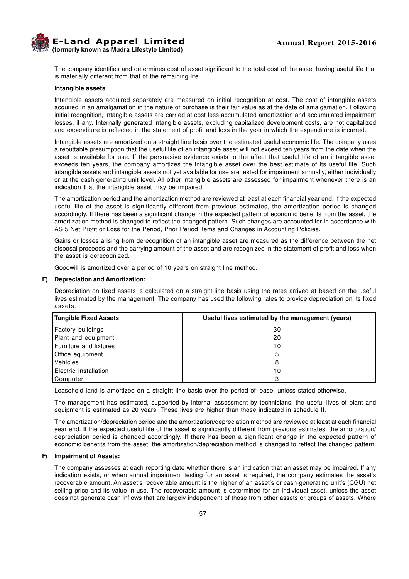**E-Land Apparel Limited (formerly known as Mudra Lifestyle Limited)**

The company identifies and determines cost of asset significant to the total cost of the asset having useful life that is materially different from that of the remaining life.

### **Intangible assets**

Intangible assets acquired separately are measured on initial recognition at cost. The cost of intangible assets acquired in an amalgamation in the nature of purchase is their fair value as at the date of amalgamation. Following initial recognition, intangible assets are carried at cost less accumulated amortization and accumulated impairment losses, if any. Internally generated intangible assets, excluding capitalized development costs, are not capitalized and expenditure is reflected in the statement of profit and loss in the year in which the expenditure is incurred.

Intangible assets are amortized on a straight line basis over the estimated useful economic life. The company uses a rebuttable presumption that the useful life of an intangible asset will not exceed ten years from the date when the asset is available for use. If the persuasive evidence exists to the affect that useful life of an intangible asset exceeds ten years, the company amortizes the intangible asset over the best estimate of its useful life. Such intangible assets and intangible assets not yet available for use are tested for impairment annually, either individually or at the cash-generating unit level. All other intangible assets are assessed for impairment whenever there is an indication that the intangible asset may be impaired.

The amortization period and the amortization method are reviewed at least at each financial year end. If the expected useful life of the asset is significantly different from previous estimates, the amortization period is changed accordingly. If there has been a significant change in the expected pattern of economic benefits from the asset, the amortization method is changed to reflect the changed pattern. Such changes are accounted for in accordance with AS 5 Net Profit or Loss for the Period, Prior Period Items and Changes in Accounting Policies.

Gains or losses arising from derecognition of an intangible asset are measured as the difference between the net disposal proceeds and the carrying amount of the asset and are recognized in the statement of profit and loss when the asset is derecognized.

Goodwill is amortized over a period of 10 years on straight line method.

### **E) Depreciation and Amortization:**

Depreciation on fixed assets is calculated on a straight-line basis using the rates arrived at based on the useful lives estimated by the management. The company has used the following rates to provide depreciation on its fixed assets.

| <b>Tangible Fixed Assets</b> | Useful lives estimated by the management (years) |
|------------------------------|--------------------------------------------------|
| Factory buildings            | 30                                               |
| Plant and equipment          | 20                                               |
| Furniture and fixtures       | 10                                               |
| Office equipment             | 5                                                |
| Vehicles                     | 8                                                |
| Electric Installation        | 10                                               |
| Computer                     | 3                                                |

Leasehold land is amortized on a straight line basis over the period of lease, unless stated otherwise.

The management has estimated, supported by internal assessment by technicians, the useful lives of plant and equipment is estimated as 20 years. These lives are higher than those indicated in schedule II.

The amortization/depreciation period and the amortization/depreciation method are reviewed at least at each financial year end. If the expected useful life of the asset is significantly different from previous estimates, the amortization/ depreciation period is changed accordingly. If there has been a significant change in the expected pattern of economic benefits from the asset, the amortization/depreciation method is changed to reflect the changed pattern.

### **F) Impairment of Assets:**

The company assesses at each reporting date whether there is an indication that an asset may be impaired. If any indication exists, or when annual impairment testing for an asset is required, the company estimates the asset's recoverable amount. An asset's recoverable amount is the higher of an asset's or cash-generating unit's (CGU) net selling price and its value in use. The recoverable amount is determined for an individual asset, unless the asset does not generate cash inflows that are largely independent of those from other assets or groups of assets. Where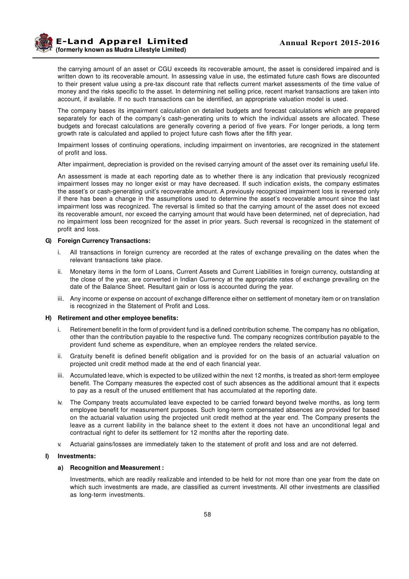**Example 2015-2016 Annual Report 2015-2016 (formerly known as Mudra Lifestyle Limited)**

the carrying amount of an asset or CGU exceeds its recoverable amount, the asset is considered impaired and is written down to its recoverable amount. In assessing value in use, the estimated future cash flows are discounted to their present value using a pre-tax discount rate that reflects current market assessments of the time value of money and the risks specific to the asset. In determining net selling price, recent market transactions are taken into account, if available. If no such transactions can be identified, an appropriate valuation model is used.

The company bases its impairment calculation on detailed budgets and forecast calculations which are prepared separately for each of the company's cash-generating units to which the individual assets are allocated. These budgets and forecast calculations are generally covering a period of five years. For longer periods, a long term growth rate is calculated and applied to project future cash flows after the fifth year.

Impairment losses of continuing operations, including impairment on inventories, are recognized in the statement of profit and loss.

After impairment, depreciation is provided on the revised carrying amount of the asset over its remaining useful life.

An assessment is made at each reporting date as to whether there is any indication that previously recognized impairment losses may no longer exist or may have decreased. If such indication exists, the company estimates the asset's or cash-generating unit's recoverable amount. A previously recognized impairment loss is reversed only if there has been a change in the assumptions used to determine the asset's recoverable amount since the last impairment loss was recognized. The reversal is limited so that the carrying amount of the asset does not exceed its recoverable amount, nor exceed the carrying amount that would have been determined, net of depreciation, had no impairment loss been recognized for the asset in prior years. Such reversal is recognized in the statement of profit and loss.

### **G) Foreign Currency Transactions:**

- i. All transactions in foreign currency are recorded at the rates of exchange prevailing on the dates when the relevant transactions take place.
- ii. Monetary items in the form of Loans, Current Assets and Current Liabilities in foreign currency, outstanding at the close of the year, are converted in Indian Currency at the appropriate rates of exchange prevailing on the date of the Balance Sheet. Resultant gain or loss is accounted during the year.
- iii. Any income or expense on account of exchange difference either on settlement of monetary item or on translation is recognized in the Statement of Profit and Loss.

#### **H) Retirement and other employee benefits:**

- i. Retirement benefit in the form of provident fund is a defined contribution scheme. The company has no obligation, other than the contribution payable to the respective fund. The company recognizes contribution payable to the provident fund scheme as expenditure, when an employee renders the related service.
- ii. Gratuity benefit is defined benefit obligation and is provided for on the basis of an actuarial valuation on projected unit credit method made at the end of each financial year.
- iii. Accumulated leave, which is expected to be utilized within the next 12 months, is treated as short-term employee benefit. The Company measures the expected cost of such absences as the additional amount that it expects to pay as a result of the unused entitlement that has accumulated at the reporting date.
- iv. The Company treats accumulated leave expected to be carried forward beyond twelve months, as long term employee benefit for measurement purposes. Such long-term compensated absences are provided for based on the actuarial valuation using the projected unit credit method at the year end. The Company presents the leave as a current liability in the balance sheet to the extent it does not have an unconditional legal and contractual right to defer its settlement for 12 months after the reporting date.
- v. Actuarial gains/losses are immediately taken to the statement of profit and loss and are not deferred.

### **I) Investments:**

#### **a) Recognition and Measurement :**

Investments, which are readily realizable and intended to be held for not more than one year from the date on which such investments are made, are classified as current investments. All other investments are classified as long-term investments.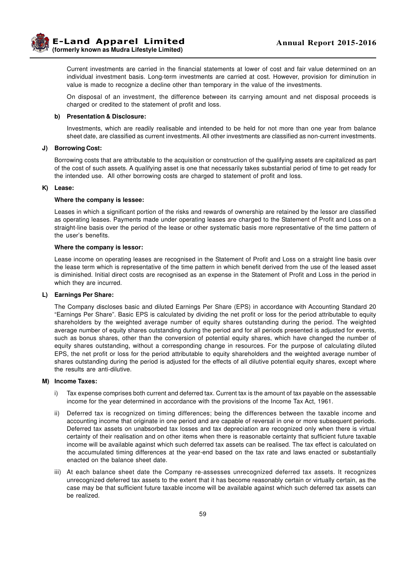Current investments are carried in the financial statements at lower of cost and fair value determined on an individual investment basis. Long-term investments are carried at cost. However, provision for diminution in value is made to recognize a decline other than temporary in the value of the investments.

On disposal of an investment, the difference between its carrying amount and net disposal proceeds is charged or credited to the statement of profit and loss.

### **b) Presentation & Disclosure:**

Investments, which are readily realisable and intended to be held for not more than one year from balance sheet date, are classified as current investments. All other investments are classified as non-current investments.

### **J) Borrowing Cost:**

Borrowing costs that are attributable to the acquisition or construction of the qualifying assets are capitalized as part of the cost of such assets. A qualifying asset is one that necessarily takes substantial period of time to get ready for the intended use. All other borrowing costs are charged to statement of profit and loss.

### **K) Lease:**

#### **Where the company is lessee:**

Leases in which a significant portion of the risks and rewards of ownership are retained by the lessor are classified as operating leases. Payments made under operating leases are charged to the Statement of Profit and Loss on a straight-line basis over the period of the lease or other systematic basis more representative of the time pattern of the user's benefits.

#### **Where the company is lessor:**

Lease income on operating leases are recognised in the Statement of Profit and Loss on a straight line basis over the lease term which is representative of the time pattern in which benefit derived from the use of the leased asset is diminished. Initial direct costs are recognised as an expense in the Statement of Profit and Loss in the period in which they are incurred.

### **L) Earnings Per Share:**

The Company discloses basic and diluted Earnings Per Share (EPS) in accordance with Accounting Standard 20 "Earnings Per Share". Basic EPS is calculated by dividing the net profit or loss for the period attributable to equity shareholders by the weighted average number of equity shares outstanding during the period. The weighted average number of equity shares outstanding during the period and for all periods presented is adjusted for events, such as bonus shares, other than the conversion of potential equity shares, which have changed the number of equity shares outstanding, without a corresponding change in resources. For the purpose of calculating diluted EPS, the net profit or loss for the period attributable to equity shareholders and the weighted average number of shares outstanding during the period is adjusted for the effects of all dilutive potential equity shares, except where the results are anti-dilutive.

### **M) Income Taxes:**

- i) Tax expense comprises both current and deferred tax. Current tax is the amount of tax payable on the assessable income for the year determined in accordance with the provisions of the Income Tax Act, 1961.
- ii) Deferred tax is recognized on timing differences; being the differences between the taxable income and accounting income that originate in one period and are capable of reversal in one or more subsequent periods. Deferred tax assets on unabsorbed tax losses and tax depreciation are recognized only when there is virtual certainty of their realisation and on other items when there is reasonable certainty that sufficient future taxable income will be available against which such deferred tax assets can be realised. The tax effect is calculated on the accumulated timing differences at the year-end based on the tax rate and laws enacted or substantially enacted on the balance sheet date.
- iii) At each balance sheet date the Company re-assesses unrecognized deferred tax assets. It recognizes unrecognized deferred tax assets to the extent that it has become reasonably certain or virtually certain, as the case may be that sufficient future taxable income will be available against which such deferred tax assets can be realized.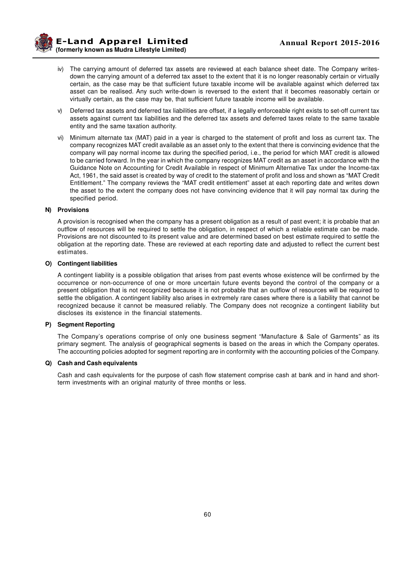- iv) The carrying amount of deferred tax assets are reviewed at each balance sheet date. The Company writesdown the carrying amount of a deferred tax asset to the extent that it is no longer reasonably certain or virtually certain, as the case may be that sufficient future taxable income will be available against which deferred tax asset can be realised. Any such write-down is reversed to the extent that it becomes reasonably certain or virtually certain, as the case may be, that sufficient future taxable income will be available.
- v) Deferred tax assets and deferred tax liabilities are offset, if a legally enforceable right exists to set-off current tax assets against current tax liabilities and the deferred tax assets and deferred taxes relate to the same taxable entity and the same taxation authority.
- vi) Minimum alternate tax (MAT) paid in a year is charged to the statement of profit and loss as current tax. The company recognizes MAT credit available as an asset only to the extent that there is convincing evidence that the company will pay normal income tax during the specified period, i.e., the period for which MAT credit is allowed to be carried forward. In the year in which the company recognizes MAT credit as an asset in accordance with the Guidance Note on Accounting for Credit Available in respect of Minimum Alternative Tax under the Income-tax Act, 1961, the said asset is created by way of credit to the statement of profit and loss and shown as "MAT Credit Entitlement." The company reviews the "MAT credit entitlement" asset at each reporting date and writes down the asset to the extent the company does not have convincing evidence that it will pay normal tax during the specified period.

### **N) Provisions**

A provision is recognised when the company has a present obligation as a result of past event; it is probable that an outflow of resources will be required to settle the obligation, in respect of which a reliable estimate can be made. Provisions are not discounted to its present value and are determined based on best estimate required to settle the obligation at the reporting date. These are reviewed at each reporting date and adjusted to reflect the current best estimates.

### **O) Contingent liabilities**

A contingent liability is a possible obligation that arises from past events whose existence will be confirmed by the occurrence or non-occurrence of one or more uncertain future events beyond the control of the company or a present obligation that is not recognized because it is not probable that an outflow of resources will be required to settle the obligation. A contingent liability also arises in extremely rare cases where there is a liability that cannot be recognized because it cannot be measured reliably. The Company does not recognize a contingent liability but discloses its existence in the financial statements.

### **P) Segment Reporting**

The Company's operations comprise of only one business segment "Manufacture & Sale of Garments" as its primary segment. The analysis of geographical segments is based on the areas in which the Company operates. The accounting policies adopted for segment reporting are in conformity with the accounting policies of the Company.

### **Q) Cash and Cash equivalents**

Cash and cash equivalents for the purpose of cash flow statement comprise cash at bank and in hand and shortterm investments with an original maturity of three months or less.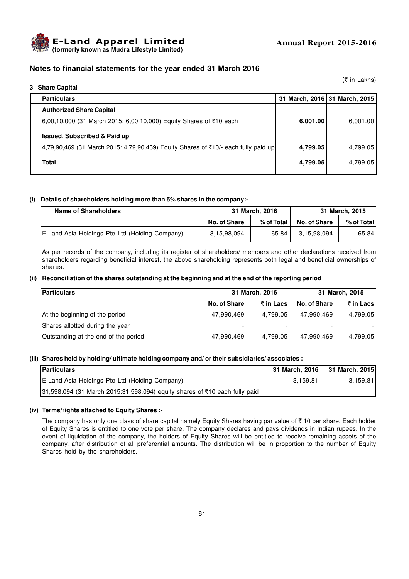

# **Notes to financial statements for the year ended 31 March 2016**

**3 Share Capital**

(₹ in Lakhs)

| <b>Particulars</b>                                                                 |          | 31 March, 2016 31 March, 2015 |
|------------------------------------------------------------------------------------|----------|-------------------------------|
| <b>Authorized Share Capital</b>                                                    |          |                               |
| 6,00,10,000 (31 March 2015: 6,00,10,000) Equity Shares of ₹10 each                 | 6,001.00 | 6,001.00                      |
| <b>Issued, Subscribed &amp; Paid up</b>                                            |          |                               |
| 4,79,90,469 (31 March 2015: 4,79,90,469) Equity Shares of ₹10/- each fully paid up | 4,799.05 | 4,799.05                      |
| Total                                                                              | 4,799.05 | 4,799.05                      |
|                                                                                    |          |                               |

### **(i) Details of shareholders holding more than 5% shares in the company:-**

| <b>Name of Shareholders</b>                    | 31 March, 2016 |            |              | 31 March, 2015 |
|------------------------------------------------|----------------|------------|--------------|----------------|
|                                                | No. of Share   | % of Total | No. of Share | $%$ of Total   |
| E-Land Asia Holdings Pte Ltd (Holding Company) | 3,15,98,094    | 65.84      | 3,15,98,094  | 65.84          |

As per records of the company, including its register of shareholders/ members and other declarations received from shareholders regarding beneficial interest, the above shareholding represents both legal and beneficial ownerships of shares.

### **(ii) Reconciliation of the shares outstanding at the beginning and at the end of the reporting period**

| <b>Particulars</b>                   | 31 March, 2016<br>31 March, 2015 |           |              |           |
|--------------------------------------|----------------------------------|-----------|--------------|-----------|
|                                      | No. of Share                     | ₹ in Lacs | No. of Share | ₹ in Lacs |
| At the beginning of the period       | 47,990,469                       | 4,799.05  | 47,990,469   | 4,799.05  |
| Shares allotted during the year      |                                  |           |              |           |
| Outstanding at the end of the period | 47,990,469                       | 4,799.05  | 47,990,469   | 4,799.05  |

### **(iii) Shares held by holding/ ultimate holding company and/ or their subsidiaries/ associates :**

| <b>Particulars</b>                                                         | 31 March, 2016   31 March, 2015 |          |
|----------------------------------------------------------------------------|---------------------------------|----------|
| E-Land Asia Holdings Pte Ltd (Holding Company)                             | 3.159.81                        | 3.159.81 |
| 31,598,094 (31 March 2015:31,598,094) equity shares of ₹10 each fully paid |                                 |          |

### **(iv) Terms/rights attached to Equity Shares :-**

The company has only one class of share capital namely Equity Shares having par value of  $\bar{\tau}$  10 per share. Each holder of Equity Shares is entitled to one vote per share. The company declares and pays dividends in Indian rupees. In the event of liquidation of the company, the holders of Equity Shares will be entitled to receive remaining assets of the company, after distribution of all preferential amounts. The distribution will be in proportion to the number of Equity Shares held by the shareholders.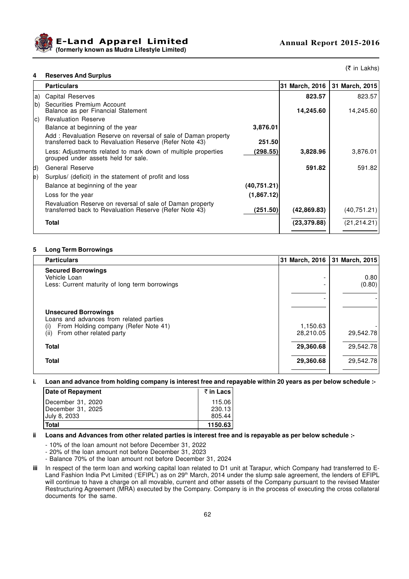



(₹ in Lakhs)

### **4 Reserves And Surplus**

|              | <b>Particulars</b>                                                                                                        |             | 31 March, 2016 | 31 March, 2015 |
|--------------|---------------------------------------------------------------------------------------------------------------------------|-------------|----------------|----------------|
| a)           | Capital Reserves                                                                                                          |             | 823.57         | 823.57         |
| b)           | Securities Premium Account<br>Balance as per Financial Statement                                                          |             | 14,245.60      | 14,245.60      |
| lc).         | <b>Revaluation Reserve</b>                                                                                                |             |                |                |
|              | Balance at beginning of the year                                                                                          | 3,876.01    |                |                |
|              | Add: Revaluation Reserve on reversal of sale of Daman property<br>transferred back to Revaluation Reserve (Refer Note 43) | 251.50      |                |                |
|              | Less: Adjustments related to mark down of multiple properties<br>grouped under assets held for sale.                      | (298.55)    | 3,828.96       | 3,876.01       |
| d)           | <b>General Reserve</b>                                                                                                    |             | 591.82         | 591.82         |
| $\mathsf{e}$ | Surplus/ (deficit) in the statement of profit and loss                                                                    |             |                |                |
|              | Balance at beginning of the year                                                                                          | (40,751.21) |                |                |
|              | Loss for the year                                                                                                         | (1,867.12)  |                |                |
|              | Revaluation Reserve on reversal of sale of Daman property<br>transferred back to Revaluation Reserve (Refer Note 43)      | (251.50)    | (42,869.83)    | (40, 751.21)   |
|              | Total                                                                                                                     |             | (23, 379.88)   | (21, 214.21)   |

### **5 Long Term Borrowings**

| <b>Particulars</b>                                                                                                                                        |                       | 31 March, 2016 31 March, 2015 |
|-----------------------------------------------------------------------------------------------------------------------------------------------------------|-----------------------|-------------------------------|
| <b>Secured Borrowings</b><br>Vehicle Loan<br>Less: Current maturity of long term borrowings                                                               |                       | 0.80<br>(0.80)                |
| <b>Unsecured Borrowings</b><br>Loans and advances from related parties<br>From Holding company (Refer Note 41)<br>(1)<br>From other related party<br>(ii) | 1,150.63<br>28,210.05 | 29,542.78                     |
| <b>Total</b>                                                                                                                                              | 29,360.68             | 29,542.78                     |
| <b>Total</b>                                                                                                                                              | 29,360.68             | 29,542.78                     |

**i. Loan and advance from holding company is interest free and repayable within 20 years as per below schedule :-**

| Date of Repayment | ₹in Lacs |
|-------------------|----------|
| December 31, 2020 | 115.06   |
| December 31, 2025 | 230.13   |
| July 8, 2033      | 805.44   |
| Total             | 1150.63  |

#### **ii Loans and Advances from other related parties is interest free and is repayable as per below schedule :-**

- 10% of the loan amount not before December 31, 2022

- 20% of the loan amount not before December 31, 2023

- Balance 70% of the loan amount not before December 31, 2024

**iii** In respect of the term loan and working capital loan related to D1 unit at Tarapur, which Company had transferred to E-Land Fashion India Pvt Limited ('EFIPL') as on 29<sup>th</sup> March, 2014 under the slump sale agreement, the lenders of EFIPL will continue to have a charge on all movable, current and other assets of the Company pursuant to the revised Master Restructuring Agreement (MRA) executed by the Company. Company is in the process of executing the cross collateral documents for the same.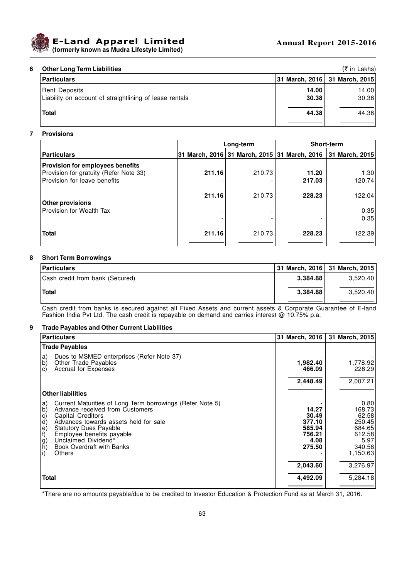

## **E-Land Apparel Limited (formerly known as Mudra Lifestyle Limited)**

| 6 | <b>Other Long Term Liabilities</b>                                              |                |                                 |  |  |  |  |
|---|---------------------------------------------------------------------------------|----------------|---------------------------------|--|--|--|--|
|   | <b>Particulars</b>                                                              |                | 31 March, 2016   31 March, 2015 |  |  |  |  |
|   | <b>Rent Deposits</b><br>Liability on account of straightlining of lease rentals | 14.00<br>30.38 | 14.00<br>30.38                  |  |  |  |  |
|   | <b>Total</b>                                                                    | 44.38          | 44.38                           |  |  |  |  |

# **7 Provisions**

|                                         | Long-term |        | <b>Short-term</b>                         |                |  |
|-----------------------------------------|-----------|--------|-------------------------------------------|----------------|--|
| <b>Particulars</b>                      | l31       |        | March, 2016 31 March, 2015 31 March, 2016 | 31 March, 2015 |  |
| <b>Provision for employees benefits</b> |           |        |                                           |                |  |
| Provision for gratuity (Refer Note 33)  | 211.16    | 210.73 | 11.20                                     | 1.30           |  |
| Provision for leave benefits            |           |        | 217.03                                    | 120.74         |  |
|                                         |           |        |                                           |                |  |
|                                         | 211.16    | 210.73 | 228.23                                    | 122.04         |  |
| <b>Other provisions</b>                 |           |        |                                           |                |  |
| Provision for Wealth Tax                |           |        |                                           | 0.35           |  |
|                                         |           |        |                                           | 0.35           |  |
|                                         |           |        |                                           |                |  |
| <b>Total</b>                            | 211.16    | 210.73 | 228.23                                    | 122.39         |  |
|                                         |           |        |                                           |                |  |

### **8 Short Term Borrowings**

| <b>Particulars</b>              |          | 31 March, 2016 31 March, 2015 |
|---------------------------------|----------|-------------------------------|
| Cash credit from bank (Secured) | 3.384.88 | 3.520.40                      |
| <b>Total</b>                    | 3.384.88 | 3.520.40                      |

Cash credit from banks is secured against all Fixed Assets and current assets & Corporate Guarantee of E-land Fashion India Pvt Ltd. The cash credit is repayable on demand and carries interest @ 10.75% p.a.

### **9 Trade Payables and Other Current Liabilities**

| <b>Particulars</b>                                                                                                                                                                                                                                                                                                                                                 | 31 March, 2016                                                 | 31 March, 2015                                                                      |
|--------------------------------------------------------------------------------------------------------------------------------------------------------------------------------------------------------------------------------------------------------------------------------------------------------------------------------------------------------------------|----------------------------------------------------------------|-------------------------------------------------------------------------------------|
| <b>Trade Payables</b>                                                                                                                                                                                                                                                                                                                                              |                                                                |                                                                                     |
| Dues to MSMED enterprises (Refer Note 37)<br>a)<br>b)<br>Other Trade Payables<br>Accrual for Expenses<br>C)                                                                                                                                                                                                                                                        | 1,982.40<br>466.09                                             | 1,778.92<br>228.29                                                                  |
|                                                                                                                                                                                                                                                                                                                                                                    | 2,448.49                                                       | 2,007.21                                                                            |
| <b>Other liabilities</b>                                                                                                                                                                                                                                                                                                                                           |                                                                |                                                                                     |
| Current Maturities of Long Term borrowings (Refer Note 5)<br>a)<br>$\mathsf{b}$<br>Advance received from Customers<br>Capital Creditors<br>ಂ<br>೧೮೯೯ ರ <u>್</u> ಧ<br>Advances towards assets held for sale<br><b>Statutory Dues Payable</b><br>Employee benefits payable<br>Unclaimed Dividend*<br><b>Book Overdraft with Banks</b><br>$\vert i \rangle$<br>Others | 14.27<br>30.49<br>377.10<br>585.94<br>756.21<br>4.08<br>275.50 | 0.80<br>168.73<br>62.58<br>250.45<br>684.65<br>612.58<br>5.97<br>340.58<br>1,150.63 |
|                                                                                                                                                                                                                                                                                                                                                                    | 2,043.60                                                       | 3,276.97                                                                            |
| <b>Total</b>                                                                                                                                                                                                                                                                                                                                                       | 4,492.09                                                       | 5,284.18                                                                            |
|                                                                                                                                                                                                                                                                                                                                                                    |                                                                |                                                                                     |

\*There are no amounts payable/due to be credited to Investor Education & Protection Fund as at March 31, 2016.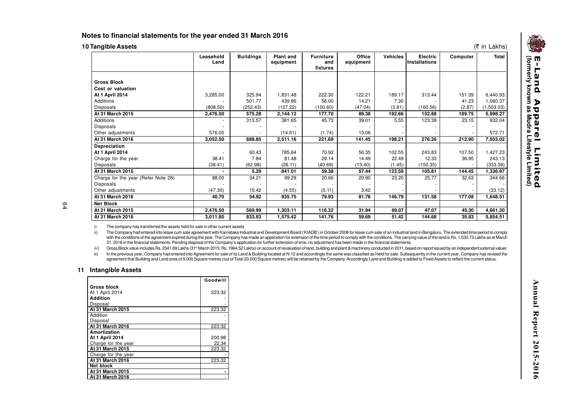## **Notes to financial statements for the year ended 31 March 2016**

|  |  | <b>10 Tangible Assets</b> |
|--|--|---------------------------|
|  |  |                           |

| (₹ in Lakhs)<br>0 Tangible Assets   |                   |                  |                        |                                     |                     |                 |                           |          |              |
|-------------------------------------|-------------------|------------------|------------------------|-------------------------------------|---------------------|-----------------|---------------------------|----------|--------------|
|                                     | Leasehold<br>Land | <b>Buildings</b> | Plant and<br>equipment | <b>Furniture</b><br>and<br>fixtures | Office<br>equipment | <b>Vehicles</b> | Electric<br>Installations | Computer | <b>Total</b> |
|                                     |                   |                  |                        |                                     |                     |                 |                           |          |              |
| <b>Gross Block</b>                  |                   |                  |                        |                                     |                     |                 |                           |          |              |
| Cost or valuation                   |                   |                  |                        |                                     |                     |                 |                           |          |              |
| At 1 April 2014                     | 3,285.00          | 325.94           | 1,831.48               | 222.30                              | 122.21              | 189.17          | 313.44                    | 151.39   | 6,440.93     |
| Additions                           |                   | 501.77           | 439.86                 | 56.00                               | 14.21               | 7.30            |                           | 41.23    | 1,060.37     |
| <b>Disposals</b>                    | (808.50)          | (252.43)         | (127.22)               | (100.60)                            | (47.04)             | (3.81)          | (160.56)                  | (2.87)   | (1,503.03)   |
| At 31 March 2015                    | 2,476.50          | 575.28           | 2,144.12               | 177.70                              | 89.38               | 192.66          | 152.88                    | 189.75   | 5,998.27     |
| <b>Additions</b>                    |                   | 313.57           | 381.65                 | 45.73                               | 39.01               | 5.55            | 123.38                    | 23.15    | 932.04       |
| Disposals                           |                   |                  |                        |                                     |                     |                 |                           |          |              |
| Other adjustments                   | 576.00            |                  | (14.61)                | (1.74)                              | 13.06               |                 |                           |          | 572.71       |
| At 31 March 2016                    | 3,052.50          | 888.85           | 2,511.16               | 221.69                              | 141.45              | 198.21          | 276.26                    | 212.90   | 7,503.02     |
| Depreciation                        |                   |                  |                        |                                     |                     |                 |                           |          |              |
| At 1 April 2014                     |                   | 60.43            | 785.64                 | 70.93                               | 56.35               | 102.55          | 243.83                    | 107.50   | 1,427.23     |
| Charge for the year                 | 38.41             | 7.84             | 81.48                  | 29.14                               | 14.49               | 22.49           | 12.33                     | 36.95    | 243.13       |
| Disposals                           | (38.41)           | (62.98)          | (26.11)                | (40.69)                             | (13.40)             | (1.45)          | (150.35)                  |          | (333.39)     |
| At 31 March 2015                    | $\blacksquare$    | 5.29             | 841.01                 | 59.38                               | 57.44               | 123.59          | 105.81                    | 144.45   | 1,336.97     |
| Charge for the year (Refer Note 28) | 88.00             | 34.21            | 99.29                  | 20.66                               | 20.90               | 23.20           | 25.77                     | 32.63    | 344.66       |
| <b>Disposals</b>                    |                   |                  |                        |                                     |                     |                 |                           |          |              |
| Other adjustments                   | (47.30)           | 15.42            | (4.55)                 | (0.11)                              | 3.42                |                 |                           |          | (33.12)      |
| At 31 March 2016                    | 40.70             | 54.92            | 935.75                 | 79.93                               | 81.76               | 146.79          | 131.58                    | 177.08   | 1,648.51     |
| <b>Net Block</b>                    |                   |                  |                        |                                     |                     |                 |                           |          |              |
| At 31 March 2015                    | 2,476.50          | 569.99           | 1,303.11               | 118.32                              | 31.94               | 69.07           | 47.07                     | 45.30    | 4,661.30     |
| At 31 March 2016                    | 3,011.80          | 833.93           | 1,575.42               | 141.76                              | 59.69               | 51.42           | 144.68                    | 35.83    | 5,854.51     |

i)The company has transferred the assets held for sale in other current assets

) The Company had entered into lease cum sale agreement with Karnataka Industrial and Development Board ('KIADB') in October 2008 for lease cum sale of an industrial land in Bengaluru. The extended time period to comply ii)with the conditions of the agreement expired during the year. The Company has made an application for extension of the time period to comply with the conditions. The carrying value of the land is Rs. 1,532.73 Lakhs as at M 31, 2016 in the financial statements. Pending disposal of the Company's application for further extension of time, no adjustment has been made in the financial statements.

Gross Block value includes Rs. 2541.69 Lakhs (31<sup>st</sup> March 2015: Rs. 1964.52 Lakhs) on account of revaluation of land, building and plant & machinery conducted in 2011, based on report issued by an independent external val iii)

iv)In the previous year, Company had entered into Agreement for sale of its Land & Building located at N-12 and accordingly the same was classified as Held for sale. Subsequently in the current year, Company has revised the agreement that Building and Land area of 9,000 Square metres (out of Total 20,000 Square metres) will be retained by the Company. Accordingly Land and Building is added to Fixed Assets to reflect the current status.

# **11 Intangible Assets**

|                         | Goodwill |
|-------------------------|----------|
| Gross block             |          |
| At 1 April 2014         | 223.32   |
| <b>Addition</b>         |          |
| Disposal                |          |
| At 31 March 2015        | 223.32   |
| Addition                |          |
| Disposal                |          |
| <b>At 31 March 2016</b> | 223.32   |
| Amortization            |          |
| At 1 April 2014         | 200.98   |
| Charge for the year     | 22.34    |
| At 31 March 2015        | 223.32   |
| Charge for the year     |          |
| <b>At 31 March 2016</b> | 223.32   |
| Net block               |          |
| At 31 March 2015        |          |
| At 31 March 2016        |          |

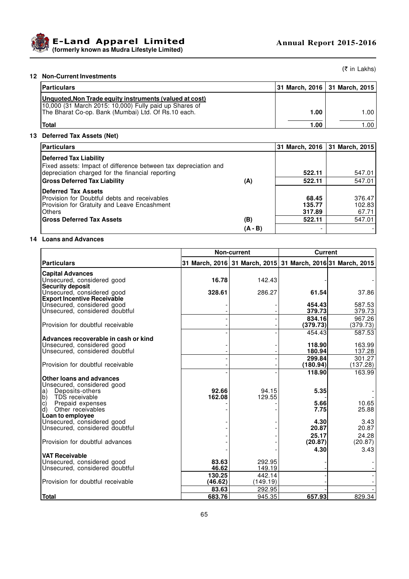

# **12 Non-Current Investments**

(₹ in Lakhs)

| <b>Particulars</b>                                                                                                                                                       |      | 31 March, 2016   31 March, 2015 |
|--------------------------------------------------------------------------------------------------------------------------------------------------------------------------|------|---------------------------------|
| Unquoted, Non Trade equity instruments (valued at cost)<br>10,000 (31 March 2015: 10,000) Fully paid up Shares of<br>The Bharat Co-op. Bank (Mumbai) Ltd. Of Rs.10 each. | 1.00 | 1.00 <sub>l</sub>               |
| <b>Total</b>                                                                                                                                                             | 1.00 | ا ١.٥٥                          |

# **13 Deferred Tax Assets (Net)**

| <b>Particulars</b>                                                                                                            |         |                           | 31 March, 2016 31 March, 2015 |
|-------------------------------------------------------------------------------------------------------------------------------|---------|---------------------------|-------------------------------|
| Deferred Tax Liability<br>Fixed assets: Impact of difference between tax depreciation and                                     |         |                           |                               |
| depreciation charged for the financial reporting                                                                              |         | 522.11                    | 547.01                        |
| <b>Gross Deferred Tax Liability</b>                                                                                           | (A)     | 522.11                    | 547.01                        |
| Deferred Tax Assets<br>Provision for Doubtful debts and receivables<br>Provision for Gratuity and Leave Encashment<br>lOthers |         | 68.45<br>135.77<br>317.89 | 376.47<br>102.83<br>67.71     |
| <b>Gross Deferred Tax Assets</b>                                                                                              | (B)     | 522.11                    | 547.01                        |
|                                                                                                                               | (A - B) | -                         |                               |

# **14 Loans and Advances**

|                                                                    | <b>Non-current</b> |                                                             | <b>Current</b> |          |
|--------------------------------------------------------------------|--------------------|-------------------------------------------------------------|----------------|----------|
| <b>Particulars</b>                                                 |                    | 31 March, 2016 31 March, 2015 31 March, 2016 31 March, 2015 |                |          |
| <b>Capital Advances</b>                                            |                    |                                                             |                |          |
| Unsecured, considered good                                         | 16.78              | 142.43                                                      |                |          |
| <b>Security deposit</b>                                            |                    |                                                             |                |          |
| Unsecured, considered good<br><b>Export Incentive Receivable</b>   | 328.61             | 286.27                                                      | 61.54          | 37.86    |
| Unsecured, considered good                                         |                    |                                                             | 454.43         | 587.53   |
| Unsecured, considered doubtful                                     |                    |                                                             | 379.73         | 379.73   |
|                                                                    |                    |                                                             | 834.16         | 967.26   |
| Provision for doubtful receivable                                  |                    |                                                             | (379.73)       | (379.73) |
|                                                                    |                    |                                                             | 454.43         | 587.53   |
| Advances recoverable in cash or kind<br>Unsecured, considered good |                    |                                                             | 118.90         | 163.99   |
| Unsecured, considered doubtful                                     |                    |                                                             | 180.94         | 137.28   |
|                                                                    |                    |                                                             | 299.84         | 301.27   |
| Provision for doubtful receivable                                  |                    |                                                             | (180.94)       | (137.28) |
|                                                                    |                    |                                                             | 118.90         | 163.99   |
| Other loans and advances                                           |                    |                                                             |                |          |
| Unsecured, considered good<br>Deposits-others<br>a)                | 92.66              | 94.15                                                       | 5.35           |          |
| b)<br>TDS receivable                                               | 162.08             | 129.55                                                      |                |          |
| lc)<br>Prepaid expenses                                            |                    |                                                             | 5.66           | 10.65    |
| d)<br>Other receivables                                            |                    |                                                             | 7.75           | 25.88    |
| Loan to employee<br>Unsecured, considered good                     |                    |                                                             | 4.30           | 3.43     |
| Unsecured, considered doubtful                                     |                    |                                                             | 20.87          | 20.87    |
|                                                                    |                    |                                                             | 25.17          | 24.28    |
| Provision for doubtful advances                                    |                    |                                                             | (20.87)        | (20.87)  |
|                                                                    |                    |                                                             | 4.30           | 3.43     |
| <b>VAT Receivable</b>                                              |                    |                                                             |                |          |
| Unsecured, considered good<br>Unsecured, considered doubtful       | 83.63<br>46.62     | 292.95<br>149.19                                            |                |          |
|                                                                    | 130.25             | 442.14                                                      |                |          |
| Provision for doubtful receivable                                  | (46.62)            | (149.19)                                                    |                |          |
|                                                                    | 83.63              | 292.95                                                      |                |          |
| <b>Total</b>                                                       | 683.76             | 945.35                                                      | 657.93         | 829.34   |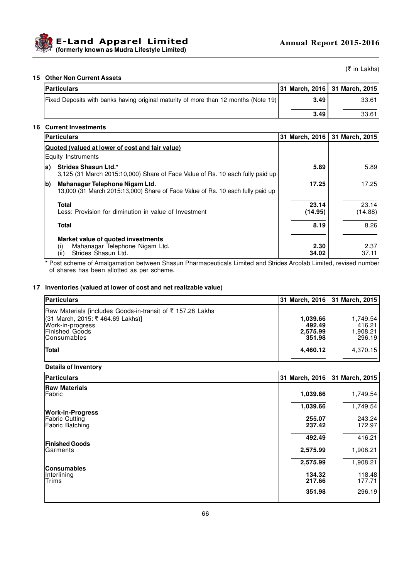

(₹ in Lakhs)

## **15 Other Non Current Assets**

| <b>Particulars</b>                                                                  |      | 31 March, 2016 31 March, 2015 |
|-------------------------------------------------------------------------------------|------|-------------------------------|
| Fixed Deposits with banks having original maturity of more than 12 months (Note 19) | 3.49 | 33.61                         |
|                                                                                     | 3.49 | 33.61                         |

### **16 Current Investments**

|              | <b>Particulars</b>                                                                                               | 31 March, 2016   | 31 March, 2015   |
|--------------|------------------------------------------------------------------------------------------------------------------|------------------|------------------|
|              | Quoted (valued at lower of cost and fair value)                                                                  |                  |                  |
|              | Equity Instruments                                                                                               |                  |                  |
| la)          | <b>Strides Shasun Ltd.*</b><br>3.125 (31 March 2015:10.000) Share of Face Value of Rs. 10 each fully paid up     | 5.89             | 5.89             |
| <sub>b</sub> | Mahanagar Telephone Nigam Ltd.<br>13,000 (31 March 2015:13,000) Share of Face Value of Rs. 10 each fully paid up | 17.25            | 17.25            |
|              | <b>Total</b><br>Less: Provision for diminution in value of Investment                                            | 23.14<br>(14.95) | 23.14<br>(14.88) |
|              | <b>Total</b>                                                                                                     | 8.19             | 8.26             |
|              | Market value of quoted investments<br>Mahanagar Telephone Nigam Ltd.<br>(1)<br>Strides Shasun Ltd.<br>(ii)       | 2.30<br>34.02    | 2.37<br>37.11    |

\* Post scheme of Amalgamation between Shasun Pharmaceuticals Limited and Strides Arcolab Limited, revised number of shares has been allotted as per scheme.

### **17 Inventories (valued at lower of cost and net realizable value)**

| <b>Particulars</b>                                         |          | 31 March, 2016   31 March, 2015 |
|------------------------------------------------------------|----------|---------------------------------|
| Raw Materials [includes Goods-in-transit of ₹ 157.28 Lakhs |          |                                 |
| l(31 March, 2015: ₹ 464.69 Lakhs)]                         | 1.039.66 | 1.749.54                        |
| Work-in-progress                                           | 492.49   | 416.21                          |
| Finished Goods                                             | 2,575.99 | 1,908.21                        |
| <b>Consumables</b>                                         | 351.98   | 296.19                          |
| Total                                                      | 4,460.12 | 4.370.15                        |
|                                                            |          |                                 |

# **Details of Inventory**

| Particulars                                     | 31 March, 2016   | 31 March, 2015   |
|-------------------------------------------------|------------------|------------------|
| <b>Raw Materials</b><br>Fabric                  | 1,039.66         | 1,749.54         |
| <b>Work-in-Progress</b>                         | 1,039.66         | 1,749.54         |
| <b>Fabric Cutting</b><br><b>Fabric Batching</b> | 255.07<br>237.42 | 243.24<br>172.97 |
| <b>Finished Goods</b>                           | 492.49           | 416.21           |
| lGarments                                       | 2,575.99         | 1,908.21         |
| <b>Consumables</b>                              | 2,575.99         | 1,908.21         |
| Interlining<br><b>Trims</b>                     | 134.32<br>217.66 | 118.48<br>177.71 |
|                                                 | 351.98           | 296.19           |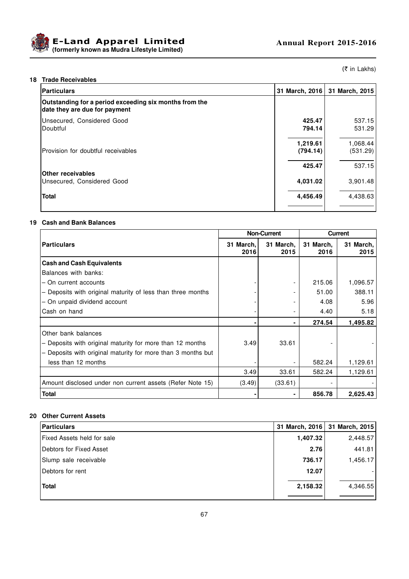



(₹ in Lakhs)

# **18 Trade Receivables**

| Particulars                                                                             | 31 March, 2016       | 31 March, 2015       |
|-----------------------------------------------------------------------------------------|----------------------|----------------------|
| Outstanding for a period exceeding six months from the<br>date they are due for payment |                      |                      |
| Unsecured, Considered Good<br>lDoubtful                                                 | 425.47<br>794.14     | 537.15<br>531.29     |
| Provision for doubtful receivables                                                      | 1,219.61<br>(794.14) | 1,068.44<br>(531.29) |
| <b>Other receivables</b>                                                                | 425.47               | 537.15               |
| Unsecured, Considered Good                                                              | 4,031.02             | 3,901.48             |
| Total                                                                                   | 4,456.49             | 4,438.63             |

### **19 Cash and Bank Balances**

|                                                              | <b>Non-Current</b> |                          | <b>Current</b>    |                   |
|--------------------------------------------------------------|--------------------|--------------------------|-------------------|-------------------|
| <b>Particulars</b>                                           | 31 March,<br>2016  | 31 March,<br>2015        | 31 March,<br>2016 | 31 March,<br>2015 |
| <b>Cash and Cash Equivalents</b>                             |                    |                          |                   |                   |
| Balances with banks:                                         |                    |                          |                   |                   |
| - On current accounts                                        |                    | $\overline{\phantom{a}}$ | 215.06            | 1,096.57          |
| - Deposits with original maturity of less than three months  |                    |                          | 51.00             | 388.11            |
| - On unpaid dividend account                                 |                    |                          | 4.08              | 5.96              |
| Cash on hand                                                 |                    | $\overline{\phantom{a}}$ | 4.40              | 5.18              |
|                                                              |                    | ۰.                       | 274.54            | 1,495.82          |
| Other bank balances                                          |                    |                          |                   |                   |
| - Deposits with original maturity for more than 12 months    | 3.49               | 33.61                    |                   |                   |
| - Deposits with original maturity for more than 3 months but |                    |                          |                   |                   |
| less than 12 months                                          |                    |                          | 582.24            | 1,129.61          |
|                                                              | 3.49               | 33.61                    | 582.24            | 1,129.61          |
| Amount disclosed under non current assets (Refer Note 15)    | (3.49)             | (33.61)                  |                   |                   |
| <b>Total</b>                                                 |                    |                          | 856.78            | 2,625.43          |

## **20 Other Current Assets**

| Particulars                |          | 31 March, 2016   31 March, 2015 |
|----------------------------|----------|---------------------------------|
| Fixed Assets held for sale | 1,407.32 | 2,448.57                        |
| Debtors for Fixed Asset    | 2.76     | 441.81                          |
| Slump sale receivable      | 736.17   | 1,456.17                        |
| Debtors for rent           | 12.07    |                                 |
| <b>Total</b>               | 2,158.32 | 4,346.55                        |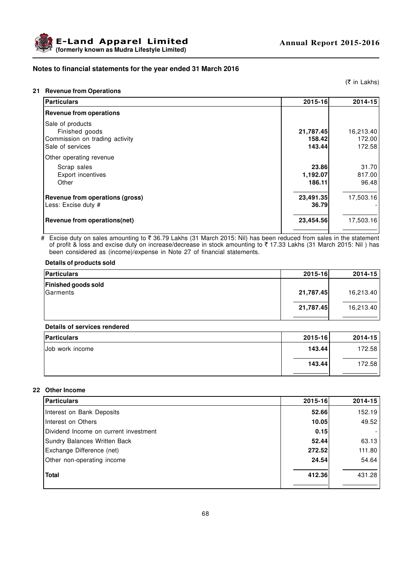



# **Notes to financial statements for the year ended 31 March 2016**

### **21 Revenue from Operations**

(₹ in Lakhs)

| 2015-16                       | 2014-15                       |
|-------------------------------|-------------------------------|
|                               |                               |
| 21,787.45<br>158.42<br>143.44 | 16,213.40<br>172.00<br>172.58 |
|                               |                               |
| 23.86<br>1,192.07<br>186.11   | 31.70<br>817.00<br>96.48      |
| 23,491.35<br>36.79            | 17,503.16                     |
| 23,454.56                     | 17,503.16                     |
|                               |                               |

# Excise duty on sales amounting to ₹ 36.79 Lakhs (31 March 2015: Nil) has been reduced from sales in the statement of profit & loss and excise duty on increase/decrease in stock amounting to ₹ 17.33 Lakhs (31 March 2015: Nil) has been considered as (income)/expense in Note 27 of financial statements.

### **Details of products sold**

| Particulars                                   | $2015 - 16$ | 2014-15   |
|-----------------------------------------------|-------------|-----------|
| <b>Finished goods sold</b><br><b>Garments</b> | 21,787.45   | 16,213.40 |
|                                               | 21,787.45   | 16,213.40 |

### **Details of services rendered**

| <b>Particulars</b> | $2015 - 16$ | $2014 - 15$ |
|--------------------|-------------|-------------|
| Job work income    | 143.44      | 172.58      |
|                    | 143.44      | 172.58      |

### **22 Other Income**

| <b>Particulars</b>                    | 2015-16 | 2014-15 |
|---------------------------------------|---------|---------|
| Interest on Bank Deposits             | 52.66   | 152.19  |
| Interest on Others                    | 10.05   | 49.52   |
| Dividend Income on current investment | 0.15    |         |
| Sundry Balances Written Back          | 52.44   | 63.13   |
| Exchange Difference (net)             | 272.52  | 111.80  |
| Other non-operating income            | 24.54   | 54.64   |
| <b>Total</b>                          | 412.36  | 431.28  |
|                                       |         |         |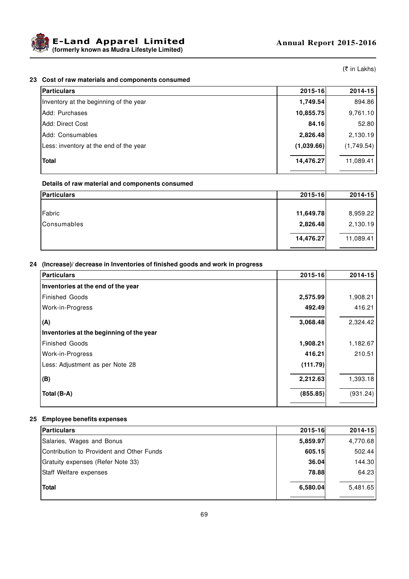

(₹ in Lakhs)

## **23 Cost of raw materials and components consumed**

| <b>Particulars</b>                     | 2015-16    | 2014-15    |
|----------------------------------------|------------|------------|
| Inventory at the beginning of the year | 1,749.54   | 894.86     |
| IAdd: Purchases                        | 10,855.75  | 9,761.10   |
| lAdd: Direct Cost                      | 84.16      | 52.80      |
| Add: Consumables                       | 2,826.48   | 2,130.19   |
| Less: inventory at the end of the year | (1,039.66) | (1,749.54) |
| <b>Total</b>                           | 14,476.27  | 11,089.41  |

#### **Details of raw material and components consumed**

| Particulars        | $2015 - 16$ | 2014-15   |
|--------------------|-------------|-----------|
|                    |             |           |
| Fabric             | 11,649.78   | 8,959.22  |
| <b>Consumables</b> | 2,826.48    | 2,130.19  |
|                    |             |           |
|                    | 14,476.27   | 11,089.41 |

#### **24 (Increase)/ decrease in Inventories of finished goods and work in progress**

| <b>Particulars</b>                       | 2015-16  | 2014-15  |
|------------------------------------------|----------|----------|
| Inventories at the end of the year       |          |          |
| <b>Finished Goods</b>                    | 2,575.99 | 1,908.21 |
| <b>Work-in-Progress</b>                  | 492.49   | 416.21   |
| (A)                                      | 3,068.48 | 2,324.42 |
| Inventories at the beginning of the year |          |          |
| <b>Finished Goods</b>                    | 1,908.21 | 1,182.67 |
| <b>Work-in-Progress</b>                  | 416.21   | 210.51   |
| Less: Adjustment as per Note 28          | (111.79) |          |
| (B)                                      | 2,212.63 | 1,393.18 |
| Total (B-A)                              | (855.85) | (931.24) |
|                                          |          |          |

## **25 Employee benefits expenses**

| Particulars                               | 2015-16  | $2014 - 15$ |
|-------------------------------------------|----------|-------------|
| Salaries, Wages and Bonus                 | 5,859.97 | 4,770.68    |
| Contribution to Provident and Other Funds | 605.15   | 502.44      |
| Gratuity expenses (Refer Note 33)         | 36.04    | 144.30      |
| <b>Staff Welfare expenses</b>             | 78.88    | 64.23       |
| <b>Total</b>                              | 6,580.04 | 5,481.65    |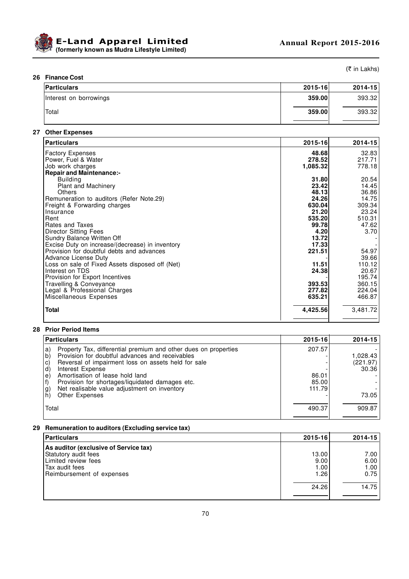

(₹ in Lakhs)

#### **26 Finance Cost**

| <b>Particulars</b>     | 2015-16 | $2014 - 15$ |
|------------------------|---------|-------------|
| Interest on borrowings | 359.00  | 393.32      |
| 'Total                 | 359.00  | 393.32      |

# **27 Other Expenses**

| <b>Particulars</b>                              | 2015-16  | 2014-15  |
|-------------------------------------------------|----------|----------|
| <b>Factory Expenses</b>                         | 48.68    | 32.83    |
| Power, Fuel & Water                             | 278.52   | 217.71   |
| Job work charges                                | 1,085.32 | 778.18   |
| <b>Repair and Maintenance:-</b>                 |          |          |
| <b>Building</b>                                 | 31.80    | 20.54    |
| Plant and Machinery                             | 23.42    | 14.45    |
| Others                                          | 48.13    | 36.86    |
| Remuneration to auditors (Refer Note.29)        | 24.26    | 14.75    |
| Freight & Forwarding charges                    | 630.04   | 309.34   |
| Insurance                                       | 21.20    | 23.24    |
| Rent                                            | 535.20   | 510.31   |
| Rates and Taxes                                 | 99.78    | 47.62    |
| <b>Director Sitting Fees</b>                    | 4.20     | 3.70     |
| Sundry Balance Written Off                      | 13.72    |          |
| Excise Duty on increase/(decrease) in inventory | 17.33    |          |
| Provision for doubtful debts and advances       | 221.51   | 54.97    |
| Advance License Duty                            |          | 39.66    |
| Loss on sale of Fixed Assets disposed off (Net) | 11.51    | 110.12   |
| Interest on TDS                                 | 24.38    | 20.67    |
| Provision for Export Incentives                 |          | 195.74   |
| Travelling & Conveyance                         | 393.53   | 360.15   |
| Legal & Professional Charges                    | 277.82   | 224.04   |
| Miscellaneous Expenses                          | 635.21   | 466.87   |
| Total                                           | 4,425.56 | 3,481.72 |

# **28 Prior Period Items**

| <b>Particulars</b>                                                                                                                                                                                                                                                                                                                                                                                                                     | $2015 - 16$                        | 2014-15                                |
|----------------------------------------------------------------------------------------------------------------------------------------------------------------------------------------------------------------------------------------------------------------------------------------------------------------------------------------------------------------------------------------------------------------------------------------|------------------------------------|----------------------------------------|
| Property Tax, differential premium and other dues on properties<br>a)<br>Provision for doubtful advances and receivables<br>$\vert$ b)<br>Reversal of impairment loss on assets held for sale<br>$\mathbf{C}$<br>Interest Expense<br>d)<br>Amortisation of lease hold land<br>$\epsilon$<br>Provision for shortages/liquidated damages etc.<br>Net realisable value adjustment on inventory<br>$\binom{g}{h}$<br><b>Other Expenses</b> | 207.57<br>86.01<br>85.00<br>111.79 | 1,028.43<br>(221.97)<br>30.36<br>73.05 |
| Total                                                                                                                                                                                                                                                                                                                                                                                                                                  | 490.37                             | 909.87                                 |

# **29 Remuneration to auditors (Excluding service tax)**

| <b>Particulars</b>                    | $2015 - 16$ | 2014-15 |
|---------------------------------------|-------------|---------|
| As auditor (exclusive of Service tax) |             |         |
| Statutory audit fees                  | 13.00       | 7.00    |
| Limited review fees                   | 9.00        | 6.00    |
| Tax audit fees                        | 1.00        | 1.00    |
| Reimbursement of expenses             | 1.26        | 0.75    |
|                                       | 24.26       | 14.75   |
|                                       |             |         |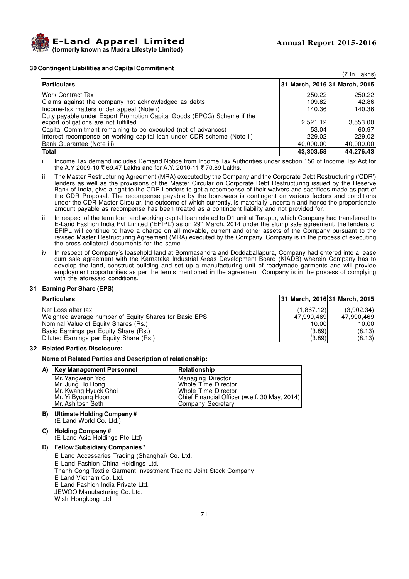

#### **30 Contingent Liabilities and Capital Commitment**

|                                                                                                                |                               | $(5 \in \text{Ln}$ Lakhs) |
|----------------------------------------------------------------------------------------------------------------|-------------------------------|---------------------------|
| <b>Particulars</b>                                                                                             | 31 March, 2016 31 March, 2015 |                           |
| <b>Work Contract Tax</b>                                                                                       | 250.22                        | 250.22                    |
| Claims against the company not acknowledged as debts                                                           | 109.82                        | 42.86                     |
| Income-tax matters under appeal (Note i)                                                                       | 140.36                        | 140.36                    |
| Duty payable under Export Promotion Capital Goods (EPCG) Scheme if the<br>export obligations are not fulfilled | 2,521.12                      | 3,553.00                  |
| Capital Commitment remaining to be executed (net of advances)                                                  | 53.04                         | 60.97                     |
| Interest recompense on working capital loan under CDR scheme (Note ii)                                         | 229.02                        | 229.02                    |
| (Bank Guarantee (Note iii)                                                                                     | 40,000.00                     | 40,000.00                 |
| <b>Total</b>                                                                                                   | 43,303.58                     | 44,276.43                 |

i Income Tax demand includes Demand Notice from Income Tax Authorities under section 156 of Income Tax Act for the A.Y 2009-10 ₹ 69.47 Lakhs and for A.Y. 2010-11 ₹ 70.89 Lakhs.

- ii The Master Restructuring Agreement (MRA) executed by the Company and the Corporate Debt Restructuring ('CDR') lenders as well as the provisions of the Master Circular on Corporate Debt Restructuring issued by the Reserve Bank of India, give a right to the CDR Lenders to get a recompense of their waivers and sacrifices made as part of the CDR Proposal. The recompense payable by the borrowers is contingent on various factors and conditions under the CDR Master Circular, the outcome of which currently, is materially uncertain and hence the proportionate amount payable as recompense has been treated as a contingent liability and not provided for.
- iii In respect of the term loan and working capital loan related to D1 unit at Tarapur, which Company had transferred to E-Land Fashion India Pvt Limited ('EFIPL') as on 29<sup>th</sup> March, 2014 under the slump sale agreement, the lenders of EFIPL will continue to have a charge on all movable, current and other assets of the Company pursuant to the revised Master Restructuring Agreement (MRA) executed by the Company. Company is in the process of executing the cross collateral documents for the same.
- In respect of Company's leasehold land at Bommasandra and Doddaballapura, Company had entered into a lease cum sale agreement with the Karnataka Industrial Areas Development Board (KIADB) wherein Company has to develop the land, construct building and set up a manufacturing unit of readymade garments and will provide employment opportunities as per the terms mentioned in the agreement. Company is in the process of complying with the aforesaid conditions.

#### **31 Earning Per Share (EPS)**

| <b>Particulars</b>                                     | 31 March, 2016 31 March, 2015 |            |
|--------------------------------------------------------|-------------------------------|------------|
| INet Loss after tax                                    | (1.867.12)                    | (3,902.34) |
| Weighted average number of Equity Shares for Basic EPS | 47.990.469                    | 47.990.469 |
| Nominal Value of Equity Shares (Rs.)                   | 10.00                         | 10.00      |
| Basic Earnings per Equity Share (Rs.)                  | (3.89)                        | (8.13)     |
| Diluted Earnings per Equity Share (Rs.)                | (3.89)                        | (8.13)     |

#### **32 Related Parties Disclosure:**

#### **Name of Related Parties and Description of relationship:**

| A) | <b>Key Management Personnel</b>                                                                         | Relationship                                                                                                                                        |
|----|---------------------------------------------------------------------------------------------------------|-----------------------------------------------------------------------------------------------------------------------------------------------------|
|    | Mr. Yangweon Yoo<br>Mr. Jung Ho Hong<br>Mr. Kwang Hyuck Choi<br>Mr. Yi Byoung Hoon<br>Mr. Ashitosh Seth | <b>Managing Director</b><br><b>Whole Time Director</b><br>Whole Time Director<br>Chief Financial Officer (w.e.f. 30 May, 2014)<br>Company Secretary |
| B) | Ultimate Holding Company#<br>(E Land World Co. Ltd.)                                                    |                                                                                                                                                     |
| C) | <b>Holding Company#</b><br>(E Land Asia Holdings Pte Ltd)                                               |                                                                                                                                                     |
| D) | <b>Fellow Subsidiary Companies*</b>                                                                     |                                                                                                                                                     |
|    | E Land Accessaries Trading (Shanghai) Co. Ltd.                                                          |                                                                                                                                                     |
|    | E Land Fashion China Holdings Ltd.                                                                      |                                                                                                                                                     |
|    | Thanh Cong Textile Garment Investment Trading Joint Stock Company                                       |                                                                                                                                                     |
|    | E Land Vietnam Co. Ltd.                                                                                 |                                                                                                                                                     |
|    | E Land Fashion India Private Ltd.                                                                       |                                                                                                                                                     |
|    | JEWOO Manufacturing Co. Ltd.<br>Wish Hongkong Ltd                                                       |                                                                                                                                                     |
|    |                                                                                                         |                                                                                                                                                     |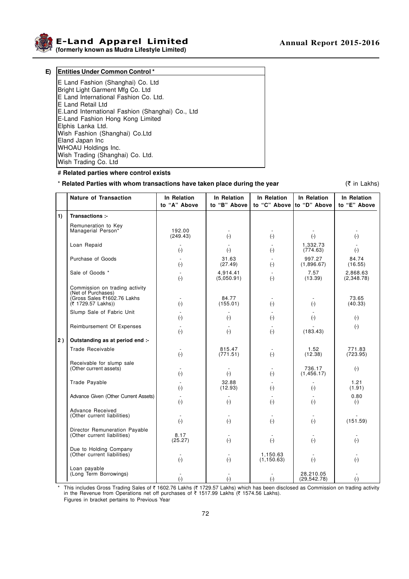

**E-Land Apparel Limited Annual Report 2015-2016**

**(formerly known as Mudra Lifestyle Limited)**

| E) | <b>Entities Under Common Control*</b>            |
|----|--------------------------------------------------|
|    | E Land Fashion (Shanghai) Co. Ltd                |
|    | Bright Light Garment Mfg Co. Ltd                 |
|    | E Land International Fashion Co. Ltd.            |
|    | E Land Retail Ltd                                |
|    | E.Land International Fashion (Shanghai) Co., Ltd |
|    | E-Land Fashion Hong Kong Limited                 |
|    | Elphis Lanka Ltd.                                |
|    | Wish Fashion (Shanghai) Co.Ltd                   |
|    | Eland Japan Inc                                  |
|    | <b>WHOAU Holdings Inc.</b>                       |
|    | Wish Trading (Shanghai) Co. Ltd.                 |
|    | Wish Trading Co. Ltd                             |

#### # **Related parties where control exists**

## \* **Related Parties with whom transactions have taken place during the year** ( $\bar{\tau}$  in Lakhs)

|    | <b>Nature of Transaction</b>                                 | In Relation<br>to "A" Above       | In Relation<br>to "B" Above           | In Relation<br>to "C" Above to "D" Above | In Relation               | In Relation<br>to "E" Above |
|----|--------------------------------------------------------------|-----------------------------------|---------------------------------------|------------------------------------------|---------------------------|-----------------------------|
| 1) | Transactions :-                                              |                                   |                                       |                                          |                           |                             |
|    | Remuneration to Key<br>Managerial Person*                    | 192.00<br>(249.43)                | $(-)$                                 | $(-)$                                    | $(-)$                     | $(\cdot)$                   |
|    | Loan Repaid                                                  | $(-)$                             | $(\textnormal{-})$                    | $(\cdot)$                                | 1.332.73<br>(774.63)      | $(\cdot)$                   |
|    | Purchase of Goods                                            | $(-)$                             | 31.63<br>(27.49)                      | $(-)$                                    | 997.27<br>(1,896.67)      | 84.74<br>(16.55)            |
|    | Sale of Goods *                                              | $(\cdot)$                         | 4,914.41<br>(5,050.91)                | $\left( \text{-} \right)$                | 7.57<br>(13.39)           | 2,868.63<br>(2,348.78)      |
|    | Commission on trading activity<br>(Net of Purchases)         |                                   |                                       |                                          |                           |                             |
|    | (Gross Sales ₹1602.76 Lakhs<br>(₹ 1729.57 Lakhs))            | $(-)$                             | 84.77<br>(155.01)                     | $(\cdot)$                                | $(-)$                     | 73.65<br>(40.33)            |
|    | Slump Sale of Fabric Unit                                    | $(\cdot)$                         | $(\cdot)$                             | $\left( \text{-} \right)$                | $\left( \text{-} \right)$ | $(\cdot)$                   |
|    | Reimbursement Of Expenses                                    | $(\cdot)$                         | $(\cdot)$                             | $(-)$                                    | (183.43)                  | $(\cdot)$                   |
| 2) | Outstanding as at period end :-                              |                                   |                                       |                                          |                           |                             |
|    | Trade Receivable                                             | $\overline{\phantom{a}}$<br>$(-)$ | 815.47<br>(771.51)                    | $\overline{\phantom{a}}$<br>$(-)$        | 1.52<br>(12.38)           | 771.83<br>(723.95)          |
|    | Receivable for slump sale<br>(Other current assets)          | $(-)$                             | $\overline{\phantom{a}}$<br>$(\cdot)$ | $(-)$                                    | 736.17<br>(1, 456.17)     | $(\cdot)$                   |
|    | Trade Payable                                                | $(\cdot)$                         | 32.88<br>(12.93)                      | $\left( \text{-} \right)$                | $(\cdot)$                 | 1.21<br>(1.91)              |
|    | Advance Given (Other Current Assets)                         | $(-)$                             | $(-)$                                 | $(-)$                                    | $(\cdot)$                 | 0.80<br>$(-)$               |
|    | Advance Received<br>(Other current liabilities)              | $(\cdot)$                         | $(-)$                                 | $(-)$                                    | $(-)$                     | (151.59)                    |
|    | Director Remuneration Payable<br>(Other current liabilities) | 8.17<br>(25.27)                   | $(\cdot)$                             | $(\cdot)$                                | $(-)$                     | $(\cdot)$                   |
|    | Due to Holding Company<br>(Other current liabilities)        | $(-)$                             | $(\cdot)$                             | 1,150.63<br>(1, 150.63)                  | $(\cdot)$                 | $(\cdot)$                   |
|    | Loan payable<br>(Long Term Borrowings)                       | $(\textnormal{-})$                | $(\cdot)$                             | $(-)$                                    | 28,210.05<br>(29, 542.78) | $\left( \text{-} \right)$   |

\* This includes Gross Trading Sales of ₹ 1602.76 Lakhs (₹ 1729.57 Lakhs) which has been disclosed as Commission on trading activity<br>in the Revenue from Operations net off purchases of ₹ 1517.99 Lakhs (₹ 1574.56 Lakhs). Figures in bracket pertains to Previous Year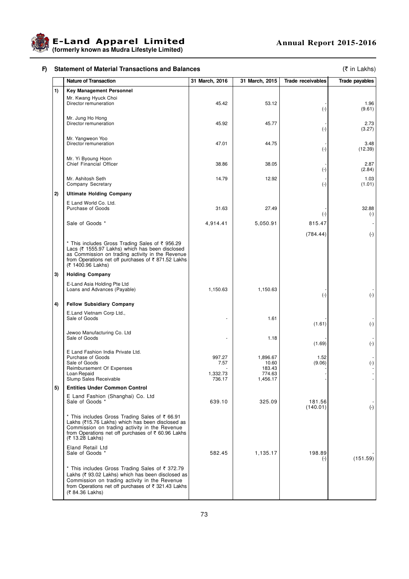

# **F)** Statement of Material Transactions and Balances (₹ in Lakhs)

|    | <b>Nature of Transaction</b>                                                                                                                                                                                                      | 31 March, 2016                       | 31 March, 2015                                    | <b>Trade receivables</b> | Trade payables              |
|----|-----------------------------------------------------------------------------------------------------------------------------------------------------------------------------------------------------------------------------------|--------------------------------------|---------------------------------------------------|--------------------------|-----------------------------|
| 1) | <b>Key Management Personnel</b>                                                                                                                                                                                                   |                                      |                                                   |                          |                             |
|    | Mr. Kwang Hyuck Choi<br>Director remuneration                                                                                                                                                                                     | 45.42                                | 53.12                                             | $(\cdot)$                | 1.96<br>(9.61)              |
|    | Mr. Jung Ho Hong<br>Director remuneration                                                                                                                                                                                         | 45.92                                | 45.77                                             | $(\cdot)$                | 2.73<br>(3.27)              |
|    | Mr. Yangweon Yoo<br>Director remuneration                                                                                                                                                                                         | 47.01                                | 44.75                                             | $(\cdot)$                | 3.48<br>(12.39)             |
|    | Mr. Yi Byoung Hoon<br>Chief Financial Officer                                                                                                                                                                                     | 38.86                                | 38.05                                             | $(\cdot)$                | 2.87<br>(2.84)              |
|    | Mr. Ashitosh Seth<br>Company Secretary                                                                                                                                                                                            | 14.79                                | 12.92                                             | $(\cdot)$                | 1.03<br>(1.01)              |
| 2) | <b>Ultimate Holding Company</b>                                                                                                                                                                                                   |                                      |                                                   |                          |                             |
|    | E Land World Co. Ltd.<br>Purchase of Goods                                                                                                                                                                                        | 31.63                                | 27.49                                             | $(\cdot)$                | 32.88<br>$(\text{-})$       |
|    | Sale of Goods *                                                                                                                                                                                                                   | 4,914.41                             | 5,050.91                                          | 815.47                   |                             |
|    |                                                                                                                                                                                                                                   |                                      |                                                   | (784.44)                 | $(\cdot)$                   |
|    | * This includes Gross Trading Sales of ₹ 956.29<br>Lacs (₹ 1555.97 Lakhs) which has been disclosed<br>as Commission on trading activity in the Revenue<br>from Operations net off purchases of ₹871.52 Lakhs<br>(₹ 1400.96 Lakhs) |                                      |                                                   |                          |                             |
| 3) | <b>Holding Company</b>                                                                                                                                                                                                            |                                      |                                                   |                          |                             |
|    | E-Land Asia Holding Pte Ltd<br>Loans and Advances (Payable)                                                                                                                                                                       | 1,150.63                             | 1,150.63                                          | $(\cdot)$                | $(\cdot)$                   |
| 4) | <b>Fellow Subsidiary Company</b>                                                                                                                                                                                                  |                                      |                                                   |                          |                             |
|    | E.Land Vietnam Corp Ltd.,<br>Sale of Goods                                                                                                                                                                                        |                                      | 1.61                                              | (1.61)                   | $(\cdot)$                   |
|    | Jewoo Manufacturing Co. Ltd<br>Sale of Goods                                                                                                                                                                                      |                                      | 1.18                                              | (1.69)                   | $(\cdot)$                   |
|    | E Land Fashion India Private Ltd.<br>Purchase of Goods<br>Sale of Goods<br>Reimbursement Of Expenses<br>Loan Repaid<br>Slump Sales Receivable                                                                                     | 997.27<br>7.57<br>1,332.73<br>736.17 | 1,896.67<br>10.60<br>183.43<br>774.63<br>1,456.17 | 1.52<br>(9.06)           | $(\cdot)$<br>$\blacksquare$ |
| 5) | <b>Entities Under Common Control</b>                                                                                                                                                                                              |                                      |                                                   |                          |                             |
|    | E Land Fashion (Shanghai) Co. Ltd<br>Sale of Goods *                                                                                                                                                                              | 639.10                               | 325.09                                            | 181.56<br>(140.01)       | $(-)$                       |
|    | * This includes Gross Trading Sales of ₹66.91<br>Lakhs (₹15.76 Lakhs) which has been disclosed as<br>Commission on trading activity in the Revenue<br>from Operations net off purchases of ₹ 60.96 Lakhs<br>(₹ 13.28 Lakhs)       |                                      |                                                   |                          |                             |
|    | Eland Retail Ltd<br>Sale of Goods *                                                                                                                                                                                               | 582.45                               | 1,135.17                                          | 198.89<br>$(-)$          | (151.59)                    |
|    | * This includes Gross Trading Sales of ₹ 372.79<br>Lakhs (₹ 93.02 Lakhs) which has been disclosed as<br>Commission on trading activity in the Revenue<br>from Operations net off purchases of ₹ 321.43 Lakhs<br>(₹ 84.36 Lakhs)   |                                      |                                                   |                          |                             |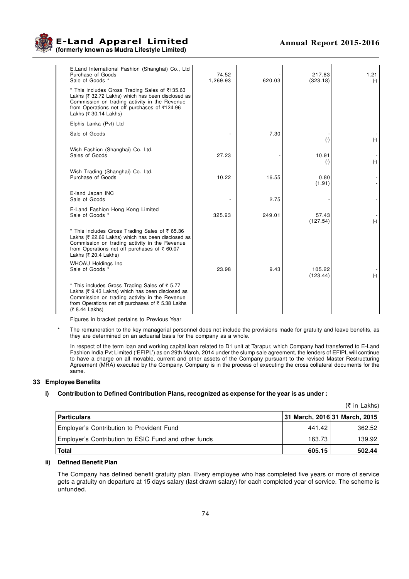

**E-Land Apparel Limited Annual Report 2015-2016 (formerly known as Mudra Lifestyle Limited)**

| E.Land International Fashion (Shanghai) Co., Ltd<br>Purchase of Goods<br>Sale of Goods *                                                                                                                                      | 74.52<br>1,269.93 | 620.03 | 217.83<br>(323.18) | 1.21<br>$(-)$            |
|-------------------------------------------------------------------------------------------------------------------------------------------------------------------------------------------------------------------------------|-------------------|--------|--------------------|--------------------------|
| * This includes Gross Trading Sales of ₹135.63<br>Lakhs (₹ 32.72 Lakhs) which has been disclosed as<br>Commission on trading activity in the Revenue<br>from Operations net off purchases of ₹124.96<br>Lakhs (₹ 30.14 Lakhs) |                   |        |                    |                          |
| Elphis Lanka (Pvt) Ltd                                                                                                                                                                                                        |                   |        |                    |                          |
| Sale of Goods                                                                                                                                                                                                                 |                   | 7.30   | $(\cdot)$          | $(-)$                    |
| Wish Fashion (Shanghai) Co. Ltd.<br>Sales of Goods                                                                                                                                                                            | 27.23             |        | 10.91<br>$(\cdot)$ | $(\cdot)$                |
| Wish Trading (Shanghai) Co. Ltd.<br>Purchase of Goods                                                                                                                                                                         | 10.22             | 16.55  | 0.80<br>(1.91)     | $\overline{\phantom{a}}$ |
| E-land Japan INC<br>Sale of Goods                                                                                                                                                                                             |                   | 2.75   |                    |                          |
| E-Land Fashion Hong Kong Limited<br>Sale of Goods *                                                                                                                                                                           | 325.93            | 249.01 | 57.43<br>(127.54)  | $(\cdot)$                |
| * This includes Gross Trading Sales of ₹ 65.36<br>Lakhs (₹ 22.66 Lakhs) which has been disclosed as<br>Commission on trading activity in the Revenue<br>from Operations net off purchases of ₹60.07<br>Lakhs (₹ 20.4 Lakhs)   |                   |        |                    |                          |
| WHOAU Holdings Inc<br>Sale of Goods *                                                                                                                                                                                         | 23.98             | 9.43   | 105.22<br>(123.44) | $(\cdot)$                |
| * This includes Gross Trading Sales of ₹ 5.77<br>Lakhs (₹ 9.43 Lakhs) which has been disclosed as<br>Commission on trading activity in the Revenue<br>from Operations net off purchases of ₹ 5.38 Lakhs<br>(₹ 8.44 Lakhs)     |                   |        |                    |                          |

Figures in bracket pertains to Previous Year

The remuneration to the key managerial personnel does not include the provisions made for gratuity and leave benefits, as they are determined on an actuarial basis for the company as a whole.

In respect of the term loan and working capital loan related to D1 unit at Tarapur, which Company had transferred to E-Land Fashion India Pvt Limited ('EFIPL') as on 29th March, 2014 under the slump sale agreement, the lenders of EFIPL will continue to have a charge on all movable, current and other assets of the Company pursuant to the revised Master Restructuring Agreement (MRA) executed by the Company. Company is in the process of executing the cross collateral documents for the same.

#### **33 Employee Benefits**

#### **i) Contribution to Defined Contribution Plans, recognized as expense for the year is as under :**

|                                                      |                               | $(5 \in \mathsf{In}$ Lakhs) |
|------------------------------------------------------|-------------------------------|-----------------------------|
| <b>Particulars</b>                                   | 31 March, 2016 31 March, 2015 |                             |
| Employer's Contribution to Provident Fund            | 441.42                        | 362.52                      |
| Employer's Contribution to ESIC Fund and other funds | 163.73                        | 139.92                      |
| <b>Total</b>                                         | 605.15                        | 502.44                      |

#### **ii) Defined Benefit Plan**

The Company has defined benefit gratuity plan. Every employee who has completed five years or more of service gets a gratuity on departure at 15 days salary (last drawn salary) for each completed year of service. The scheme is unfunded.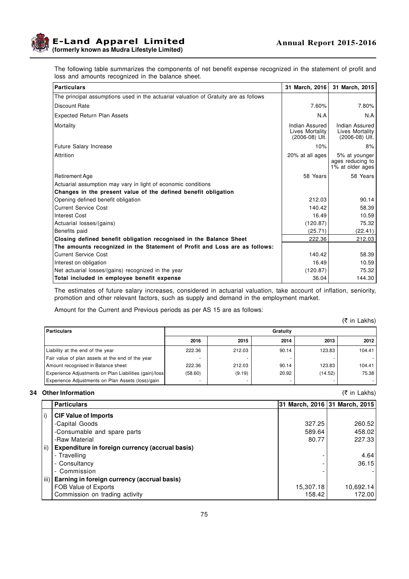

The following table summarizes the components of net benefit expense recognized in the statement of profit and loss and amounts recognized in the balance sheet.

| <b>Particulars</b>                                                                   | 31 March, 2016                                      | 31 March, 2015                                        |
|--------------------------------------------------------------------------------------|-----------------------------------------------------|-------------------------------------------------------|
| The principal assumptions used in the actuarial valuation of Gratuity are as follows |                                                     |                                                       |
| Discount Rate                                                                        | 7.60%                                               | 7.80%                                                 |
| <b>Expected Return Plan Assets</b>                                                   | N.A                                                 | N.A                                                   |
| Mortality                                                                            | Indian Assured<br>Lives Mortality<br>(2006-08) Ult. | Indian Assured<br>Lives Mortality<br>$(2006-08)$ Ult. |
| Future Salary Increase                                                               | 10%                                                 | 8%                                                    |
| Attrition                                                                            | 20% at all ages                                     | 5% at younger<br>ages reducing to<br>1% at older ages |
| <b>Retirement Age</b>                                                                | 58 Years                                            | 58 Years                                              |
| Actuarial assumption may vary in light of economic conditions                        |                                                     |                                                       |
| Changes in the present value of the defined benefit obligation                       |                                                     |                                                       |
| Opening defined benefit obligation                                                   | 212.03                                              | 90.14                                                 |
| <b>Current Service Cost</b>                                                          | 140.42                                              | 58.39                                                 |
| <b>Interest Cost</b>                                                                 | 16.49                                               | 10.59                                                 |
| Actuarial losses/(gains)                                                             | (120.87)                                            | 75.32                                                 |
| Benefits paid                                                                        | (25.71)                                             | (22.41)                                               |
| Closing defined benefit obligation recognised in the Balance Sheet                   | 222.36                                              | 212.03                                                |
| The amounts recognized in the Statement of Profit and Loss are as follows:           |                                                     |                                                       |
| <b>Current Service Cost</b>                                                          | 140.42                                              | 58.39                                                 |
| Interest on obligation                                                               | 16.49                                               | 10.59                                                 |
| Net actuarial losses/(gains) recognized in the year                                  | (120.87)                                            | 75.32                                                 |
| Total included in employee benefit expense                                           | 36.04                                               | 144.30                                                |

The estimates of future salary increases, considered in actuarial valuation, take account of inflation, seniority, promotion and other relevant factors, such as supply and demand in the employment market.

Amount for the Current and Previous periods as per AS 15 are as follows:

(₹ in Lakhs)

| <b>Particulars</b>                                     | Gratuity |        |       |         |        |  |
|--------------------------------------------------------|----------|--------|-------|---------|--------|--|
|                                                        | 2016     | 2015   | 2014  | 2013    | 2012   |  |
| Liability at the end of the year                       | 222.36   | 212.03 | 90.14 | 123.83  | 104.41 |  |
| Fair value of plan assets at the end of the year       |          |        |       |         |        |  |
| Amount recognised in Balance sheet                     | 222.36   | 212.03 | 90.14 | 123.83  | 104.41 |  |
| Experience Adjustments on Plan Liabilities (gain)/loss | (58.60)  | (9.19) | 20.92 | (14.52) | 75.38  |  |
| Experience Adjustments on Plan Assets (loss)/gain      |          |        |       |         |        |  |

#### **34 Other Information** (₹ in Lakhs)

|                   | <b>Particulars</b>                              |           | 31 March, 2016 31 March, 2015 |
|-------------------|-------------------------------------------------|-----------|-------------------------------|
| $\vert i \rangle$ | <b>CIF Value of Imports</b>                     |           |                               |
|                   | -Capital Goods                                  | 327.25    | 260.52                        |
|                   | -Consumable and spare parts                     | 589.64    | 458.02                        |
|                   | -Raw Material                                   | 80.77     | 227.33                        |
| ii)               | Expenditure in foreign currency (accrual basis) |           |                               |
|                   | - Travelling                                    |           | 4.64                          |
|                   | - Consultancy                                   |           | 36.15                         |
|                   | - Commission                                    |           |                               |
| iii)              | Earning in foreign currency (accrual basis)     |           |                               |
|                   | FOB Value of Exports                            | 15,307.18 | 10,692.14                     |
|                   | Commission on trading activity                  | 158.42    | 172.00                        |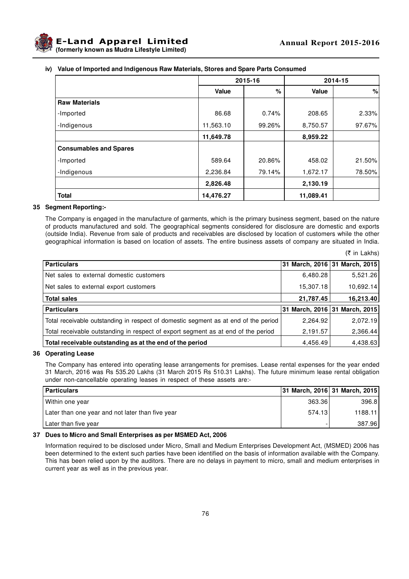

|  | iv) Value of Imported and Indigenous Raw Materials, Stores and Spare Parts Consumed |  |
|--|-------------------------------------------------------------------------------------|--|
|  |                                                                                     |  |

|                               |              | 2015-16 |              | 2014-15 |
|-------------------------------|--------------|---------|--------------|---------|
|                               | <b>Value</b> | %       | <b>Value</b> | %       |
| <b>Raw Materials</b>          |              |         |              |         |
| -Imported                     | 86.68        | 0.74%   | 208.65       | 2.33%   |
| -Indigenous                   | 11,563.10    | 99.26%  | 8,750.57     | 97.67%  |
|                               | 11,649.78    |         | 8,959.22     |         |
| <b>Consumables and Spares</b> |              |         |              |         |
| -Imported                     | 589.64       | 20.86%  | 458.02       | 21.50%  |
| -Indigenous                   | 2,236.84     | 79.14%  | 1,672.17     | 78.50%  |
|                               | 2,826.48     |         | 2,130.19     |         |
| <b>Total</b>                  | 14,476.27    |         | 11,089.41    |         |

## **35 Segment Reporting:-**

The Company is engaged in the manufacture of garments, which is the primary business segment, based on the nature of products manufactured and sold. The geographical segments considered for disclosure are domestic and exports (outside India). Revenue from sale of products and receivables are disclosed by location of customers while the other geographical information is based on location of assets. The entire business assets of company are situated in India.

(` in Lakhs)

| <b>Particulars</b>                                                                  |           | 31 March, 2016 31 March, 2015 |
|-------------------------------------------------------------------------------------|-----------|-------------------------------|
| Net sales to external domestic customers                                            | 6,480.28  | 5,521.26                      |
| Net sales to external export customers                                              | 15,307.18 | 10,692.14                     |
| <b>Total sales</b>                                                                  | 21,787.45 | 16,213.40                     |
| <b>Particulars</b>                                                                  |           | 31 March, 2016 31 March, 2015 |
| Total receivable outstanding in respect of domestic segment as at end of the period | 2,264.92  | 2,072.19                      |
| Total receivable outstanding in respect of export segment as at end of the period   | 2,191.57  | 2,366.44                      |
| Total receivable outstanding as at the end of the period                            | 4,456.49  | 4,438.63                      |

#### **36 Operating Lease**

The Company has entered into operating lease arrangements for premises. Lease rental expenses for the year ended 31 March, 2016 was Rs 535.20 Lakhs (31 March 2015 Rs 510.31 Lakhs). The future minimum lease rental obligation under non-cancellable operating leases in respect of these assets are:-

| Particulars                                      |        | 31 March, 2016 31 March, 2015 |
|--------------------------------------------------|--------|-------------------------------|
| I Within one year                                | 363.36 | 396.8                         |
| Later than one year and not later than five year | 574.13 | 1188.11                       |
| Later than five year                             |        | 387.96                        |

#### **37 Dues to Micro and Small Enterprises as per MSMED Act, 2006**

Information required to be disclosed under Micro, Small and Medium Enterprises Development Act, (MSMED) 2006 has been determined to the extent such parties have been identified on the basis of information available with the Company. This has been relied upon by the auditors. There are no delays in payment to micro, small and medium enterprises in current year as well as in the previous year.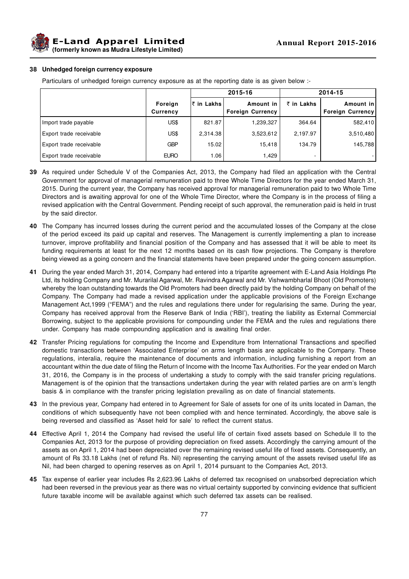**E-Land Apparel Limited (formerly known as Mudra Lifestyle Limited)**

#### **38 Unhedged foreign currency exposure**

Particulars of unhedged foreign currency exposure as at the reporting date is as given below :-

|                         |                            |             | 2015-16                              |            | 2014-15                       |
|-------------------------|----------------------------|-------------|--------------------------------------|------------|-------------------------------|
|                         | Foreign<br><b>Currency</b> | ∣₹ in Lakhs | Amount in<br><b>Foreign Currency</b> | ₹ in Lakhs | Amount in<br>Foreign Currency |
| Import trade payable    | US\$                       | 821.87      | 1,239,327                            | 364.64     | 582,410                       |
| Export trade receivable | US\$                       | 2.314.38    | 3,523,612                            | 2,197.97   | 3,510,480                     |
| Export trade receivable | <b>GBP</b>                 | 15.02       | 15,418                               | 134.79     | 145,788                       |
| Export trade receivable | <b>EURO</b>                | 1.06        | 1.429                                | -          |                               |

- **39** As required under Schedule V of the Companies Act, 2013, the Company had filed an application with the Central Government for approval of managerial remuneration paid to three Whole Time Directors for the year ended March 31, 2015. During the current year, the Company has received approval for managerial remuneration paid to two Whole Time Directors and is awaiting approval for one of the Whole Time Director, where the Company is in the process of filing a revised application with the Central Government. Pending receipt of such approval, the remuneration paid is held in trust by the said director.
- **40** The Company has incurred losses during the current period and the accumulated losses of the Company at the close of the period exceed its paid up capital and reserves. The Management is currently implementing a plan to increase turnover, improve profitability and financial position of the Company and has assessed that it will be able to meet its funding requirements at least for the next 12 months based on its cash flow projections. The Company is therefore being viewed as a going concern and the financial statements have been prepared under the going concern assumption.
- **41** During the year ended March 31, 2014, Company had entered into a tripartite agreement with E-Land Asia Holdings Pte Ltd, its holding Company and Mr. Murarilal Agarwal, Mr. Ravindra Agarwal and Mr. Vishwambharlal Bhoot (Old Promoters) whereby the loan outstanding towards the Old Promoters had been directly paid by the holding Company on behalf of the Company. The Company had made a revised application under the applicable provisions of the Foreign Exchange Management Act,1999 ("FEMA") and the rules and regulations there under for regularising the same. During the year, Company has received approval from the Reserve Bank of India ('RBI'), treating the liability as External Commercial Borrowing, subject to the applicable provisions for compounding under the FEMA and the rules and regulations there under. Company has made compounding application and is awaiting final order.
- **42** Transfer Pricing regulations for computing the Income and Expenditure from International Transactions and specified domestic transactions between 'Associated Enterprise' on arms length basis are applicable to the Company. These regulations, interalia, require the maintenance of documents and information, including furnishing a report from an accountant within the due date of filing the Return of Income with the Income Tax Authorities. For the year ended on March 31, 2016, the Company is in the process of undertaking a study to comply with the said transfer pricing regulations. Management is of the opinion that the transactions undertaken during the year with related parties are on arm's length basis & in compliance with the transfer pricing legislation prevailing as on date of financial statements.
- **43** In the previous year, Company had entered in to Agreement for Sale of assets for one of its units located in Daman, the conditions of which subsequently have not been complied with and hence terminated. Accordingly, the above sale is being reversed and classified as 'Asset held for sale' to reflect the current status.
- **44** Effective April 1, 2014 the Company had revised the useful life of certain fixed assets based on Schedule II to the Companies Act, 2013 for the purpose of providing depreciation on fixed assets. Accordingly the carrying amount of the assets as on April 1, 2014 had been depreciated over the remaining revised useful life of fixed assets. Consequently, an amount of Rs 33.18 Lakhs (net of refund Rs. Nil) representing the carrying amount of the assets revised useful life as Nil, had been charged to opening reserves as on April 1, 2014 pursuant to the Companies Act, 2013.
- **45** Tax expense of earlier year includes Rs 2,623.96 Lakhs of deferred tax recognised on unabsorbed depreciation which had been reversed in the previous year as there was no virtual certainty supported by convincing evidence that sufficient future taxable income will be available against which such deferred tax assets can be realised.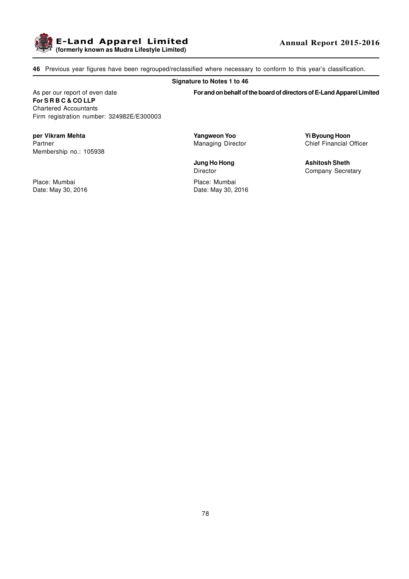

**46** Previous year figures have been regrouped/reclassified where necessary to conform to this year's classification.

#### **Signature to Notes 1 to 46**

As per our report of even date **For and on behalf of the board of directors of E-Land Apparel Limited For S R B C & CO LLP** Chartered Accountants Firm registration number: 324982E/E300003

**per Vikram Mehta Yangweon Yoo Yi Byoung Hoon** Partner **Managing Director** Chief Financial Officer Membership no.: 105938

Place: Mumbai Place: Mumbai

Date: May 30, 2016 **Date: May 30, 2016** 

**Jung Ho Hong Ashitosh Sheth** Director Company Secretary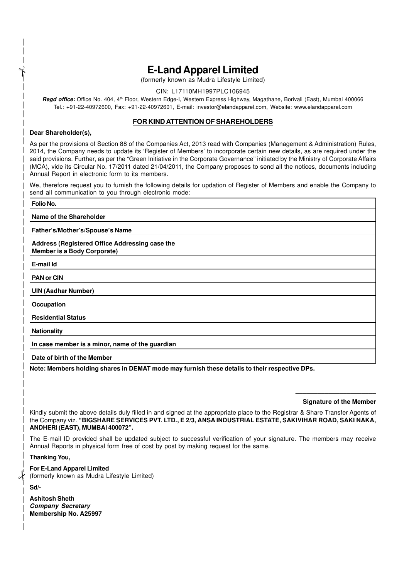# **E-Land Apparel Limited**

(formerly known as Mudra Lifestyle Limited)

## CIN: L17110MH1997PLC106945

**Regd office:** Office No. 404, 4th Floor, Western Edge-I, Western Express Highway, Magathane, Borivali (East), Mumbai 400066 Tel.: +91-22-40972600, Fax: +91-22-40972601, E-mail: investor@elandapparel.com, Website: www.elandapparel.com

## **FOR KIND ATTENTION OF SHAREHOLDERS**

#### **Dear Shareholder(s),**

 $\uparrow$ 

As per the provisions of Section 88 of the Companies Act, 2013 read with Companies (Management & Administration) Rules, 2014, the Company needs to update its 'Register of Members' to incorporate certain new details, as are required under the said provisions. Further, as per the "Green Initiative in the Corporate Governance" initiated by the Ministry of Corporate Affairs (MCA), vide its Circular No. 17/2011 dated 21/04/2011, the Company proposes to send all the notices, documents including Annual Report in electronic form to its members.

We, therefore request you to furnish the following details for updation of Register of Members and enable the Company to send all communication to you through electronic mode:

| Folio No.                                                                            |
|--------------------------------------------------------------------------------------|
| Name of the Shareholder                                                              |
| Father's/Mother's/Spouse's Name                                                      |
| Address (Registered Office Addressing case the<br><b>Member is a Body Corporate)</b> |
| E-mail Id                                                                            |
| <b>PAN or CIN</b>                                                                    |
| <b>UIN (Aadhar Number)</b>                                                           |
| Occupation                                                                           |
| <b>Residential Status</b>                                                            |
| <b>Nationality</b>                                                                   |
| In case member is a minor, name of the guardian                                      |
| Date of birth of the Member                                                          |

**Note: Members holding shares in DEMAT mode may furnish these details to their respective DPs.**

\_\_\_\_\_\_\_\_\_\_\_\_\_\_\_\_\_\_\_\_\_\_ **Signature of the Member**

Kindly submit the above details duly filled in and signed at the appropriate place to the Registrar & Share Transfer Agents of the Company viz. **"BIGSHARE SERVICES PVT. LTD., E 2/3, ANSA INDUSTRIAL ESTATE, SAKIVIHAR ROAD, SAKI NAKA, ANDHERI (EAST), MUMBAI 400072".**

The E-mail ID provided shall be updated subject to successful verification of your signature. The members may receive Annual Reports in physical form free of cost by post by making request for the same.

**Thanking You,**

## **For E-Land Apparel Limited**

(formerly known as Mudra Lifestyle Limited)

**Sd/-**

 $\frac{1}{2}$ 

| <b>Ashitosh Sheth</b>        |
|------------------------------|
| <b>Company Secretary</b>     |
| <b>Membership No. A25997</b> |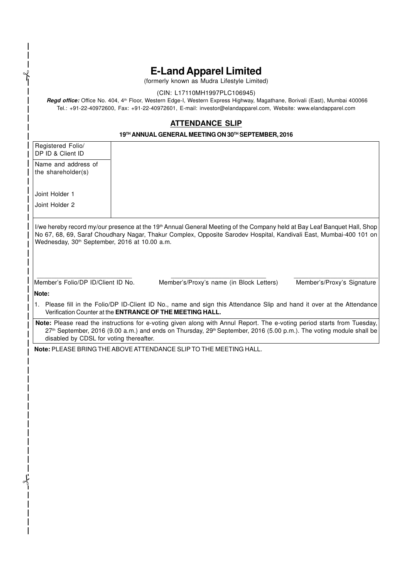# **E-Land Apparel Limited**

(formerly known as Mudra Lifestyle Limited)

## (CIN: L17110MH1997PLC106945)

**Regd office:** Office No. 404, 4th Floor, Western Edge-I, Western Express Highway, Magathane, Borivali (East), Mumbai 400066 Tel.: +91-22-40972600, Fax: +91-22-40972601, E-mail: investor@elandapparel.com, Website: www.elandapparel.com

## **ATTENDANCE SLIP**

#### **19TH ANNUAL GENERAL MEETING ON 30TH SEPTEMBER, 2016**

Registered Folio/ DP ID & Client ID

Name and address of the shareholder(s)

Joint Holder 1

 $\uparrow$ 

Joint Holder 2

I/we hereby record my/our presence at the 19<sup>th</sup> Annual General Meeting of the Company held at Bay Leaf Banquet Hall, Shop No 67, 68, 69, Saraf Choudhary Nagar, Thakur Complex, Opposite Sarodev Hospital, Kandivali East, Mumbai-400 101 on Wednesday, 30<sup>th</sup> September, 2016 at 10.00 a.m.

\_\_\_\_\_\_\_\_\_\_\_\_\_\_\_\_\_\_\_\_\_\_\_\_\_\_ \_\_\_\_\_\_\_\_\_\_\_\_\_\_\_\_\_\_\_\_\_\_\_\_\_\_ \_\_\_\_\_\_\_\_\_\_\_\_\_\_\_\_\_\_\_\_\_\_\_

Member's Folio/DP ID/Client ID No. Member's/Proxy's name (in Block Letters) Member's/Proxy's Signature

 **Note:**

 $\frac{1}{2}$ 

 1. Please fill in the Folio/DP ID-Client ID No., name and sign this Attendance Slip and hand it over at the Attendance Verification Counter at the **ENTRANCE OF THE MEETING HALL.**

 **Note:** Please read the instructions for e-voting given along with Annul Report. The e-voting period starts from Tuesday, 27<sup>th</sup> September, 2016 (9.00 a.m.) and ends on Thursday, 29<sup>th</sup> September, 2016 (5.00 p.m.). The voting module shall be disabled by CDSL for voting thereafter.

 **Note:** PLEASE BRING THE ABOVE ATTENDANCE SLIP TO THE MEETING HALL.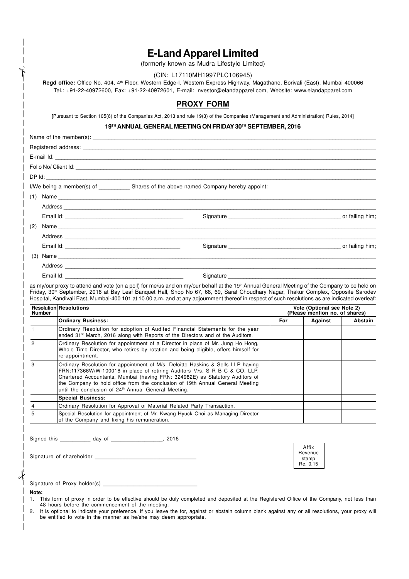|                          | (CIN: L17110MH1997PLC106945)                                                                                                                                                                                                                                                                                                                                                                                                                                                                                                                  |     |                                                              |                |
|--------------------------|-----------------------------------------------------------------------------------------------------------------------------------------------------------------------------------------------------------------------------------------------------------------------------------------------------------------------------------------------------------------------------------------------------------------------------------------------------------------------------------------------------------------------------------------------|-----|--------------------------------------------------------------|----------------|
|                          | Regd office: Office No. 404, 4 <sup>th</sup> Floor, Western Edge-I, Western Express Highway, Magathane, Borivali (East), Mumbai 400066<br>Tel.: +91-22-40972600, Fax: +91-22-40972601, E-mail: investor@elandapparel.com, Website: www.elandapparel.com                                                                                                                                                                                                                                                                                       |     |                                                              |                |
|                          | <b>PROXY FORM</b>                                                                                                                                                                                                                                                                                                                                                                                                                                                                                                                             |     |                                                              |                |
|                          | [Pursuant to Section 105(6) of the Companies Act, 2013 and rule 19(3) of the Companies (Management and Administration) Rules, 2014]                                                                                                                                                                                                                                                                                                                                                                                                           |     |                                                              |                |
|                          | 19TH ANNUAL GENERAL MEETING ON FRIDAY 30TH SEPTEMBER, 2016                                                                                                                                                                                                                                                                                                                                                                                                                                                                                    |     |                                                              |                |
|                          |                                                                                                                                                                                                                                                                                                                                                                                                                                                                                                                                               |     |                                                              |                |
|                          |                                                                                                                                                                                                                                                                                                                                                                                                                                                                                                                                               |     |                                                              |                |
|                          |                                                                                                                                                                                                                                                                                                                                                                                                                                                                                                                                               |     |                                                              |                |
|                          |                                                                                                                                                                                                                                                                                                                                                                                                                                                                                                                                               |     |                                                              |                |
|                          |                                                                                                                                                                                                                                                                                                                                                                                                                                                                                                                                               |     |                                                              |                |
|                          | I/We being a member(s) of _____________ Shares of the above named Company hereby appoint:                                                                                                                                                                                                                                                                                                                                                                                                                                                     |     |                                                              |                |
|                          |                                                                                                                                                                                                                                                                                                                                                                                                                                                                                                                                               |     |                                                              |                |
|                          |                                                                                                                                                                                                                                                                                                                                                                                                                                                                                                                                               |     |                                                              |                |
|                          |                                                                                                                                                                                                                                                                                                                                                                                                                                                                                                                                               |     |                                                              |                |
| (2)                      |                                                                                                                                                                                                                                                                                                                                                                                                                                                                                                                                               |     |                                                              |                |
|                          |                                                                                                                                                                                                                                                                                                                                                                                                                                                                                                                                               |     |                                                              |                |
|                          |                                                                                                                                                                                                                                                                                                                                                                                                                                                                                                                                               |     |                                                              |                |
|                          | (3) Name <b>books and the contract of the contract of the contract of the contract of the contract of the contract of the contract of the contract of the contract of the contract of the contract of the contract of the contra</b>                                                                                                                                                                                                                                                                                                          |     |                                                              |                |
|                          |                                                                                                                                                                                                                                                                                                                                                                                                                                                                                                                                               |     |                                                              |                |
|                          |                                                                                                                                                                                                                                                                                                                                                                                                                                                                                                                                               |     |                                                              |                |
|                          | Signature experience and the state of the state of the state of the state of the state of the state of the state of the state of the state of the state of the state of the state of the state of the state of the state of th<br>as my/our proxy to attend and vote (on a poll) for me/us and on my/our behalf at the 19 <sup>th</sup> Annual General Meeting of the Company to be held on<br>Friday, 30 <sup>th</sup> September, 2016 at Bay Leaf Banquet Hall, Shop No 67, 68, 69, Saraf Choudhary Nagar, Thakur Complex, Opposite Sarodev |     |                                                              |                |
| <b>Number</b>            | Hospital, Kandivali East, Mumbai-400 101 at 10.00 a.m. and at any adjournment thereof in respect of such resolutions as are indicated overleaf:<br>Resolution Resolutions                                                                                                                                                                                                                                                                                                                                                                     |     | Vote (Optional see Note 2)<br>(Please mention no. of shares) |                |
|                          | <b>Ordinary Business:</b>                                                                                                                                                                                                                                                                                                                                                                                                                                                                                                                     | For | Against                                                      | <b>Abstain</b> |
|                          | Ordinary Resolution for adoption of Audited Financial Statements for the year<br>ended 31 <sup>st</sup> March, 2016 along with Reports of the Directors and of the Auditors.                                                                                                                                                                                                                                                                                                                                                                  |     |                                                              |                |
|                          | Ordinary Resolution for appointment of a Director in place of Mr. Jung Ho Hong,<br>Whole Time Director, who retires by rotation and being eligible, offers himself for<br>re-appointment.                                                                                                                                                                                                                                                                                                                                                     |     |                                                              |                |
|                          | Ordinary Resolution for appointment of M/s. Deloitte Haskins & Sells LLP having                                                                                                                                                                                                                                                                                                                                                                                                                                                               |     |                                                              |                |
| 1<br>$\overline{c}$<br>3 | FRN:117366W/W-100018 in place of retiring Auditors M/s. S R B C & CO. LLP,<br>Chartered Accountants, Mumbai (having FRN: 324982E) as Statutory Auditors of                                                                                                                                                                                                                                                                                                                                                                                    |     |                                                              |                |
|                          | the Company to hold office from the conclusion of 19th Annual General Meeting                                                                                                                                                                                                                                                                                                                                                                                                                                                                 |     |                                                              |                |
|                          | until the conclusion of 24 <sup>th</sup> Annual General Meeting.                                                                                                                                                                                                                                                                                                                                                                                                                                                                              |     |                                                              |                |
| 4                        | <b>Special Business:</b><br>Ordinary Resolution for Approval of Material Related Party Transaction.                                                                                                                                                                                                                                                                                                                                                                                                                                           |     |                                                              |                |
| 5                        | Special Resolution for appointment of Mr. Kwang Hyuck Choi as Managing Director<br>of the Company and fixing his remuneration.                                                                                                                                                                                                                                                                                                                                                                                                                |     |                                                              |                |
|                          | Signed this _____________ day of ____________________, 2016                                                                                                                                                                                                                                                                                                                                                                                                                                                                                   |     |                                                              |                |
|                          |                                                                                                                                                                                                                                                                                                                                                                                                                                                                                                                                               |     | Affix                                                        |                |
|                          |                                                                                                                                                                                                                                                                                                                                                                                                                                                                                                                                               |     | Revenue<br>stamp                                             |                |
|                          |                                                                                                                                                                                                                                                                                                                                                                                                                                                                                                                                               |     | Re. 0.15                                                     |                |
|                          |                                                                                                                                                                                                                                                                                                                                                                                                                                                                                                                                               |     |                                                              |                |
| Note:                    |                                                                                                                                                                                                                                                                                                                                                                                                                                                                                                                                               |     |                                                              |                |